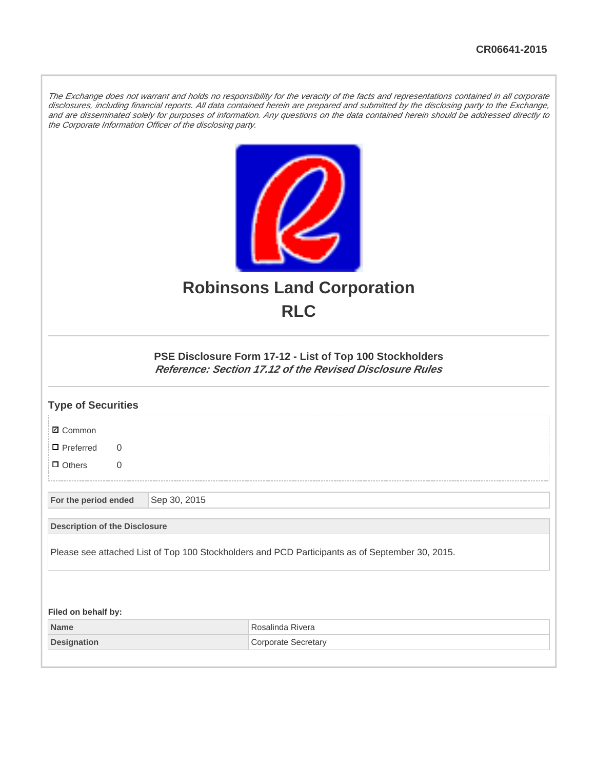The Exchange does not warrant and holds no responsibility for the veracity of the facts and representations contained in all corporate disclosures, including financial reports. All data contained herein are prepared and submitted by the disclosing party to the Exchange, and are disseminated solely for purposes of information. Any questions on the data contained herein should be addressed directly to the Corporate Information Officer of the disclosing party.



## **Robinsons Land Corporation RLC**

## **PSE Disclosure Form 17-12 - List of Top 100 Stockholders Reference: Section 17.12 of the Revised Disclosure Rules**

| <b>Type of Securities</b>            |              |                                                                                                 |
|--------------------------------------|--------------|-------------------------------------------------------------------------------------------------|
| <b>Ø</b> Common                      |              |                                                                                                 |
| $\Box$ Preferred<br>$\Omega$         |              |                                                                                                 |
| $\Box$ Others<br>$\overline{0}$      |              |                                                                                                 |
| For the period ended                 | Sep 30, 2015 |                                                                                                 |
| <b>Description of the Disclosure</b> |              |                                                                                                 |
|                                      |              | Please see attached List of Top 100 Stockholders and PCD Participants as of September 30, 2015. |
|                                      |              |                                                                                                 |
| Filed on behalf by:                  |              |                                                                                                 |
| <b>Name</b>                          |              | Rosalinda Rivera                                                                                |
| <b>Designation</b>                   |              | <b>Corporate Secretary</b>                                                                      |
|                                      |              |                                                                                                 |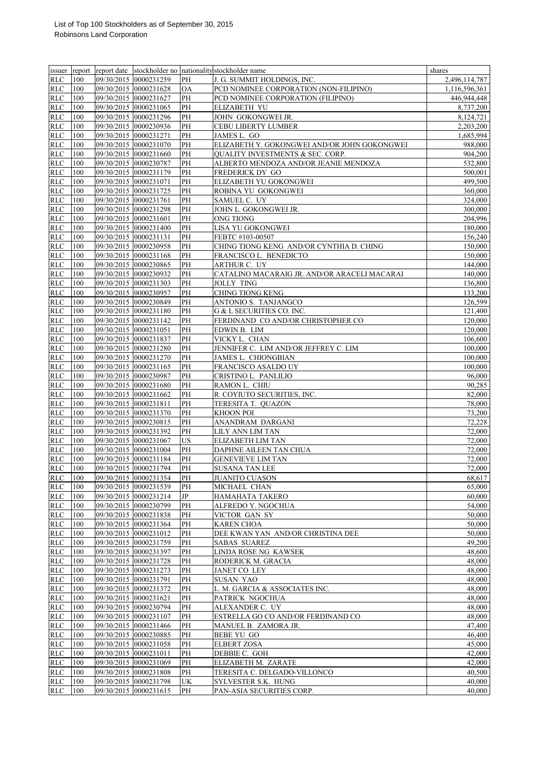|            |     |                       |                       |           | issuer report report date stockholder no nationality stockholder name | shares        |
|------------|-----|-----------------------|-----------------------|-----------|-----------------------------------------------------------------------|---------------|
| <b>RLC</b> | 100 |                       | 09/30/2015 0000231259 | PH        | J. G. SUMMIT HOLDINGS, INC.                                           | 2,496,114,787 |
| <b>RLC</b> | 100 |                       | 09/30/2015 0000231628 | <b>OA</b> | PCD NOMINEE CORPORATION (NON-FILIPINO)                                | 1,116,596,361 |
| <b>RLC</b> | 100 |                       | 09/30/2015 0000231627 | PH        | PCD NOMINEE CORPORATION (FILIPINO)                                    | 446,944,448   |
| <b>RLC</b> | 100 |                       | 09/30/2015 0000231065 | PH        | <b>ELIZABETH YU</b>                                                   | 8,737,200     |
| <b>RLC</b> | 100 |                       | 09/30/2015 0000231296 | PH        | JOHN GOKONGWEI JR.                                                    | 8,124,721     |
| <b>RLC</b> | 100 |                       | 09/30/2015 0000230936 | PH        | <b>CEBU LIBERTY LUMBER</b>                                            | 2,203,200     |
| <b>RLC</b> | 100 | 09/30/2015 0000231271 |                       | PH        | JAMES L. GO                                                           | 1,685,994     |
| <b>RLC</b> | 100 |                       | 09/30/2015 0000231070 | PH        | ELIZABETH Y. GOKONGWEI AND/OR JOHN GOKONGWEI                          | 988,000       |
| <b>RLC</b> | 100 |                       | 09/30/2015 0000231660 | PH        | QUALITY INVESTMENTS & SEC. CORP.                                      | 904,200       |
| <b>RLC</b> | 100 |                       | 09/30/2015 0000230787 | PH        | ALBERTO MENDOZA AND/OR JEANIE MENDOZA                                 | 532,800       |
| <b>RLC</b> | 100 |                       | 09/30/2015 0000231179 | PH        | FREDERICK DY GO                                                       | 500,001       |
| <b>RLC</b> | 100 |                       | 09/30/2015 0000231071 | PH        | ELIZABETH YU GOKONGWEI                                                | 499,500       |
| <b>RLC</b> | 100 |                       | 09/30/2015 0000231725 | PH        | ROBINA YU GOKONGWEI                                                   | 360,000       |
| RLC        | 100 | 09/30/2015 0000231761 |                       | PH        | SAMUEL C. UY                                                          | 324,000       |
| <b>RLC</b> | 100 |                       | 09/30/2015 0000231298 | PH        | JOHN L. GOKONGWEI JR.                                                 | 300,000       |
| <b>RLC</b> | 100 |                       | 09/30/2015 0000231601 | PH        | ONG TIONG                                                             | 204,996       |
| <b>RLC</b> | 100 |                       | 09/30/2015 0000231400 | PH        | LISA YU GOKONGWEI                                                     | 180,000       |
| <b>RLC</b> | 100 |                       | 09/30/2015 0000231131 | PH        | FEBTC #103-00507                                                      | 156,240       |
| <b>RLC</b> | 100 |                       | 09/30/2015 0000230958 | PH        | CHING TIONG KENG AND/OR CYNTHIA D. CHING                              | 150,000       |
| RLC        | 100 |                       | 09/30/2015 0000231168 | PH        | FRANCISCO L. BENEDICTO                                                | 150,000       |
| <b>RLC</b> | 100 |                       | 09/30/2015 0000230865 | PH        | ARTHUR C. UY                                                          | 144,000       |
| <b>RLC</b> | 100 |                       | 09/30/2015 0000230932 | PH        | CATALINO MACARAIG JR. AND/OR ARACELI MACARAI                          | 140,000       |
| RLC        | 100 |                       | 09/30/2015 0000231303 | PH        | <b>JOLLY TING</b>                                                     | 136,800       |
| RLC        | 100 |                       | 09/30/2015 0000230957 | PH        | <b>CHING TIONG KENG</b>                                               | 133,200       |
| <b>RLC</b> | 100 |                       | 09/30/2015 0000230849 | PH        | ANTONIO S. TANJANGCO                                                  | 126,599       |
| RLC        | 100 |                       | 09/30/2015 0000231180 | PH        | G & L SECURITIES CO. INC.                                             | 121,400       |
| <b>RLC</b> | 100 |                       | 09/30/2015 0000231142 | PH        | FERDINAND CO AND/OR CHRISTOPHER CO                                    | 120,000       |
| RLC        | 100 |                       | 09/30/2015 0000231051 | PH        | EDWIN B. LIM                                                          | 120,000       |
| <b>RLC</b> | 100 |                       | 09/30/2015 0000231837 | PH        | VICKY L. CHAN                                                         | 106,600       |
| <b>RLC</b> | 100 |                       | 09/30/2015 0000231280 | PH        | JENNIFER C. LIM AND/OR JEFFREY C. LIM                                 | 100,000       |
| RLC        | 100 |                       | 09/30/2015 0000231270 | PH        | JAMES L. CHIONGBIAN                                                   | 100,000       |
| <b>RLC</b> | 100 |                       | 09/30/2015 0000231165 | PH        | FRANCISCO ASALDO UY                                                   | 100,000       |
| <b>RLC</b> | 100 |                       | 09/30/2015 0000230987 | PH        | CRISTINO L. PANLILIO                                                  | 96,000        |
| RLC        | 100 |                       | 09/30/2015 0000231680 | PH        | RAMON L. CHIU                                                         | 90,285        |
| <b>RLC</b> | 100 |                       | 09/30/2015 0000231662 | PН        | R. COYIUTO SECURITIES, INC.                                           | 82,000        |
| RLC        | 100 | 09/30/2015 0000231811 |                       | PH        | TERESITA T. QUAZON                                                    | 78,000        |
| <b>RLC</b> | 100 |                       | 09/30/2015 0000231370 | PH        | <b>KHOON POI</b>                                                      | 73,200        |
| <b>RLC</b> | 100 |                       | 09/30/2015 0000230815 | PH        | ANANDRAM DARGANI                                                      | 72,228        |
| <b>RLC</b> | 100 |                       | 09/30/2015 0000231392 | PH        | LILY ANN LIM TAN                                                      | 72,000        |
| RLC        | 100 |                       | 09/30/2015 0000231067 | US        | <b>ELIZABETH LIM TAN</b>                                              | 72,000        |
| <b>RLC</b> | 100 |                       | 09/30/2015 0000231004 | PH        | DAPHNE AILEEN TAN CHUA                                                | 72,000        |
| <b>RLC</b> | 100 |                       | 09/30/2015 0000231184 | PH        | <b>GENEVIEVE LIM TAN</b>                                              | 72,000        |
| <b>RLC</b> | 100 |                       | 09/30/2015 0000231794 | PH        | <b>SUSANA TAN LEE</b>                                                 | 72,000        |
| <b>RLC</b> | 100 |                       | 09/30/2015 0000231354 | PH        | <b>JUANITO CUASON</b>                                                 | 68,617        |
| <b>RLC</b> | 100 |                       | 09/30/2015 0000231539 | PH        | MICHAEL CHAN                                                          | 65,000        |
| <b>RLC</b> | 100 |                       | 09/30/2015 0000231214 | JP        | HAMAHATA TAKERO                                                       | 60,000        |
| <b>RLC</b> | 100 |                       | 09/30/2015 0000230799 | PH        | ALFREDO Y. NGOCHUA                                                    | 54,000        |
| <b>RLC</b> | 100 |                       | 09/30/2015 0000231838 | PH        | VICTOR GAN SY                                                         | 50,000        |
| <b>RLC</b> | 100 |                       | 09/30/2015 0000231364 | PH        | <b>KAREN CHOA</b>                                                     | 50,000        |
| <b>RLC</b> | 100 |                       | 09/30/2015 0000231012 | PH        | DEE KWAN YAN AND/OR CHRISTINA DEE                                     | 50,000        |
| <b>RLC</b> | 100 |                       | 09/30/2015 0000231759 | PH        | <b>SABAS SUAREZ</b>                                                   | 49,200        |
| <b>RLC</b> | 100 |                       | 09/30/2015 0000231397 | PH        | LINDA ROSE NG KAWSEK                                                  | 48,600        |
| <b>RLC</b> | 100 |                       | 09/30/2015 0000231728 | PH        | RODERICK M. GRACIA                                                    | 48,000        |
| <b>RLC</b> | 100 |                       | 09/30/2015 0000231273 | PH        | JANET CO LEY                                                          | 48,000        |
| <b>RLC</b> | 100 |                       | 09/30/2015 0000231791 | PH        | <b>SUSAN YAO</b>                                                      | 48,000        |
| <b>RLC</b> | 100 |                       | 09/30/2015 0000231372 | PH        | L. M. GARCIA & ASSOCIATES INC.                                        | 48,000        |
| <b>RLC</b> | 100 |                       | 09/30/2015 0000231621 | PH        | PATRICK NGOCHUA                                                       | 48,000        |
| <b>RLC</b> | 100 |                       | 09/30/2015 0000230794 | PH        | ALEXANDER C. UY                                                       | 48,000        |
| <b>RLC</b> | 100 |                       | 09/30/2015 0000231107 | PH        | ESTRELLA GO CO AND/OR FERDINAND CO                                    | 48,000        |
| <b>RLC</b> | 100 |                       | 09/30/2015 0000231466 | PH        | MANUEL B. ZAMORA JR.                                                  | 47,400        |
| <b>RLC</b> | 100 |                       | 09/30/2015 0000230885 | PH        | <b>BEBE YU GO</b>                                                     | 46,400        |
| RLC        | 100 |                       | 09/30/2015 0000231058 | PH        | <b>ELBERT ZOSA</b>                                                    | 45,000        |
| <b>RLC</b> | 100 |                       | 09/30/2015 0000231011 | PH        | DEBBIE C. GOH                                                         | 42,000        |
| RLC        | 100 |                       | 09/30/2015 0000231069 | PH        | ELIZABETH M. ZARATE                                                   | 42,000        |
| RLC        | 100 |                       | 09/30/2015 0000231808 | PH        | TERESITA C. DELGADO-VILLONCO                                          | 40,500        |
| RLC        | 100 |                       | 09/30/2015 0000231798 | UK        | SYLVESTER S.K. HUNG                                                   | 40,000        |
| <b>RLC</b> | 100 |                       | 09/30/2015 0000231615 | PH        | PAN-ASIA SECURITIES CORP.                                             | 40,000        |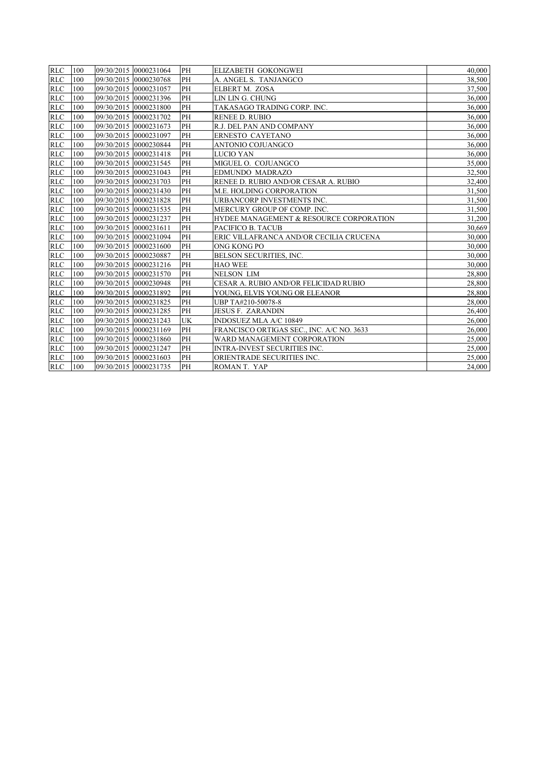| <b>RLC</b> | 100     | 09/30/2015 0000231064 | PH        | <b>ELIZABETH GOKONGWEI</b>                | 40,000 |
|------------|---------|-----------------------|-----------|-------------------------------------------|--------|
| <b>RLC</b> | 100     | 09/30/2015 0000230768 | PH        | A. ANGEL S. TANJANGCO                     | 38,500 |
| <b>RLC</b> | 100     | 09/30/2015 0000231057 | PH        | ELBERT M. ZOSA                            | 37,500 |
| <b>RLC</b> | 100     | 09/30/2015 0000231396 | PH        | LIN LIN G. CHUNG                          | 36,000 |
| <b>RLC</b> | 100     | 09/30/2015 0000231800 | PH        | TAKASAGO TRADING CORP. INC.               | 36.000 |
| <b>RLC</b> | 100     | 09/30/2015 0000231702 | PH        | <b>RENEE D. RUBIO</b>                     | 36.000 |
| RLC        | 100     | 09/30/2015 0000231673 | PH        | R.J. DEL PAN AND COMPANY                  | 36,000 |
| <b>RLC</b> | 100     | 09/30/2015 0000231097 | PH        | ERNESTO CAYETANO                          | 36.000 |
| <b>RLC</b> | 100     | 09/30/2015 0000230844 | PH        | ANTONIO COJUANGCO                         | 36,000 |
| <b>RLC</b> | 100     | 09/30/2015 0000231418 | PH        | <b>LUCIO YAN</b>                          | 36,000 |
| <b>RLC</b> | 100     | 09/30/2015 0000231545 | PH        | MIGUEL O. COJUANGCO                       | 35,000 |
|            | RLC 100 | 09/30/2015 0000231043 | PH        | <b>EDMUNDO MADRAZO</b>                    | 32,500 |
| <b>RLC</b> | 100     | 09/30/2015 0000231703 | PH        | RENEE D. RUBIO AND/OR CESAR A. RUBIO      | 32,400 |
| <b>RLC</b> | 100     | 09/30/2015 0000231430 | PH        | M.E. HOLDING CORPORATION                  | 31,500 |
| <b>RLC</b> | 100     | 09/30/2015 0000231828 | PH        | URBANCORP INVESTMENTS INC.                | 31,500 |
| <b>RLC</b> | 100     | 09/30/2015 0000231535 | PH        | MERCURY GROUP OF COMP. INC.               | 31,500 |
| <b>RLC</b> | 100     | 09/30/2015 0000231237 | PH        | HYDEE MANAGEMENT & RESOURCE CORPORATION   | 31,200 |
| <b>RLC</b> | 100     | 09/30/2015 0000231611 | PH        | PACIFICO B. TACUB                         | 30.669 |
| <b>RLC</b> | 100     | 09/30/2015 0000231094 | PH        | ERIC VILLAFRANCA AND/OR CECILIA CRUCENA   | 30.000 |
| <b>RLC</b> | 100     | 09/30/2015 0000231600 | PH        | ONG KONG PO                               | 30,000 |
| <b>RLC</b> | 100     | 09/30/2015 0000230887 | <b>PH</b> | <b>BELSON SECURITIES. INC.</b>            | 30,000 |
| <b>RLC</b> | 100     | 09/30/2015 0000231216 | PH        | <b>HAO WEE</b>                            | 30,000 |
| <b>RLC</b> | 100     | 09/30/2015 0000231570 | PH        | <b>NELSON LIM</b>                         | 28,800 |
| <b>RLC</b> | 100     | 09/30/2015 0000230948 | PH        | CESAR A. RUBIO AND/OR FELICIDAD RUBIO     | 28,800 |
| <b>RLC</b> | 100     | 09/30/2015 0000231892 | PH        | YOUNG, ELVIS YOUNG OR ELEANOR             | 28,800 |
| <b>RLC</b> | 100     | 09/30/2015 0000231825 | PH        | UBP TA#210-50078-8                        | 28,000 |
|            | RLC 100 | 09/30/2015 0000231285 | PH        | <b>JESUS F. ZARANDIN</b>                  | 26,400 |
| <b>RLC</b> | 100     | 09/30/2015 0000231243 | UK        | INDOSUEZ MLA A/C 10849                    | 26,000 |
| <b>RLC</b> | 100     | 09/30/2015 0000231169 | PH        | FRANCISCO ORTIGAS SEC., INC. A/C NO. 3633 | 26,000 |
| <b>RLC</b> | 100     | 09/30/2015 0000231860 | PH        | WARD MANAGEMENT CORPORATION               | 25,000 |
|            | RLC 100 | 09/30/2015 0000231247 | PH        | <b>INTRA-INVEST SECURITIES INC.</b>       | 25,000 |
| <b>RLC</b> | 100     | 09/30/2015 0000231603 | PH        | ORIENTRADE SECURITIES INC.                | 25,000 |
|            | RLC 100 | 09/30/2015 0000231735 | PH        | ROMAN T. YAP                              | 24,000 |
|            |         |                       |           |                                           |        |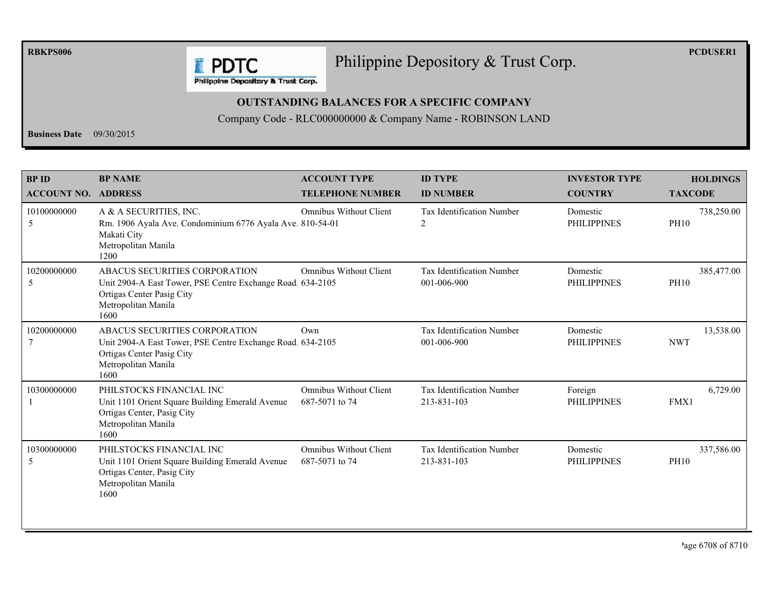**RBKPS006** 

## Philippine Depository & Trust Corp.

**PCDUSER1** 

**E** PDTC Philippine Depository & Trust Corp.

## **OUTSTANDING BALANCES FOR A SPECIFIC COMPANY**

Company Code - RLC000000000 & Company Name - ROBINSON LAND

**Business Date**  $09/30/2015$ 

| <b>BPID</b><br><b>ACCOUNT NO. ADDRESS</b> | <b>BP NAME</b>                                                                                                                                          | <b>ACCOUNT TYPE</b><br><b>TELEPHONE NUMBER</b>  | <b>ID TYPE</b><br><b>ID NUMBER</b>              | <b>INVESTOR TYPE</b><br><b>COUNTRY</b> | <b>HOLDINGS</b><br><b>TAXCODE</b> |
|-------------------------------------------|---------------------------------------------------------------------------------------------------------------------------------------------------------|-------------------------------------------------|-------------------------------------------------|----------------------------------------|-----------------------------------|
| 10100000000<br>5                          | A & A SECURITIES, INC.<br>Rm. 1906 Ayala Ave. Condominium 6776 Ayala Ave. 810-54-01<br>Makati City<br>Metropolitan Manila<br>1200                       | <b>Omnibus Without Client</b>                   | <b>Tax Identification Number</b><br>2           | Domestic<br><b>PHILIPPINES</b>         | 738,250.00<br><b>PH10</b>         |
| 10200000000<br>5                          | ABACUS SECURITIES CORPORATION<br>Unit 2904-A East Tower, PSE Centre Exchange Road. 634-2105<br>Ortigas Center Pasig City<br>Metropolitan Manila<br>1600 | <b>Omnibus Without Client</b>                   | <b>Tax Identification Number</b><br>001-006-900 | Domestic<br><b>PHILIPPINES</b>         | 385,477.00<br><b>PH10</b>         |
| 10200000000                               | ABACUS SECURITIES CORPORATION<br>Unit 2904-A East Tower, PSE Centre Exchange Road 634-2105<br>Ortigas Center Pasig City<br>Metropolitan Manila<br>1600  | Own                                             | Tax Identification Number<br>001-006-900        | Domestic<br><b>PHILIPPINES</b>         | 13,538.00<br><b>NWT</b>           |
| 10300000000                               | PHILSTOCKS FINANCIAL INC<br>Unit 1101 Orient Square Building Emerald Avenue<br>Ortigas Center, Pasig City<br>Metropolitan Manila<br>1600                | <b>Omnibus Without Client</b><br>687-5071 to 74 | Tax Identification Number<br>213-831-103        | Foreign<br><b>PHILIPPINES</b>          | 6,729.00<br>FMX1                  |
| 10300000000<br>5                          | PHILSTOCKS FINANCIAL INC<br>Unit 1101 Orient Square Building Emerald Avenue<br>Ortigas Center, Pasig City<br>Metropolitan Manila<br>1600                | <b>Omnibus Without Client</b><br>687-5071 to 74 | Tax Identification Number<br>213-831-103        | Domestic<br><b>PHILIPPINES</b>         | 337,586.00<br><b>PH10</b>         |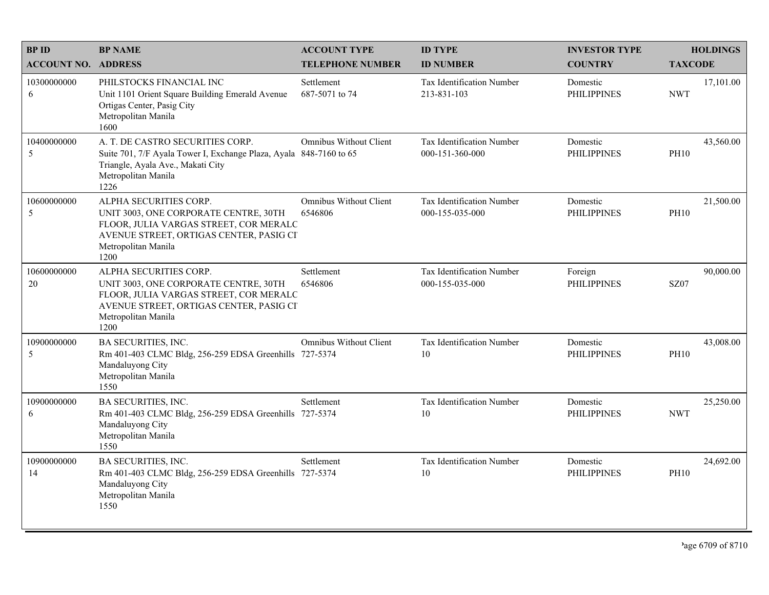| <b>BPID</b>                | <b>BP NAME</b>                                                                                                                                                                      | <b>ACCOUNT TYPE</b>                      | <b>ID TYPE</b>                               | <b>INVESTOR TYPE</b>           | <b>HOLDINGS</b>          |
|----------------------------|-------------------------------------------------------------------------------------------------------------------------------------------------------------------------------------|------------------------------------------|----------------------------------------------|--------------------------------|--------------------------|
| <b>ACCOUNT NO. ADDRESS</b> |                                                                                                                                                                                     | <b>TELEPHONE NUMBER</b>                  | <b>ID NUMBER</b>                             | <b>COUNTRY</b>                 | <b>TAXCODE</b>           |
| 10300000000<br>6           | PHILSTOCKS FINANCIAL INC<br>Unit 1101 Orient Square Building Emerald Avenue<br>Ortigas Center, Pasig City<br>Metropolitan Manila<br>1600                                            | Settlement<br>687-5071 to 74             | Tax Identification Number<br>213-831-103     | Domestic<br><b>PHILIPPINES</b> | 17,101.00<br><b>NWT</b>  |
| 10400000000<br>5           | A. T. DE CASTRO SECURITIES CORP.<br>Suite 701, 7/F Ayala Tower I, Exchange Plaza, Ayala 848-7160 to 65<br>Triangle, Ayala Ave., Makati City<br>Metropolitan Manila<br>1226          | <b>Omnibus Without Client</b>            | Tax Identification Number<br>000-151-360-000 | Domestic<br><b>PHILIPPINES</b> | 43,560.00<br><b>PH10</b> |
| 10600000000<br>5           | ALPHA SECURITIES CORP.<br>UNIT 3003, ONE CORPORATE CENTRE, 30TH<br>FLOOR, JULIA VARGAS STREET, COR MERALC<br>AVENUE STREET, ORTIGAS CENTER, PASIG CI<br>Metropolitan Manila<br>1200 | <b>Omnibus Without Client</b><br>6546806 | Tax Identification Number<br>000-155-035-000 | Domestic<br><b>PHILIPPINES</b> | 21,500.00<br><b>PH10</b> |
| 10600000000<br>20          | ALPHA SECURITIES CORP.<br>UNIT 3003, ONE CORPORATE CENTRE, 30TH<br>FLOOR, JULIA VARGAS STREET, COR MERALC<br>AVENUE STREET, ORTIGAS CENTER, PASIG CI<br>Metropolitan Manila<br>1200 | Settlement<br>6546806                    | Tax Identification Number<br>000-155-035-000 | Foreign<br><b>PHILIPPINES</b>  | 90,000.00<br><b>SZ07</b> |
| 10900000000<br>5           | BA SECURITIES, INC.<br>Rm 401-403 CLMC Bldg, 256-259 EDSA Greenhills 727-5374<br>Mandaluyong City<br>Metropolitan Manila<br>1550                                                    | <b>Omnibus Without Client</b>            | Tax Identification Number<br>10              | Domestic<br><b>PHILIPPINES</b> | 43,008.00<br><b>PH10</b> |
| 10900000000<br>6           | BA SECURITIES, INC.<br>Rm 401-403 CLMC Bldg, 256-259 EDSA Greenhills 727-5374<br>Mandaluyong City<br>Metropolitan Manila<br>1550                                                    | Settlement                               | Tax Identification Number<br>10              | Domestic<br><b>PHILIPPINES</b> | 25,250.00<br><b>NWT</b>  |
| 10900000000<br>14          | <b>BA SECURITIES, INC.</b><br>Rm 401-403 CLMC Bldg, 256-259 EDSA Greenhills 727-5374<br>Mandaluyong City<br>Metropolitan Manila<br>1550                                             | Settlement                               | <b>Tax Identification Number</b><br>$10\,$   | Domestic<br><b>PHILIPPINES</b> | 24,692.00<br><b>PH10</b> |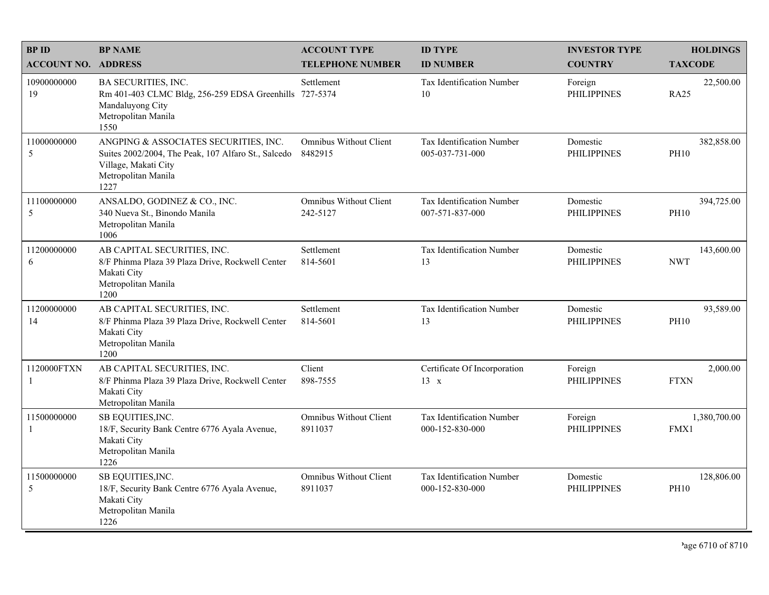| <b>BPID</b>                 | <b>BP NAME</b>                                                                                                                                      | <b>ACCOUNT TYPE</b>                       | <b>ID TYPE</b>                                      | <b>INVESTOR TYPE</b>           | <b>HOLDINGS</b>           |
|-----------------------------|-----------------------------------------------------------------------------------------------------------------------------------------------------|-------------------------------------------|-----------------------------------------------------|--------------------------------|---------------------------|
| <b>ACCOUNT NO. ADDRESS</b>  |                                                                                                                                                     | <b>TELEPHONE NUMBER</b>                   | <b>ID NUMBER</b>                                    | <b>COUNTRY</b>                 | <b>TAXCODE</b>            |
| 10900000000<br>19           | <b>BA SECURITIES, INC.</b><br>Rm 401-403 CLMC Bldg, 256-259 EDSA Greenhills 727-5374<br>Mandaluyong City<br>Metropolitan Manila<br>1550             | Settlement                                | Tax Identification Number<br>10                     | Foreign<br><b>PHILIPPINES</b>  | 22,500.00<br><b>RA25</b>  |
| 11000000000<br>5            | ANGPING & ASSOCIATES SECURITIES, INC.<br>Suites 2002/2004, The Peak, 107 Alfaro St., Salcedo<br>Village, Makati City<br>Metropolitan Manila<br>1227 | <b>Omnibus Without Client</b><br>8482915  | Tax Identification Number<br>005-037-731-000        | Domestic<br><b>PHILIPPINES</b> | 382,858.00<br><b>PH10</b> |
| 11100000000<br>5            | ANSALDO, GODINEZ & CO., INC.<br>340 Nueva St., Binondo Manila<br>Metropolitan Manila<br>1006                                                        | <b>Omnibus Without Client</b><br>242-5127 | Tax Identification Number<br>007-571-837-000        | Domestic<br><b>PHILIPPINES</b> | 394,725.00<br><b>PH10</b> |
| 11200000000<br>6            | AB CAPITAL SECURITIES, INC.<br>8/F Phinma Plaza 39 Plaza Drive, Rockwell Center<br>Makati City<br>Metropolitan Manila<br>1200                       | Settlement<br>814-5601                    | Tax Identification Number<br>13                     | Domestic<br><b>PHILIPPINES</b> | 143,600.00<br><b>NWT</b>  |
| 11200000000<br>14           | AB CAPITAL SECURITIES, INC.<br>8/F Phinma Plaza 39 Plaza Drive, Rockwell Center<br>Makati City<br>Metropolitan Manila<br>1200                       | Settlement<br>814-5601                    | Tax Identification Number<br>13                     | Domestic<br><b>PHILIPPINES</b> | 93,589.00<br><b>PH10</b>  |
| 1120000FTXN<br>-1           | AB CAPITAL SECURITIES, INC.<br>8/F Phinma Plaza 39 Plaza Drive, Rockwell Center<br>Makati City<br>Metropolitan Manila                               | Client<br>898-7555                        | Certificate Of Incorporation<br>$13 \times$         | Foreign<br><b>PHILIPPINES</b>  | 2,000.00<br><b>FTXN</b>   |
| 11500000000<br>$\mathbf{1}$ | SB EQUITIES, INC.<br>18/F, Security Bank Centre 6776 Ayala Avenue,<br>Makati City<br>Metropolitan Manila<br>1226                                    | <b>Omnibus Without Client</b><br>8911037  | <b>Tax Identification Number</b><br>000-152-830-000 | Foreign<br><b>PHILIPPINES</b>  | 1,380,700.00<br>FMX1      |
| 11500000000<br>5            | SB EQUITIES, INC.<br>18/F, Security Bank Centre 6776 Ayala Avenue,<br>Makati City<br>Metropolitan Manila<br>1226                                    | <b>Omnibus Without Client</b><br>8911037  | Tax Identification Number<br>000-152-830-000        | Domestic<br><b>PHILIPPINES</b> | 128,806.00<br><b>PH10</b> |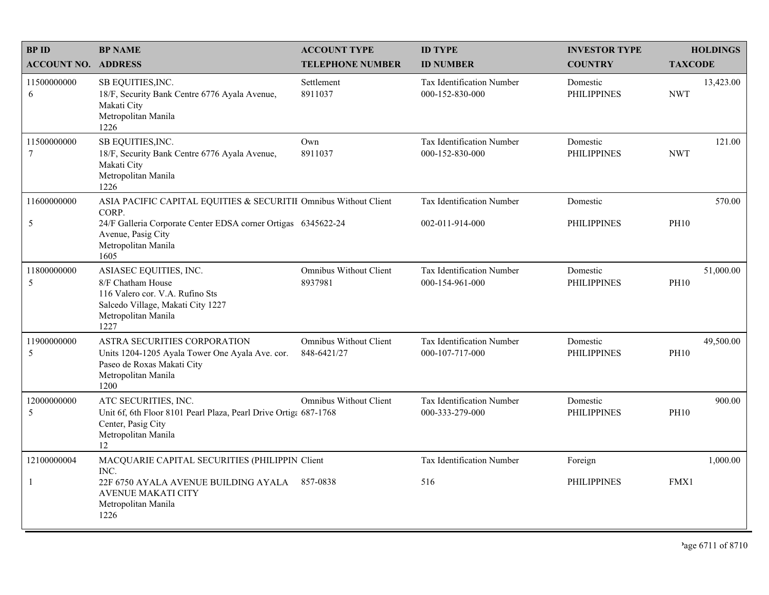| <b>BPID</b>                    | <b>BP NAME</b>                                                                                                                                     | <b>ACCOUNT TYPE</b>                          | <b>ID TYPE</b>                               | <b>INVESTOR TYPE</b>           | <b>HOLDINGS</b>          |
|--------------------------------|----------------------------------------------------------------------------------------------------------------------------------------------------|----------------------------------------------|----------------------------------------------|--------------------------------|--------------------------|
| <b>ACCOUNT NO. ADDRESS</b>     |                                                                                                                                                    | <b>TELEPHONE NUMBER</b>                      | <b>ID NUMBER</b>                             | <b>COUNTRY</b>                 | <b>TAXCODE</b>           |
| 11500000000<br>6               | SB EQUITIES, INC.<br>18/F, Security Bank Centre 6776 Ayala Avenue,<br>Makati City<br>Metropolitan Manila<br>1226                                   | Settlement<br>8911037                        | Tax Identification Number<br>000-152-830-000 | Domestic<br><b>PHILIPPINES</b> | 13,423.00<br><b>NWT</b>  |
| 11500000000<br>$7\phantom{.0}$ | SB EQUITIES, INC.<br>18/F, Security Bank Centre 6776 Ayala Avenue,<br>Makati City<br>Metropolitan Manila<br>1226                                   | Own<br>8911037                               | Tax Identification Number<br>000-152-830-000 | Domestic<br><b>PHILIPPINES</b> | 121.00<br><b>NWT</b>     |
| 11600000000                    | ASIA PACIFIC CAPITAL EQUITIES & SECURITII Omnibus Without Client<br>CORP.                                                                          |                                              | Tax Identification Number                    | Domestic                       | 570.00                   |
| 5                              | 24/F Galleria Corporate Center EDSA corner Ortigas 6345622-24<br>Avenue, Pasig City<br>Metropolitan Manila<br>1605                                 |                                              | 002-011-914-000                              | <b>PHILIPPINES</b>             | <b>PH10</b>              |
| 11800000000<br>5               | ASIASEC EQUITIES, INC.<br>8/F Chatham House<br>116 Valero cor. V.A. Rufino Sts<br>Salcedo Village, Makati City 1227<br>Metropolitan Manila<br>1227 | <b>Omnibus Without Client</b><br>8937981     | Tax Identification Number<br>000-154-961-000 | Domestic<br><b>PHILIPPINES</b> | 51,000.00<br><b>PH10</b> |
| 11900000000<br>5               | ASTRA SECURITIES CORPORATION<br>Units 1204-1205 Ayala Tower One Ayala Ave. cor.<br>Paseo de Roxas Makati City<br>Metropolitan Manila<br>1200       | <b>Omnibus Without Client</b><br>848-6421/27 | Tax Identification Number<br>000-107-717-000 | Domestic<br><b>PHILIPPINES</b> | 49,500.00<br><b>PH10</b> |
| 12000000000<br>5               | ATC SECURITIES, INC.<br>Unit 6f, 6th Floor 8101 Pearl Plaza, Pearl Drive Ortiga 687-1768<br>Center, Pasig City<br>Metropolitan Manila<br>12        | <b>Omnibus Without Client</b>                | Tax Identification Number<br>000-333-279-000 | Domestic<br><b>PHILIPPINES</b> | 900.00<br><b>PH10</b>    |
| 12100000004                    | MACQUARIE CAPITAL SECURITIES (PHILIPPIN Client<br>INC.                                                                                             |                                              | Tax Identification Number                    | Foreign                        | 1,000.00                 |
| $\mathbf{1}$                   | 22F 6750 AYALA AVENUE BUILDING AYALA 857-0838<br><b>AVENUE MAKATI CITY</b><br>Metropolitan Manila<br>1226                                          |                                              | 516                                          | <b>PHILIPPINES</b>             | FMX1                     |

<sup>2</sup>age 6711 of 8710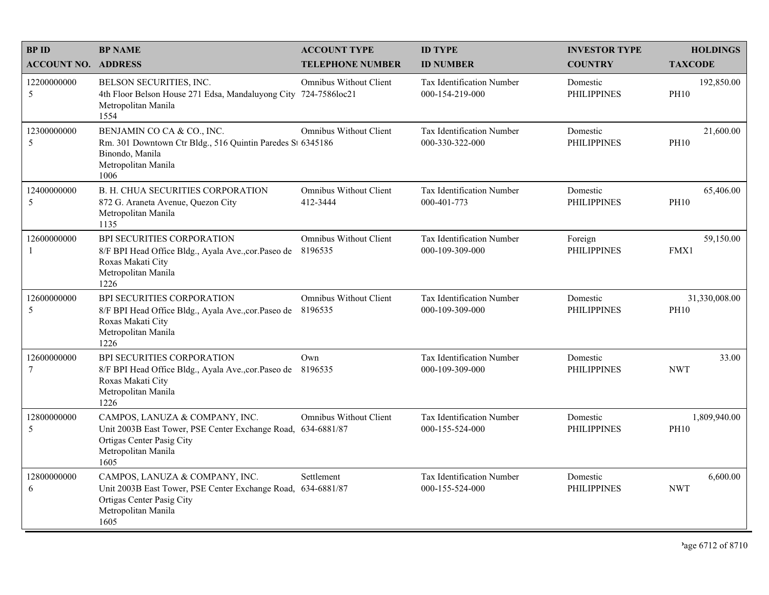| <b>BPID</b>                | <b>BP NAME</b>                                                                                                                                             | <b>ACCOUNT TYPE</b>                       | <b>ID TYPE</b>                                      | <b>INVESTOR TYPE</b>           | <b>HOLDINGS</b>              |
|----------------------------|------------------------------------------------------------------------------------------------------------------------------------------------------------|-------------------------------------------|-----------------------------------------------------|--------------------------------|------------------------------|
| <b>ACCOUNT NO. ADDRESS</b> |                                                                                                                                                            | <b>TELEPHONE NUMBER</b>                   | <b>ID NUMBER</b>                                    | <b>COUNTRY</b>                 | <b>TAXCODE</b>               |
| 12200000000<br>5           | BELSON SECURITIES, INC.<br>4th Floor Belson House 271 Edsa, Mandaluyong City 724-7586loc21<br>Metropolitan Manila<br>1554                                  | <b>Omnibus Without Client</b>             | Tax Identification Number<br>000-154-219-000        | Domestic<br><b>PHILIPPINES</b> | 192,850.00<br><b>PH10</b>    |
| 12300000000<br>5           | BENJAMIN CO CA & CO., INC.<br>Rm. 301 Downtown Ctr Bldg., 516 Quintin Paredes St 6345186<br>Binondo, Manila<br>Metropolitan Manila<br>1006                 | <b>Omnibus Without Client</b>             | Tax Identification Number<br>000-330-322-000        | Domestic<br><b>PHILIPPINES</b> | 21,600.00<br><b>PH10</b>     |
| 12400000000<br>5           | B. H. CHUA SECURITIES CORPORATION<br>872 G. Araneta Avenue, Quezon City<br>Metropolitan Manila<br>1135                                                     | <b>Omnibus Without Client</b><br>412-3444 | Tax Identification Number<br>000-401-773            | Domestic<br><b>PHILIPPINES</b> | 65,406.00<br><b>PH10</b>     |
| 12600000000<br>-1          | BPI SECURITIES CORPORATION<br>8/F BPI Head Office Bldg., Ayala Ave., cor. Paseo de<br>Roxas Makati City<br>Metropolitan Manila<br>1226                     | <b>Omnibus Without Client</b><br>8196535  | Tax Identification Number<br>000-109-309-000        | Foreign<br><b>PHILIPPINES</b>  | 59,150.00<br>FMX1            |
| 12600000000<br>5           | BPI SECURITIES CORPORATION<br>8/F BPI Head Office Bldg., Ayala Ave., cor. Paseo de 8196535<br>Roxas Makati City<br>Metropolitan Manila<br>1226             | <b>Omnibus Without Client</b>             | Tax Identification Number<br>000-109-309-000        | Domestic<br><b>PHILIPPINES</b> | 31,330,008.00<br><b>PH10</b> |
| 12600000000<br>$\tau$      | BPI SECURITIES CORPORATION<br>8/F BPI Head Office Bldg., Ayala Ave., cor. Paseo de<br>Roxas Makati City<br>Metropolitan Manila<br>1226                     | Own<br>8196535                            | Tax Identification Number<br>000-109-309-000        | Domestic<br><b>PHILIPPINES</b> | 33.00<br><b>NWT</b>          |
| 12800000000<br>5           | CAMPOS, LANUZA & COMPANY, INC.<br>Unit 2003B East Tower, PSE Center Exchange Road, 634-6881/87<br>Ortigas Center Pasig City<br>Metropolitan Manila<br>1605 | <b>Omnibus Without Client</b>             | <b>Tax Identification Number</b><br>000-155-524-000 | Domestic<br><b>PHILIPPINES</b> | 1,809,940.00<br><b>PH10</b>  |
| 12800000000<br>6           | CAMPOS, LANUZA & COMPANY, INC.<br>Unit 2003B East Tower, PSE Center Exchange Road, 634-6881/87<br>Ortigas Center Pasig City<br>Metropolitan Manila<br>1605 | Settlement                                | Tax Identification Number<br>000-155-524-000        | Domestic<br><b>PHILIPPINES</b> | 6,600.00<br><b>NWT</b>       |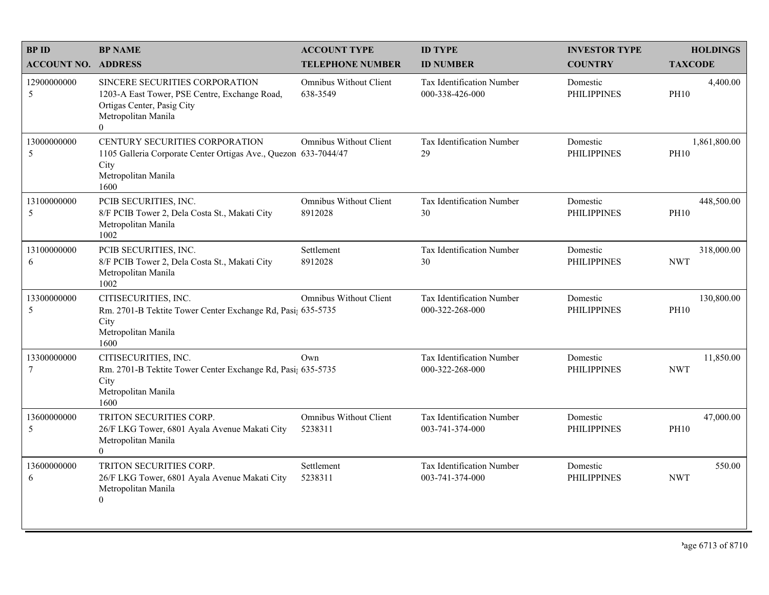| <b>BPID</b>                | <b>BP NAME</b>                                                                                                                                   | <b>ACCOUNT TYPE</b>                       | <b>ID TYPE</b>                                      | <b>INVESTOR TYPE</b>           | <b>HOLDINGS</b>             |
|----------------------------|--------------------------------------------------------------------------------------------------------------------------------------------------|-------------------------------------------|-----------------------------------------------------|--------------------------------|-----------------------------|
| <b>ACCOUNT NO. ADDRESS</b> |                                                                                                                                                  | <b>TELEPHONE NUMBER</b>                   | <b>ID NUMBER</b>                                    | <b>COUNTRY</b>                 | <b>TAXCODE</b>              |
| 12900000000<br>5           | SINCERE SECURITIES CORPORATION<br>1203-A East Tower, PSE Centre, Exchange Road,<br>Ortigas Center, Pasig City<br>Metropolitan Manila<br>$\theta$ | <b>Omnibus Without Client</b><br>638-3549 | <b>Tax Identification Number</b><br>000-338-426-000 | Domestic<br><b>PHILIPPINES</b> | 4,400.00<br><b>PH10</b>     |
| 13000000000<br>5           | CENTURY SECURITIES CORPORATION<br>1105 Galleria Corporate Center Ortigas Ave., Quezon 633-7044/47<br>City<br>Metropolitan Manila<br>1600         | <b>Omnibus Without Client</b>             | Tax Identification Number<br>29                     | Domestic<br><b>PHILIPPINES</b> | 1,861,800.00<br><b>PH10</b> |
| 13100000000<br>5           | PCIB SECURITIES, INC.<br>8/F PCIB Tower 2, Dela Costa St., Makati City<br>Metropolitan Manila<br>1002                                            | <b>Omnibus Without Client</b><br>8912028  | Tax Identification Number<br>30                     | Domestic<br><b>PHILIPPINES</b> | 448,500.00<br><b>PH10</b>   |
| 13100000000<br>6           | PCIB SECURITIES, INC.<br>8/F PCIB Tower 2, Dela Costa St., Makati City<br>Metropolitan Manila<br>1002                                            | Settlement<br>8912028                     | Tax Identification Number<br>30                     | Domestic<br><b>PHILIPPINES</b> | 318,000.00<br><b>NWT</b>    |
| 13300000000<br>5           | CITISECURITIES, INC.<br>Rm. 2701-B Tektite Tower Center Exchange Rd, Pasi; 635-5735<br>City<br>Metropolitan Manila<br>1600                       | <b>Omnibus Without Client</b>             | Tax Identification Number<br>000-322-268-000        | Domestic<br><b>PHILIPPINES</b> | 130,800.00<br><b>PH10</b>   |
| 13300000000<br>7           | CITISECURITIES, INC.<br>Rm. 2701-B Tektite Tower Center Exchange Rd, Pasi; 635-5735<br>City<br>Metropolitan Manila<br>1600                       | Own                                       | Tax Identification Number<br>000-322-268-000        | Domestic<br><b>PHILIPPINES</b> | 11,850.00<br><b>NWT</b>     |
| 13600000000<br>5           | TRITON SECURITIES CORP.<br>26/F LKG Tower, 6801 Ayala Avenue Makati City<br>Metropolitan Manila<br>$\mathbf{0}$                                  | <b>Omnibus Without Client</b><br>5238311  | Tax Identification Number<br>003-741-374-000        | Domestic<br><b>PHILIPPINES</b> | 47,000.00<br><b>PH10</b>    |
| 13600000000<br>6           | TRITON SECURITIES CORP.<br>26/F LKG Tower, 6801 Ayala Avenue Makati City<br>Metropolitan Manila<br>$\overline{0}$                                | Settlement<br>5238311                     | Tax Identification Number<br>003-741-374-000        | Domestic<br>PHILIPPINES        | 550.00<br><b>NWT</b>        |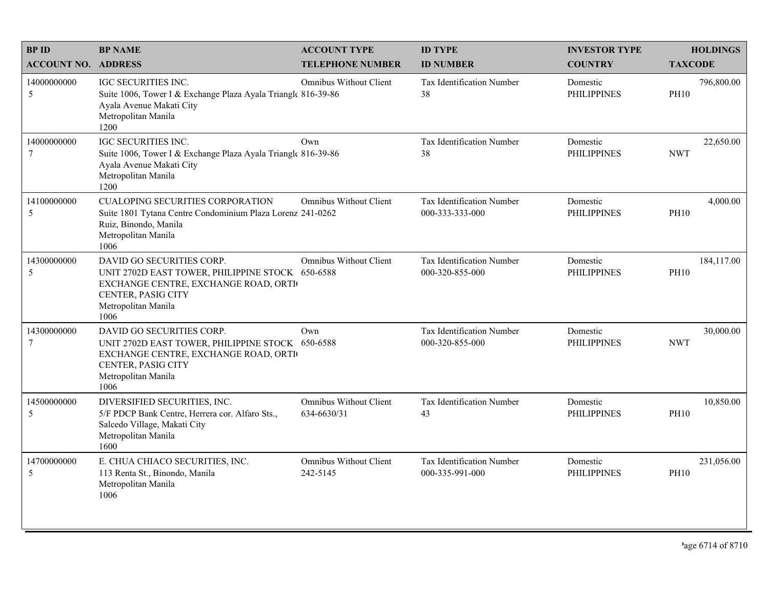| <b>BPID</b>                    | <b>BP NAME</b>                                                                                                                                                             | <b>ACCOUNT TYPE</b>                          | <b>ID TYPE</b>                                      | <b>INVESTOR TYPE</b>           | <b>HOLDINGS</b>           |
|--------------------------------|----------------------------------------------------------------------------------------------------------------------------------------------------------------------------|----------------------------------------------|-----------------------------------------------------|--------------------------------|---------------------------|
| <b>ACCOUNT NO. ADDRESS</b>     |                                                                                                                                                                            | <b>TELEPHONE NUMBER</b>                      | <b>ID NUMBER</b>                                    | <b>COUNTRY</b>                 | <b>TAXCODE</b>            |
| 14000000000<br>5               | IGC SECURITIES INC.<br>Suite 1006, Tower I & Exchange Plaza Ayala Triangle 816-39-86<br>Ayala Avenue Makati City<br>Metropolitan Manila<br>1200                            | Omnibus Without Client                       | <b>Tax Identification Number</b><br>38              | Domestic<br><b>PHILIPPINES</b> | 796,800.00<br><b>PH10</b> |
| 14000000000<br>7               | IGC SECURITIES INC.<br>Suite 1006, Tower I & Exchange Plaza Ayala Triangle 816-39-86<br>Ayala Avenue Makati City<br>Metropolitan Manila<br>1200                            | Own                                          | Tax Identification Number<br>38                     | Domestic<br><b>PHILIPPINES</b> | 22,650.00<br><b>NWT</b>   |
| 14100000000<br>5               | <b>CUALOPING SECURITIES CORPORATION</b><br>Suite 1801 Tytana Centre Condominium Plaza Lorenz 241-0262<br>Ruiz, Binondo, Manila<br>Metropolitan Manila<br>1006              | <b>Omnibus Without Client</b>                | Tax Identification Number<br>000-333-333-000        | Domestic<br><b>PHILIPPINES</b> | 4,000.00<br><b>PH10</b>   |
| 14300000000<br>5               | DAVID GO SECURITIES CORP.<br>UNIT 2702D EAST TOWER, PHILIPPINE STOCK 650-6588<br>EXCHANGE CENTRE, EXCHANGE ROAD, ORTI<br>CENTER, PASIG CITY<br>Metropolitan Manila<br>1006 | Omnibus Without Client                       | Tax Identification Number<br>000-320-855-000        | Domestic<br><b>PHILIPPINES</b> | 184,117.00<br><b>PH10</b> |
| 14300000000<br>$7\phantom{.0}$ | DAVID GO SECURITIES CORP.<br>UNIT 2702D EAST TOWER, PHILIPPINE STOCK 650-6588<br>EXCHANGE CENTRE, EXCHANGE ROAD, ORTI<br>CENTER, PASIG CITY<br>Metropolitan Manila<br>1006 | Own                                          | Tax Identification Number<br>000-320-855-000        | Domestic<br><b>PHILIPPINES</b> | 30,000.00<br><b>NWT</b>   |
| 14500000000<br>5               | DIVERSIFIED SECURITIES, INC.<br>5/F PDCP Bank Centre, Herrera cor. Alfaro Sts.,<br>Salcedo Village, Makati City<br>Metropolitan Manila<br>1600                             | <b>Omnibus Without Client</b><br>634-6630/31 | Tax Identification Number<br>43                     | Domestic<br><b>PHILIPPINES</b> | 10,850.00<br><b>PH10</b>  |
| 14700000000<br>5               | E. CHUA CHIACO SECURITIES, INC.<br>113 Renta St., Binondo, Manila<br>Metropolitan Manila<br>1006                                                                           | <b>Omnibus Without Client</b><br>242-5145    | <b>Tax Identification Number</b><br>000-335-991-000 | Domestic<br><b>PHILIPPINES</b> | 231,056.00<br><b>PH10</b> |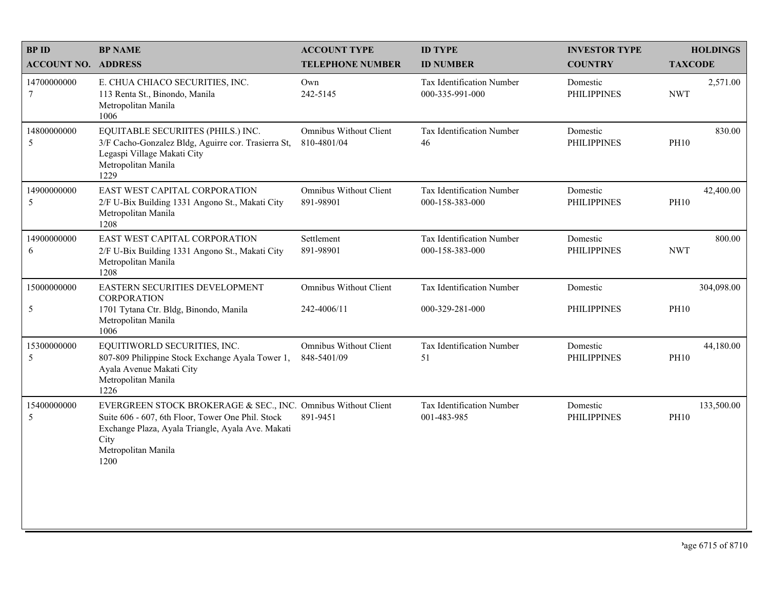| <b>BPID</b>                | <b>BP NAME</b>                                                                                                                                                                                                 | <b>ACCOUNT TYPE</b>                          | <b>ID TYPE</b>                                      | <b>INVESTOR TYPE</b>           | <b>HOLDINGS</b>           |
|----------------------------|----------------------------------------------------------------------------------------------------------------------------------------------------------------------------------------------------------------|----------------------------------------------|-----------------------------------------------------|--------------------------------|---------------------------|
| <b>ACCOUNT NO. ADDRESS</b> |                                                                                                                                                                                                                | <b>TELEPHONE NUMBER</b>                      | <b>ID NUMBER</b>                                    | <b>COUNTRY</b>                 | <b>TAXCODE</b>            |
| 14700000000<br>7           | E. CHUA CHIACO SECURITIES, INC.<br>113 Renta St., Binondo, Manila<br>Metropolitan Manila<br>1006                                                                                                               | Own<br>242-5145                              | Tax Identification Number<br>000-335-991-000        | Domestic<br><b>PHILIPPINES</b> | 2,571.00<br><b>NWT</b>    |
| 14800000000<br>5           | EQUITABLE SECURIITES (PHILS.) INC.<br>3/F Cacho-Gonzalez Bldg, Aguirre cor. Trasierra St,<br>Legaspi Village Makati City<br>Metropolitan Manila<br>1229                                                        | <b>Omnibus Without Client</b><br>810-4801/04 | Tax Identification Number<br>46                     | Domestic<br><b>PHILIPPINES</b> | 830.00<br><b>PH10</b>     |
| 14900000000<br>5           | EAST WEST CAPITAL CORPORATION<br>2/F U-Bix Building 1331 Angono St., Makati City<br>Metropolitan Manila<br>1208                                                                                                | <b>Omnibus Without Client</b><br>891-98901   | Tax Identification Number<br>000-158-383-000        | Domestic<br><b>PHILIPPINES</b> | 42,400.00<br><b>PH10</b>  |
| 14900000000<br>6           | EAST WEST CAPITAL CORPORATION<br>2/F U-Bix Building 1331 Angono St., Makati City<br>Metropolitan Manila<br>1208                                                                                                | Settlement<br>891-98901                      | <b>Tax Identification Number</b><br>000-158-383-000 | Domestic<br><b>PHILIPPINES</b> | 800.00<br><b>NWT</b>      |
| 15000000000                | EASTERN SECURITIES DEVELOPMENT<br><b>CORPORATION</b>                                                                                                                                                           | <b>Omnibus Without Client</b>                | Tax Identification Number                           | Domestic                       | 304,098.00                |
| 5                          | 1701 Tytana Ctr. Bldg, Binondo, Manila<br>Metropolitan Manila<br>1006                                                                                                                                          | 242-4006/11                                  | 000-329-281-000                                     | <b>PHILIPPINES</b>             | <b>PH10</b>               |
| 15300000000<br>5           | EQUITIWORLD SECURITIES, INC.<br>807-809 Philippine Stock Exchange Ayala Tower 1,<br>Ayala Avenue Makati City<br>Metropolitan Manila<br>1226                                                                    | <b>Omnibus Without Client</b><br>848-5401/09 | Tax Identification Number<br>51                     | Domestic<br><b>PHILIPPINES</b> | 44,180.00<br><b>PH10</b>  |
| 15400000000<br>5           | EVERGREEN STOCK BROKERAGE & SEC., INC. Omnibus Without Client<br>Suite 606 - 607, 6th Floor, Tower One Phil. Stock<br>Exchange Plaza, Ayala Triangle, Ayala Ave. Makati<br>City<br>Metropolitan Manila<br>1200 | 891-9451                                     | Tax Identification Number<br>001-483-985            | Domestic<br><b>PHILIPPINES</b> | 133,500.00<br><b>PH10</b> |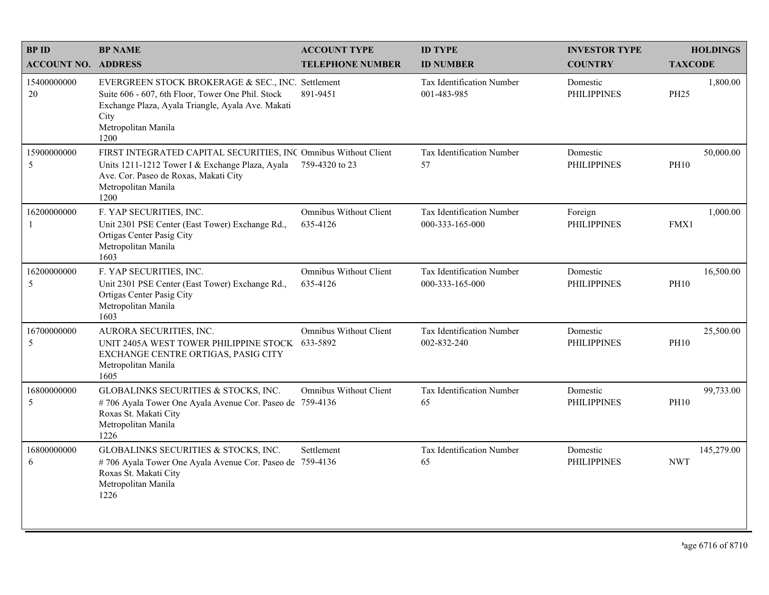| <b>BPID</b>                | <b>BP NAME</b>                                                                                                                                                                                     | <b>ACCOUNT TYPE</b>                       | <b>ID TYPE</b>                               | <b>INVESTOR TYPE</b>           | <b>HOLDINGS</b>          |
|----------------------------|----------------------------------------------------------------------------------------------------------------------------------------------------------------------------------------------------|-------------------------------------------|----------------------------------------------|--------------------------------|--------------------------|
| <b>ACCOUNT NO. ADDRESS</b> |                                                                                                                                                                                                    | <b>TELEPHONE NUMBER</b>                   | <b>ID NUMBER</b>                             | <b>COUNTRY</b>                 | <b>TAXCODE</b>           |
| 15400000000<br>20          | EVERGREEN STOCK BROKERAGE & SEC., INC. Settlement<br>Suite 606 - 607, 6th Floor, Tower One Phil. Stock<br>Exchange Plaza, Ayala Triangle, Ayala Ave. Makati<br>City<br>Metropolitan Manila<br>1200 | 891-9451                                  | Tax Identification Number<br>001-483-985     | Domestic<br><b>PHILIPPINES</b> | 1,800.00<br><b>PH25</b>  |
| 15900000000<br>5           | FIRST INTEGRATED CAPITAL SECURITIES, INC Omnibus Without Client<br>Units 1211-1212 Tower I & Exchange Plaza, Ayala<br>Ave. Cor. Paseo de Roxas, Makati City<br>Metropolitan Manila<br>1200         | 759-4320 to 23                            | Tax Identification Number<br>57              | Domestic<br><b>PHILIPPINES</b> | 50,000.00<br><b>PH10</b> |
| 16200000000<br>-1          | F. YAP SECURITIES, INC.<br>Unit 2301 PSE Center (East Tower) Exchange Rd.,<br>Ortigas Center Pasig City<br>Metropolitan Manila<br>1603                                                             | <b>Omnibus Without Client</b><br>635-4126 | Tax Identification Number<br>000-333-165-000 | Foreign<br><b>PHILIPPINES</b>  | 1,000.00<br>FMX1         |
| 16200000000<br>5           | F. YAP SECURITIES, INC.<br>Unit 2301 PSE Center (East Tower) Exchange Rd.,<br>Ortigas Center Pasig City<br>Metropolitan Manila<br>1603                                                             | <b>Omnibus Without Client</b><br>635-4126 | Tax Identification Number<br>000-333-165-000 | Domestic<br><b>PHILIPPINES</b> | 16,500.00<br><b>PH10</b> |
| 16700000000<br>5           | AURORA SECURITIES, INC.<br>UNIT 2405A WEST TOWER PHILIPPINE STOCK<br>EXCHANGE CENTRE ORTIGAS, PASIG CITY<br>Metropolitan Manila<br>1605                                                            | <b>Omnibus Without Client</b><br>633-5892 | Tax Identification Number<br>002-832-240     | Domestic<br><b>PHILIPPINES</b> | 25,500.00<br><b>PH10</b> |
| 16800000000<br>5           | GLOBALINKS SECURITIES & STOCKS, INC.<br>#706 Ayala Tower One Ayala Avenue Cor. Paseo de 759-4136<br>Roxas St. Makati City<br>Metropolitan Manila<br>1226                                           | <b>Omnibus Without Client</b>             | Tax Identification Number<br>65              | Domestic<br><b>PHILIPPINES</b> | 99,733.00<br><b>PH10</b> |
| 16800000000<br>6           | GLOBALINKS SECURITIES & STOCKS, INC.<br>#706 Ayala Tower One Ayala Avenue Cor. Paseo de 759-4136<br>Roxas St. Makati City<br>Metropolitan Manila<br>1226                                           | Settlement                                | Tax Identification Number<br>65              | Domestic<br><b>PHILIPPINES</b> | 145,279.00<br><b>NWT</b> |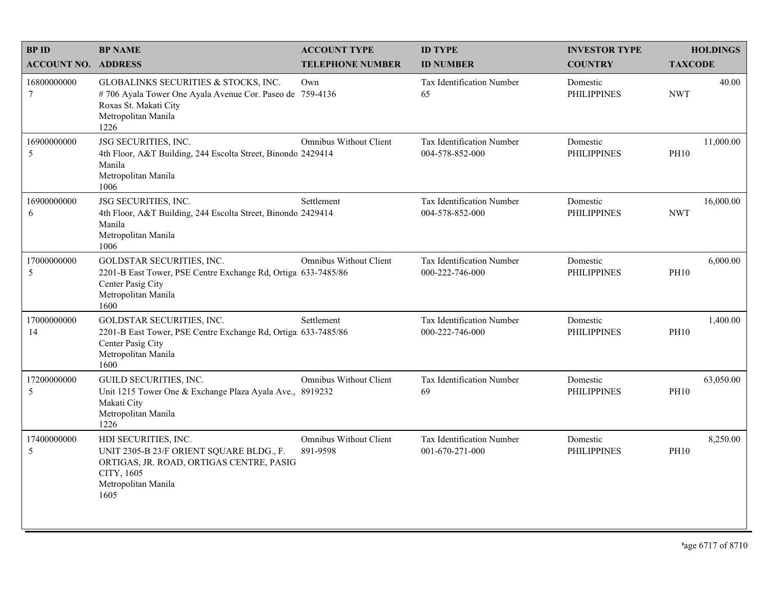| <b>BPID</b>                | <b>BP NAME</b>                                                                                                                                            | <b>ACCOUNT TYPE</b>                | <b>ID TYPE</b>                               | <b>INVESTOR TYPE</b>           | <b>HOLDINGS</b>          |
|----------------------------|-----------------------------------------------------------------------------------------------------------------------------------------------------------|------------------------------------|----------------------------------------------|--------------------------------|--------------------------|
| <b>ACCOUNT NO. ADDRESS</b> |                                                                                                                                                           | <b>TELEPHONE NUMBER</b>            | <b>ID NUMBER</b>                             | <b>COUNTRY</b>                 | <b>TAXCODE</b>           |
| 16800000000<br>$\tau$      | GLOBALINKS SECURITIES & STOCKS, INC.<br>#706 Ayala Tower One Ayala Avenue Cor. Paseo de 759-4136<br>Roxas St. Makati City<br>Metropolitan Manila<br>1226  | Own                                | <b>Tax Identification Number</b><br>65       | Domestic<br><b>PHILIPPINES</b> | 40.00<br><b>NWT</b>      |
| 16900000000<br>5           | JSG SECURITIES, INC.<br>4th Floor, A&T Building, 244 Escolta Street, Binondo 2429414<br>Manila<br>Metropolitan Manila<br>1006                             | <b>Omnibus Without Client</b>      | Tax Identification Number<br>004-578-852-000 | Domestic<br><b>PHILIPPINES</b> | 11,000.00<br><b>PH10</b> |
| 16900000000<br>6           | JSG SECURITIES, INC.<br>4th Floor, A&T Building, 244 Escolta Street, Binondo 2429414<br>Manila<br>Metropolitan Manila<br>1006                             | Settlement                         | Tax Identification Number<br>004-578-852-000 | Domestic<br><b>PHILIPPINES</b> | 16,000.00<br><b>NWT</b>  |
| 17000000000<br>5           | GOLDSTAR SECURITIES, INC.<br>2201-B East Tower, PSE Centre Exchange Rd, Ortiga 633-7485/86<br>Center Pasig City<br>Metropolitan Manila<br>1600            | <b>Omnibus Without Client</b>      | Tax Identification Number<br>000-222-746-000 | Domestic<br><b>PHILIPPINES</b> | 6,000.00<br><b>PH10</b>  |
| 17000000000<br>14          | GOLDSTAR SECURITIES, INC.<br>2201-B East Tower, PSE Centre Exchange Rd, Ortiga 633-7485/86<br>Center Pasig City<br>Metropolitan Manila<br>1600            | Settlement                         | Tax Identification Number<br>000-222-746-000 | Domestic<br><b>PHILIPPINES</b> | 1,400.00<br><b>PH10</b>  |
| 17200000000<br>5           | GUILD SECURITIES, INC.<br>Unit 1215 Tower One & Exchange Plaza Ayala Ave., 8919232<br>Makati City<br>Metropolitan Manila<br>1226                          | Omnibus Without Client             | Tax Identification Number<br>69              | Domestic<br><b>PHILIPPINES</b> | 63,050.00<br><b>PH10</b> |
| 17400000000<br>5           | HDI SECURITIES, INC.<br>UNIT 2305-B 23/F ORIENT SQUARE BLDG., F.<br>ORTIGAS, JR. ROAD, ORTIGAS CENTRE, PASIG<br>CITY, 1605<br>Metropolitan Manila<br>1605 | Omnibus Without Client<br>891-9598 | Tax Identification Number<br>001-670-271-000 | Domestic<br><b>PHILIPPINES</b> | 8,250.00<br><b>PH10</b>  |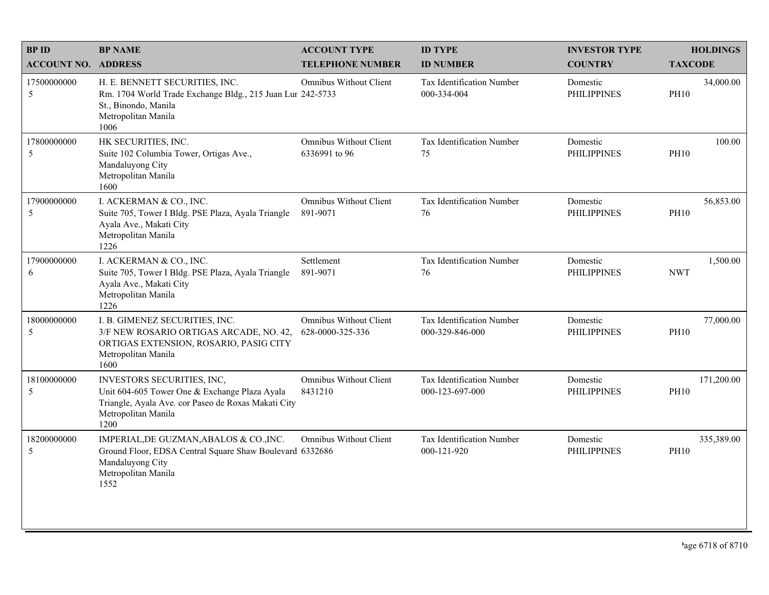| <b>BPID</b>                | <b>BP NAME</b>                                                                                                                                                    | <b>ACCOUNT TYPE</b>                               | <b>ID TYPE</b>                                      | <b>INVESTOR TYPE</b>           | <b>HOLDINGS</b>           |
|----------------------------|-------------------------------------------------------------------------------------------------------------------------------------------------------------------|---------------------------------------------------|-----------------------------------------------------|--------------------------------|---------------------------|
| <b>ACCOUNT NO. ADDRESS</b> |                                                                                                                                                                   | <b>TELEPHONE NUMBER</b>                           | <b>ID NUMBER</b>                                    | <b>COUNTRY</b>                 | <b>TAXCODE</b>            |
| 17500000000<br>5           | H. E. BENNETT SECURITIES, INC.<br>Rm. 1704 World Trade Exchange Bldg., 215 Juan Lur 242-5733<br>St., Binondo, Manila<br>Metropolitan Manila<br>1006               | Omnibus Without Client                            | <b>Tax Identification Number</b><br>000-334-004     | Domestic<br><b>PHILIPPINES</b> | 34,000.00<br><b>PH10</b>  |
| 17800000000<br>5           | HK SECURITIES, INC.<br>Suite 102 Columbia Tower, Ortigas Ave.,<br>Mandaluyong City<br>Metropolitan Manila<br>1600                                                 | Omnibus Without Client<br>6336991 to 96           | Tax Identification Number<br>75                     | Domestic<br><b>PHILIPPINES</b> | 100.00<br><b>PH10</b>     |
| 17900000000<br>5           | I. ACKERMAN & CO., INC.<br>Suite 705, Tower I Bldg. PSE Plaza, Ayala Triangle<br>Ayala Ave., Makati City<br>Metropolitan Manila<br>1226                           | <b>Omnibus Without Client</b><br>891-9071         | Tax Identification Number<br>76                     | Domestic<br><b>PHILIPPINES</b> | 56,853.00<br><b>PH10</b>  |
| 17900000000<br>6           | I. ACKERMAN & CO., INC.<br>Suite 705, Tower I Bldg. PSE Plaza, Ayala Triangle<br>Ayala Ave., Makati City<br>Metropolitan Manila<br>1226                           | Settlement<br>891-9071                            | Tax Identification Number<br>76                     | Domestic<br><b>PHILIPPINES</b> | 1,500.00<br><b>NWT</b>    |
| 18000000000<br>5           | I. B. GIMENEZ SECURITIES, INC.<br>3/F NEW ROSARIO ORTIGAS ARCADE, NO. 42,<br>ORTIGAS EXTENSION, ROSARIO, PASIG CITY<br>Metropolitan Manila<br>1600                | <b>Omnibus Without Client</b><br>628-0000-325-336 | <b>Tax Identification Number</b><br>000-329-846-000 | Domestic<br><b>PHILIPPINES</b> | 77,000.00<br><b>PH10</b>  |
| 18100000000<br>5           | INVESTORS SECURITIES, INC,<br>Unit 604-605 Tower One & Exchange Plaza Ayala<br>Triangle, Ayala Ave. cor Paseo de Roxas Makati City<br>Metropolitan Manila<br>1200 | Omnibus Without Client<br>8431210                 | Tax Identification Number<br>000-123-697-000        | Domestic<br><b>PHILIPPINES</b> | 171,200.00<br><b>PH10</b> |
| 18200000000<br>5           | IMPERIAL, DE GUZMAN, ABALOS & CO., INC.<br>Ground Floor, EDSA Central Square Shaw Boulevard 6332686<br>Mandaluyong City<br>Metropolitan Manila<br>1552            | <b>Omnibus Without Client</b>                     | Tax Identification Number<br>000-121-920            | Domestic<br><b>PHILIPPINES</b> | 335,389.00<br><b>PH10</b> |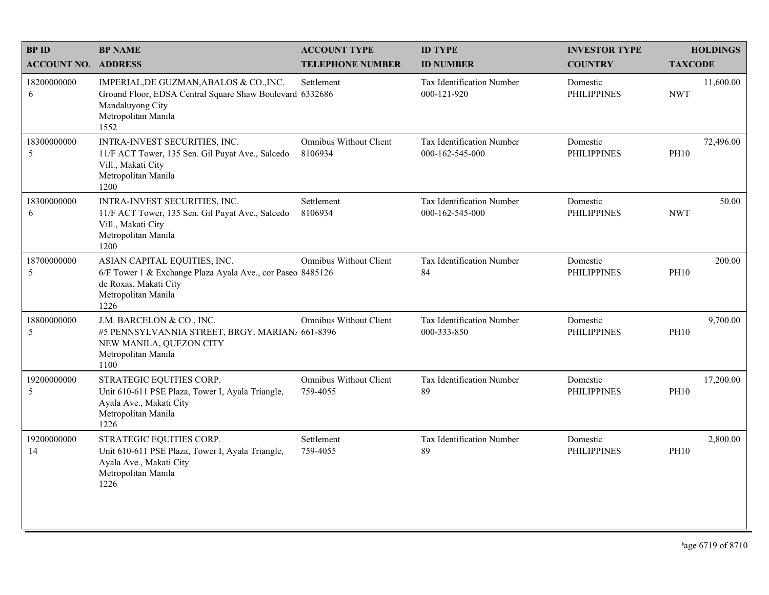| <b>BPID</b>                | <b>BP NAME</b>                                                                                                                                         | <b>ACCOUNT TYPE</b>                       | <b>ID TYPE</b>                                  | <b>INVESTOR TYPE</b>           | <b>HOLDINGS</b>          |
|----------------------------|--------------------------------------------------------------------------------------------------------------------------------------------------------|-------------------------------------------|-------------------------------------------------|--------------------------------|--------------------------|
| <b>ACCOUNT NO. ADDRESS</b> |                                                                                                                                                        | <b>TELEPHONE NUMBER</b>                   | <b>ID NUMBER</b>                                | <b>COUNTRY</b>                 | <b>TAXCODE</b>           |
| 18200000000<br>6           | IMPERIAL, DE GUZMAN, ABALOS & CO., INC.<br>Ground Floor, EDSA Central Square Shaw Boulevard 6332686<br>Mandaluyong City<br>Metropolitan Manila<br>1552 | Settlement                                | <b>Tax Identification Number</b><br>000-121-920 | Domestic<br><b>PHILIPPINES</b> | 11,600.00<br><b>NWT</b>  |
| 18300000000<br>5           | INTRA-INVEST SECURITIES, INC.<br>11/F ACT Tower, 135 Sen. Gil Puyat Ave., Salcedo<br>Vill., Makati City<br>Metropolitan Manila<br>1200                 | Omnibus Without Client<br>8106934         | Tax Identification Number<br>000-162-545-000    | Domestic<br><b>PHILIPPINES</b> | 72,496.00<br><b>PH10</b> |
| 18300000000<br>6           | INTRA-INVEST SECURITIES, INC.<br>11/F ACT Tower, 135 Sen. Gil Puyat Ave., Salcedo<br>Vill., Makati City<br>Metropolitan Manila<br>1200                 | Settlement<br>8106934                     | Tax Identification Number<br>000-162-545-000    | Domestic<br><b>PHILIPPINES</b> | 50.00<br><b>NWT</b>      |
| 18700000000<br>5           | ASIAN CAPITAL EQUITIES, INC.<br>6/F Tower 1 & Exchange Plaza Ayala Ave., cor Paseo 8485126<br>de Roxas, Makati City<br>Metropolitan Manila<br>1226     | <b>Omnibus Without Client</b>             | Tax Identification Number<br>84                 | Domestic<br><b>PHILIPPINES</b> | 200.00<br><b>PH10</b>    |
| 18800000000<br>5           | J.M. BARCELON & CO., INC.<br>#5 PENNSYLVANNIA STREET, BRGY. MARIAN/ 661-8396<br>NEW MANILA, QUEZON CITY<br>Metropolitan Manila<br>1100                 | Omnibus Without Client                    | Tax Identification Number<br>000-333-850        | Domestic<br><b>PHILIPPINES</b> | 9,700.00<br><b>PH10</b>  |
| 19200000000<br>5           | STRATEGIC EQUITIES CORP.<br>Unit 610-611 PSE Plaza, Tower I, Ayala Triangle,<br>Ayala Ave., Makati City<br>Metropolitan Manila<br>1226                 | <b>Omnibus Without Client</b><br>759-4055 | Tax Identification Number<br>89                 | Domestic<br><b>PHILIPPINES</b> | 17,200.00<br><b>PH10</b> |
| 19200000000<br>14          | STRATEGIC EQUITIES CORP.<br>Unit 610-611 PSE Plaza, Tower I, Ayala Triangle,<br>Ayala Ave., Makati City<br>Metropolitan Manila<br>1226                 | Settlement<br>759-4055                    | Tax Identification Number<br>89                 | Domestic<br><b>PHILIPPINES</b> | 2,800.00<br><b>PH10</b>  |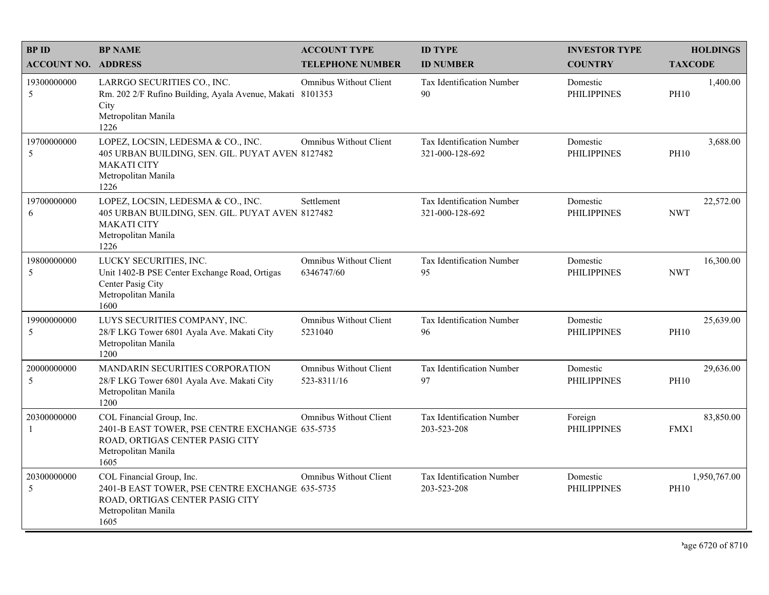| <b>BPID</b>                 | <b>BP NAME</b>                                                                                                                                 | <b>ACCOUNT TYPE</b>                          | <b>ID TYPE</b>                               | <b>INVESTOR TYPE</b>           | <b>HOLDINGS</b>             |
|-----------------------------|------------------------------------------------------------------------------------------------------------------------------------------------|----------------------------------------------|----------------------------------------------|--------------------------------|-----------------------------|
| <b>ACCOUNT NO. ADDRESS</b>  |                                                                                                                                                | <b>TELEPHONE NUMBER</b>                      | <b>ID NUMBER</b>                             | <b>COUNTRY</b>                 | <b>TAXCODE</b>              |
| 19300000000<br>5            | LARRGO SECURITIES CO., INC.<br>Rm. 202 2/F Rufino Building, Ayala Avenue, Makati 8101353<br>City<br>Metropolitan Manila<br>1226                | Omnibus Without Client                       | <b>Tax Identification Number</b><br>90       | Domestic<br><b>PHILIPPINES</b> | 1,400.00<br><b>PH10</b>     |
| 19700000000<br>5            | LOPEZ, LOCSIN, LEDESMA & CO., INC.<br>405 URBAN BUILDING, SEN. GIL. PUYAT AVEN 8127482<br><b>MAKATI CITY</b><br>Metropolitan Manila<br>1226    | Omnibus Without Client                       | Tax Identification Number<br>321-000-128-692 | Domestic<br><b>PHILIPPINES</b> | 3,688.00<br><b>PH10</b>     |
| 19700000000<br>6            | LOPEZ, LOCSIN, LEDESMA & CO., INC.<br>405 URBAN BUILDING, SEN. GIL. PUYAT AVEN 8127482<br><b>MAKATI CITY</b><br>Metropolitan Manila<br>1226    | Settlement                                   | Tax Identification Number<br>321-000-128-692 | Domestic<br><b>PHILIPPINES</b> | 22,572.00<br><b>NWT</b>     |
| 19800000000<br>5            | LUCKY SECURITIES, INC.<br>Unit 1402-B PSE Center Exchange Road, Ortigas<br>Center Pasig City<br>Metropolitan Manila<br>1600                    | <b>Omnibus Without Client</b><br>6346747/60  | Tax Identification Number<br>95              | Domestic<br><b>PHILIPPINES</b> | 16,300.00<br><b>NWT</b>     |
| 19900000000<br>5            | LUYS SECURITIES COMPANY, INC.<br>28/F LKG Tower 6801 Ayala Ave. Makati City<br>Metropolitan Manila<br>1200                                     | <b>Omnibus Without Client</b><br>5231040     | Tax Identification Number<br>96              | Domestic<br><b>PHILIPPINES</b> | 25,639.00<br><b>PH10</b>    |
| 20000000000<br>5            | MANDARIN SECURITIES CORPORATION<br>28/F LKG Tower 6801 Ayala Ave. Makati City<br>Metropolitan Manila<br>1200                                   | <b>Omnibus Without Client</b><br>523-8311/16 | Tax Identification Number<br>97              | Domestic<br><b>PHILIPPINES</b> | 29,636.00<br><b>PH10</b>    |
| 20300000000<br>$\mathbf{1}$ | COL Financial Group, Inc.<br>2401-B EAST TOWER, PSE CENTRE EXCHANGE 635-5735<br>ROAD, ORTIGAS CENTER PASIG CITY<br>Metropolitan Manila<br>1605 | <b>Omnibus Without Client</b>                | Tax Identification Number<br>203-523-208     | Foreign<br><b>PHILIPPINES</b>  | 83,850.00<br>FMX1           |
| 20300000000<br>5            | COL Financial Group, Inc.<br>2401-B EAST TOWER, PSE CENTRE EXCHANGE 635-5735<br>ROAD, ORTIGAS CENTER PASIG CITY<br>Metropolitan Manila<br>1605 | <b>Omnibus Without Client</b>                | Tax Identification Number<br>203-523-208     | Domestic<br><b>PHILIPPINES</b> | 1,950,767.00<br><b>PH10</b> |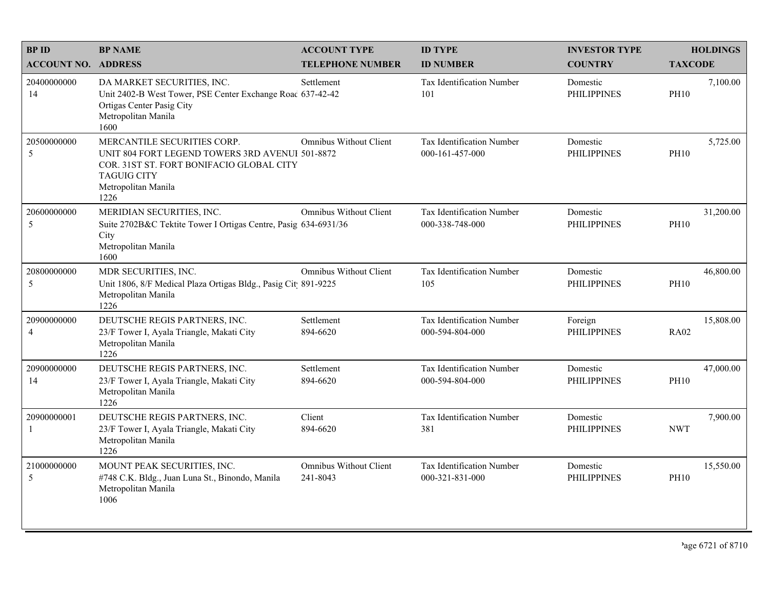| <b>BPID</b>                   | <b>BP NAME</b>                                                                                                                                                                  | <b>ACCOUNT TYPE</b>                       | <b>ID TYPE</b>                               | <b>INVESTOR TYPE</b>           | <b>HOLDINGS</b>          |
|-------------------------------|---------------------------------------------------------------------------------------------------------------------------------------------------------------------------------|-------------------------------------------|----------------------------------------------|--------------------------------|--------------------------|
| <b>ACCOUNT NO. ADDRESS</b>    |                                                                                                                                                                                 | <b>TELEPHONE NUMBER</b>                   | <b>ID NUMBER</b>                             | <b>COUNTRY</b>                 | <b>TAXCODE</b>           |
| 20400000000<br>14             | DA MARKET SECURITIES, INC.<br>Unit 2402-B West Tower, PSE Center Exchange Roac 637-42-42<br>Ortigas Center Pasig City<br>Metropolitan Manila<br>1600                            | Settlement                                | <b>Tax Identification Number</b><br>101      | Domestic<br><b>PHILIPPINES</b> | 7,100.00<br><b>PH10</b>  |
| 20500000000<br>5              | MERCANTILE SECURITIES CORP.<br>UNIT 804 FORT LEGEND TOWERS 3RD AVENUI 501-8872<br>COR. 31ST ST. FORT BONIFACIO GLOBAL CITY<br><b>TAGUIG CITY</b><br>Metropolitan Manila<br>1226 | <b>Omnibus Without Client</b>             | Tax Identification Number<br>000-161-457-000 | Domestic<br><b>PHILIPPINES</b> | 5,725.00<br><b>PH10</b>  |
| 20600000000<br>5              | MERIDIAN SECURITIES, INC.<br>Suite 2702B&C Tektite Tower I Ortigas Centre, Pasig 634-6931/36<br>City<br>Metropolitan Manila<br>1600                                             | <b>Omnibus Without Client</b>             | Tax Identification Number<br>000-338-748-000 | Domestic<br><b>PHILIPPINES</b> | 31,200.00<br><b>PH10</b> |
| 20800000000<br>5              | MDR SECURITIES, INC.<br>Unit 1806, 8/F Medical Plaza Ortigas Bldg., Pasig Cit 891-9225<br>Metropolitan Manila<br>1226                                                           | Omnibus Without Client                    | Tax Identification Number<br>105             | Domestic<br><b>PHILIPPINES</b> | 46,800.00<br><b>PH10</b> |
| 20900000000<br>$\overline{4}$ | DEUTSCHE REGIS PARTNERS, INC.<br>23/F Tower I, Ayala Triangle, Makati City<br>Metropolitan Manila<br>1226                                                                       | Settlement<br>894-6620                    | Tax Identification Number<br>000-594-804-000 | Foreign<br><b>PHILIPPINES</b>  | 15,808.00<br><b>RA02</b> |
| 20900000000<br>14             | DEUTSCHE REGIS PARTNERS, INC.<br>23/F Tower I, Ayala Triangle, Makati City<br>Metropolitan Manila<br>1226                                                                       | Settlement<br>894-6620                    | Tax Identification Number<br>000-594-804-000 | Domestic<br><b>PHILIPPINES</b> | 47,000.00<br><b>PH10</b> |
| 20900000001<br>-1             | DEUTSCHE REGIS PARTNERS, INC.<br>23/F Tower I, Ayala Triangle, Makati City<br>Metropolitan Manila<br>1226                                                                       | Client<br>894-6620                        | Tax Identification Number<br>381             | Domestic<br><b>PHILIPPINES</b> | 7,900.00<br><b>NWT</b>   |
| 21000000000<br>5              | MOUNT PEAK SECURITIES, INC.<br>#748 C.K. Bldg., Juan Luna St., Binondo, Manila<br>Metropolitan Manila<br>1006                                                                   | <b>Omnibus Without Client</b><br>241-8043 | Tax Identification Number<br>000-321-831-000 | Domestic<br><b>PHILIPPINES</b> | 15,550.00<br><b>PH10</b> |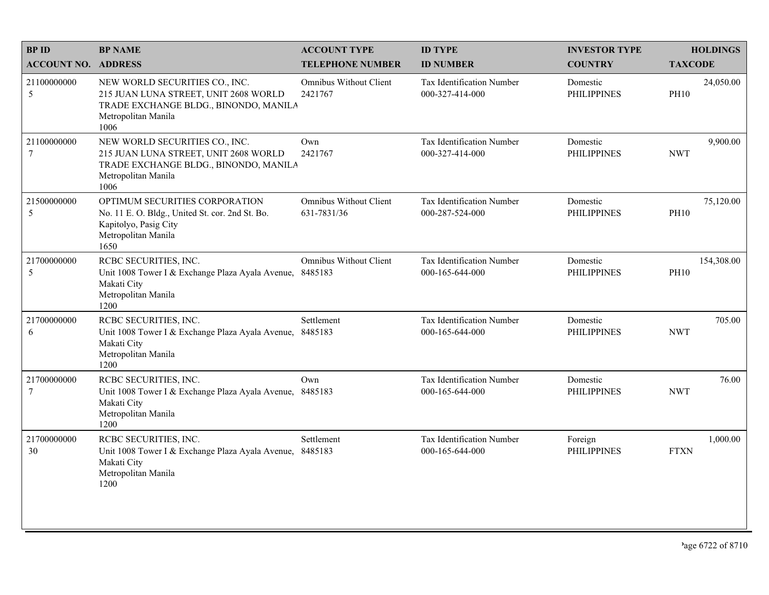| <b>BPID</b>                   | <b>BP NAME</b>                                                                                                                                  | <b>ACCOUNT TYPE</b>                          | <b>ID TYPE</b>                                      | <b>INVESTOR TYPE</b>           | <b>HOLDINGS</b>           |
|-------------------------------|-------------------------------------------------------------------------------------------------------------------------------------------------|----------------------------------------------|-----------------------------------------------------|--------------------------------|---------------------------|
| <b>ACCOUNT NO. ADDRESS</b>    |                                                                                                                                                 | <b>TELEPHONE NUMBER</b>                      | <b>ID NUMBER</b>                                    | <b>COUNTRY</b>                 | <b>TAXCODE</b>            |
| 21100000000<br>5              | NEW WORLD SECURITIES CO., INC.<br>215 JUAN LUNA STREET, UNIT 2608 WORLD<br>TRADE EXCHANGE BLDG., BINONDO, MANILA<br>Metropolitan Manila<br>1006 | <b>Omnibus Without Client</b><br>2421767     | <b>Tax Identification Number</b><br>000-327-414-000 | Domestic<br><b>PHILIPPINES</b> | 24,050.00<br><b>PH10</b>  |
| 21100000000<br>$\overline{7}$ | NEW WORLD SECURITIES CO., INC.<br>215 JUAN LUNA STREET, UNIT 2608 WORLD<br>TRADE EXCHANGE BLDG., BINONDO, MANILA<br>Metropolitan Manila<br>1006 | Own<br>2421767                               | Tax Identification Number<br>000-327-414-000        | Domestic<br><b>PHILIPPINES</b> | 9,900.00<br><b>NWT</b>    |
| 21500000000<br>5              | OPTIMUM SECURITIES CORPORATION<br>No. 11 E. O. Bldg., United St. cor. 2nd St. Bo.<br>Kapitolyo, Pasig City<br>Metropolitan Manila<br>1650       | <b>Omnibus Without Client</b><br>631-7831/36 | Tax Identification Number<br>000-287-524-000        | Domestic<br><b>PHILIPPINES</b> | 75,120.00<br><b>PH10</b>  |
| 21700000000<br>$\sqrt{5}$     | RCBC SECURITIES, INC.<br>Unit 1008 Tower I & Exchange Plaza Ayala Avenue,<br>Makati City<br>Metropolitan Manila<br>1200                         | <b>Omnibus Without Client</b><br>8485183     | Tax Identification Number<br>000-165-644-000        | Domestic<br><b>PHILIPPINES</b> | 154,308.00<br><b>PH10</b> |
| 21700000000<br>6              | RCBC SECURITIES, INC.<br>Unit 1008 Tower I & Exchange Plaza Ayala Avenue,<br>Makati City<br>Metropolitan Manila<br>1200                         | Settlement<br>8485183                        | <b>Tax Identification Number</b><br>000-165-644-000 | Domestic<br><b>PHILIPPINES</b> | 705.00<br><b>NWT</b>      |
| 21700000000<br>$\tau$         | RCBC SECURITIES, INC.<br>Unit 1008 Tower I & Exchange Plaza Ayala Avenue, 8485183<br>Makati City<br>Metropolitan Manila<br>1200                 | Own                                          | <b>Tax Identification Number</b><br>000-165-644-000 | Domestic<br><b>PHILIPPINES</b> | 76.00<br><b>NWT</b>       |
| 21700000000<br>30             | RCBC SECURITIES, INC.<br>Unit 1008 Tower I & Exchange Plaza Ayala Avenue,<br>Makati City<br>Metropolitan Manila<br>1200                         | Settlement<br>8485183                        | <b>Tax Identification Number</b><br>000-165-644-000 | Foreign<br><b>PHILIPPINES</b>  | 1,000.00<br><b>FTXN</b>   |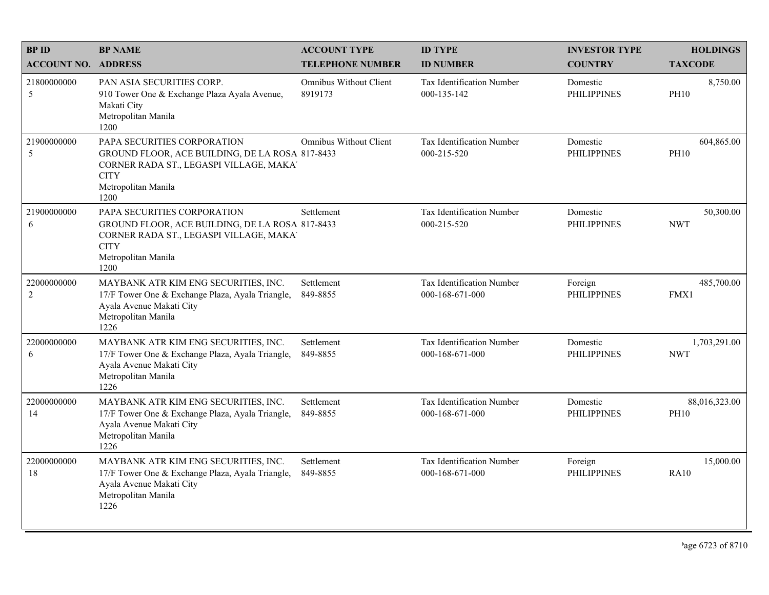| <b>BPID</b>        | <b>BP NAME</b>                                                                                                                                                          | <b>ACCOUNT TYPE</b>               | <b>ID TYPE</b>                                      | <b>INVESTOR TYPE</b>           | <b>HOLDINGS</b><br><b>TAXCODE</b> |
|--------------------|-------------------------------------------------------------------------------------------------------------------------------------------------------------------------|-----------------------------------|-----------------------------------------------------|--------------------------------|-----------------------------------|
| <b>ACCOUNT NO.</b> | <b>ADDRESS</b>                                                                                                                                                          | <b>TELEPHONE NUMBER</b>           | <b>ID NUMBER</b>                                    | <b>COUNTRY</b>                 |                                   |
| 21800000000<br>5   | PAN ASIA SECURITIES CORP.<br>910 Tower One & Exchange Plaza Ayala Avenue,<br>Makati City<br>Metropolitan Manila<br>1200                                                 | Omnibus Without Client<br>8919173 | Tax Identification Number<br>000-135-142            | Domestic<br><b>PHILIPPINES</b> | 8,750.00<br><b>PH10</b>           |
| 21900000000<br>5   | PAPA SECURITIES CORPORATION<br>GROUND FLOOR, ACE BUILDING, DE LA ROSA 817-8433<br>CORNER RADA ST., LEGASPI VILLAGE, MAKA'<br><b>CITY</b><br>Metropolitan Manila<br>1200 | Omnibus Without Client            | Tax Identification Number<br>000-215-520            | Domestic<br><b>PHILIPPINES</b> | 604,865.00<br><b>PH10</b>         |
| 21900000000<br>6   | PAPA SECURITIES CORPORATION<br>GROUND FLOOR, ACE BUILDING, DE LA ROSA 817-8433<br>CORNER RADA ST., LEGASPI VILLAGE, MAKA'<br><b>CITY</b><br>Metropolitan Manila<br>1200 | Settlement                        | Tax Identification Number<br>000-215-520            | Domestic<br><b>PHILIPPINES</b> | 50,300.00<br><b>NWT</b>           |
| 22000000000<br>2   | MAYBANK ATR KIM ENG SECURITIES, INC.<br>17/F Tower One & Exchange Plaza, Ayala Triangle,<br>Ayala Avenue Makati City<br>Metropolitan Manila<br>1226                     | Settlement<br>849-8855            | Tax Identification Number<br>000-168-671-000        | Foreign<br><b>PHILIPPINES</b>  | 485,700.00<br>FMX1                |
| 22000000000<br>6   | MAYBANK ATR KIM ENG SECURITIES, INC.<br>17/F Tower One & Exchange Plaza, Ayala Triangle,<br>Ayala Avenue Makati City<br>Metropolitan Manila<br>1226                     | Settlement<br>849-8855            | Tax Identification Number<br>000-168-671-000        | Domestic<br><b>PHILIPPINES</b> | 1,703,291.00<br><b>NWT</b>        |
| 22000000000<br>14  | MAYBANK ATR KIM ENG SECURITIES, INC.<br>17/F Tower One & Exchange Plaza, Ayala Triangle,<br>Ayala Avenue Makati City<br>Metropolitan Manila<br>1226                     | Settlement<br>849-8855            | <b>Tax Identification Number</b><br>000-168-671-000 | Domestic<br><b>PHILIPPINES</b> | 88,016,323.00<br><b>PH10</b>      |
| 22000000000<br>18  | MAYBANK ATR KIM ENG SECURITIES, INC.<br>17/F Tower One & Exchange Plaza, Ayala Triangle,<br>Ayala Avenue Makati City<br>Metropolitan Manila<br>1226                     | Settlement<br>849-8855            | Tax Identification Number<br>000-168-671-000        | Foreign<br><b>PHILIPPINES</b>  | 15,000.00<br><b>RA10</b>          |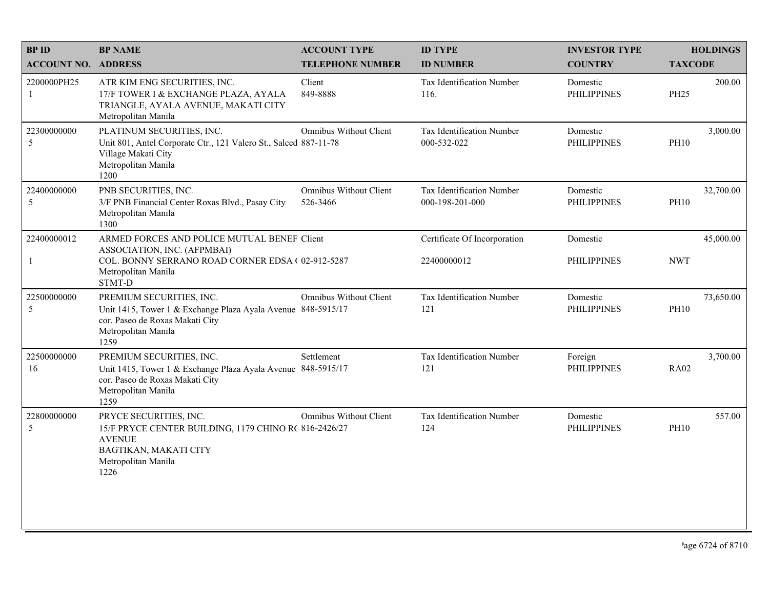| <b>BPID</b>                | <b>BP NAME</b>                                                                                                                                             | <b>ACCOUNT TYPE</b>                       | <b>ID TYPE</b>                               | <b>INVESTOR TYPE</b>           |                | <b>HOLDINGS</b> |
|----------------------------|------------------------------------------------------------------------------------------------------------------------------------------------------------|-------------------------------------------|----------------------------------------------|--------------------------------|----------------|-----------------|
| <b>ACCOUNT NO. ADDRESS</b> |                                                                                                                                                            | <b>TELEPHONE NUMBER</b>                   | <b>ID NUMBER</b>                             | <b>COUNTRY</b>                 | <b>TAXCODE</b> |                 |
| 2200000PH25<br>1           | ATR KIM ENG SECURITIES, INC.<br>17/F TOWER I & EXCHANGE PLAZA, AYALA<br>TRIANGLE, AYALA AVENUE, MAKATI CITY<br>Metropolitan Manila                         | Client<br>849-8888                        | Tax Identification Number<br>116.            | Domestic<br><b>PHILIPPINES</b> | <b>PH25</b>    | 200.00          |
| 22300000000<br>5           | PLATINUM SECURITIES, INC.<br>Unit 801, Antel Corporate Ctr., 121 Valero St., Salced 887-11-78<br>Village Makati City<br>Metropolitan Manila<br>1200        | <b>Omnibus Without Client</b>             | Tax Identification Number<br>000-532-022     | Domestic<br><b>PHILIPPINES</b> | <b>PH10</b>    | 3,000.00        |
| 22400000000<br>5           | PNB SECURITIES, INC.<br>3/F PNB Financial Center Roxas Blvd., Pasay City<br>Metropolitan Manila<br>1300                                                    | <b>Omnibus Without Client</b><br>526-3466 | Tax Identification Number<br>000-198-201-000 | Domestic<br><b>PHILIPPINES</b> | <b>PH10</b>    | 32,700.00       |
| 22400000012                | ARMED FORCES AND POLICE MUTUAL BENEF Client<br>ASSOCIATION, INC. (AFPMBAI)                                                                                 |                                           | Certificate Of Incorporation                 | Domestic                       |                | 45,000.00       |
|                            | COL. BONNY SERRANO ROAD CORNER EDSA (02-912-5287<br>Metropolitan Manila<br>STMT-D                                                                          |                                           | 22400000012                                  | <b>PHILIPPINES</b>             | <b>NWT</b>     |                 |
| 22500000000<br>5           | PREMIUM SECURITIES, INC.<br>Unit 1415, Tower 1 & Exchange Plaza Ayala Avenue 848-5915/17<br>cor. Paseo de Roxas Makati City<br>Metropolitan Manila<br>1259 | Omnibus Without Client                    | Tax Identification Number<br>121             | Domestic<br><b>PHILIPPINES</b> | <b>PH10</b>    | 73,650.00       |
| 22500000000<br>16          | PREMIUM SECURITIES, INC.<br>Unit 1415, Tower 1 & Exchange Plaza Ayala Avenue 848-5915/17<br>cor. Paseo de Roxas Makati City<br>Metropolitan Manila<br>1259 | Settlement                                | Tax Identification Number<br>121             | Foreign<br><b>PHILIPPINES</b>  | <b>RA02</b>    | 3,700.00        |
| 22800000000<br>5           | PRYCE SECURITIES, INC.<br>15/F PRYCE CENTER BUILDING, 1179 CHINO R( 816-2426/27<br><b>AVENUE</b><br>BAGTIKAN, MAKATI CITY<br>Metropolitan Manila<br>1226   | <b>Omnibus Without Client</b>             | Tax Identification Number<br>124             | Domestic<br><b>PHILIPPINES</b> | <b>PH10</b>    | 557.00          |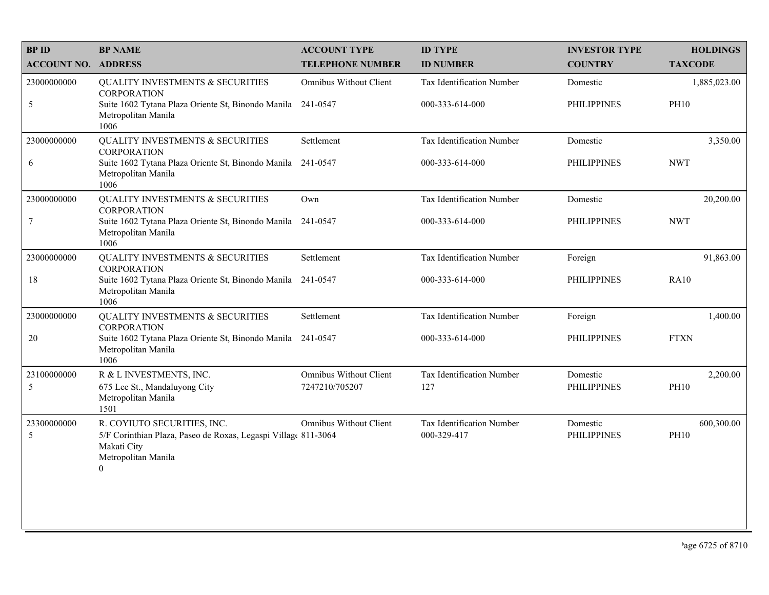| <b>BPID</b>                | <b>BP NAME</b>                                                                                                                                  | <b>ACCOUNT TYPE</b>                             | <b>ID TYPE</b>                           | <b>INVESTOR TYPE</b>           | <b>HOLDINGS</b>           |
|----------------------------|-------------------------------------------------------------------------------------------------------------------------------------------------|-------------------------------------------------|------------------------------------------|--------------------------------|---------------------------|
| <b>ACCOUNT NO. ADDRESS</b> |                                                                                                                                                 | <b>TELEPHONE NUMBER</b>                         | <b>ID NUMBER</b>                         | <b>COUNTRY</b>                 | <b>TAXCODE</b>            |
| 23000000000                | QUALITY INVESTMENTS & SECURITIES<br><b>CORPORATION</b>                                                                                          | Omnibus Without Client                          | Tax Identification Number                | Domestic                       | 1,885,023.00              |
| $\mathfrak{S}$             | Suite 1602 Tytana Plaza Oriente St, Binondo Manila 241-0547<br>Metropolitan Manila<br>1006                                                      |                                                 | 000-333-614-000                          | <b>PHILIPPINES</b>             | <b>PH10</b>               |
| 23000000000                | <b>QUALITY INVESTMENTS &amp; SECURITIES</b><br><b>CORPORATION</b>                                                                               | Settlement                                      | Tax Identification Number                | Domestic                       | 3,350.00                  |
| 6                          | Suite 1602 Tytana Plaza Oriente St, Binondo Manila 241-0547<br>Metropolitan Manila<br>1006                                                      |                                                 | 000-333-614-000                          | <b>PHILIPPINES</b>             | <b>NWT</b>                |
| 23000000000                | <b>QUALITY INVESTMENTS &amp; SECURITIES</b><br><b>CORPORATION</b>                                                                               | Own                                             | Tax Identification Number                | Domestic                       | 20,200.00                 |
| $\overline{7}$             | Suite 1602 Tytana Plaza Oriente St, Binondo Manila 241-0547<br>Metropolitan Manila<br>1006                                                      |                                                 | 000-333-614-000                          | <b>PHILIPPINES</b>             | <b>NWT</b>                |
| 23000000000                | <b>QUALITY INVESTMENTS &amp; SECURITIES</b><br><b>CORPORATION</b>                                                                               | Settlement                                      | Tax Identification Number                | Foreign                        | 91,863.00                 |
| 18                         | Suite 1602 Tytana Plaza Oriente St, Binondo Manila 241-0547<br>Metropolitan Manila<br>1006                                                      |                                                 | 000-333-614-000                          | <b>PHILIPPINES</b>             | <b>RA10</b>               |
| 23000000000                | <b>QUALITY INVESTMENTS &amp; SECURITIES</b><br><b>CORPORATION</b>                                                                               | Settlement                                      | Tax Identification Number                | Foreign                        | 1,400.00                  |
| $20\,$                     | Suite 1602 Tytana Plaza Oriente St, Binondo Manila 241-0547<br>Metropolitan Manila<br>1006                                                      |                                                 | 000-333-614-000                          | <b>PHILIPPINES</b>             | <b>FTXN</b>               |
| 23100000000<br>5           | R & L INVESTMENTS, INC.<br>675 Lee St., Mandaluyong City<br>Metropolitan Manila<br>1501                                                         | <b>Omnibus Without Client</b><br>7247210/705207 | Tax Identification Number<br>127         | Domestic<br><b>PHILIPPINES</b> | 2,200.00<br><b>PH10</b>   |
| 23300000000<br>5           | R. COYIUTO SECURITIES, INC.<br>5/F Corinthian Plaza, Paseo de Roxas, Legaspi Village 811-3064<br>Makati City<br>Metropolitan Manila<br>$\theta$ | Omnibus Without Client                          | Tax Identification Number<br>000-329-417 | Domestic<br><b>PHILIPPINES</b> | 600,300.00<br><b>PH10</b> |
|                            |                                                                                                                                                 |                                                 |                                          |                                |                           |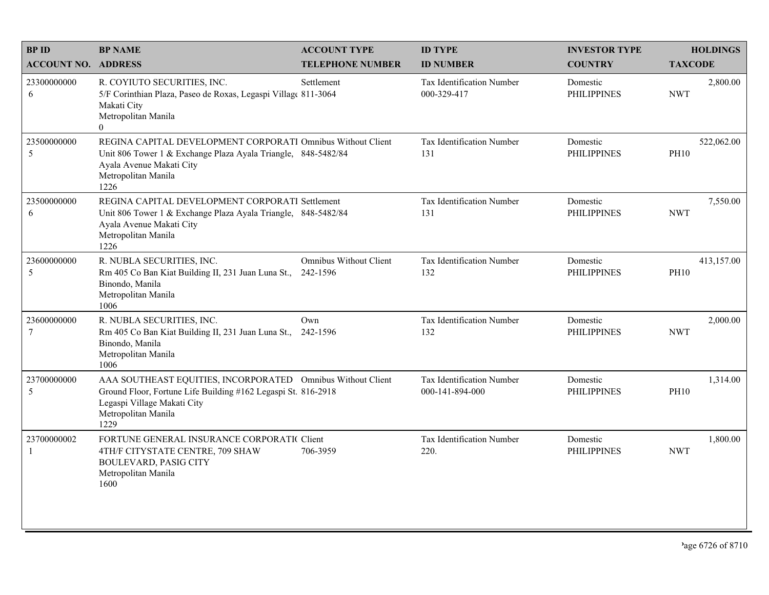| <b>BPID</b>                   | <b>BP NAME</b>                                                                                                                                                                             | <b>ACCOUNT TYPE</b>                       | <b>ID TYPE</b>                               | <b>INVESTOR TYPE</b>           | <b>HOLDINGS</b>           |
|-------------------------------|--------------------------------------------------------------------------------------------------------------------------------------------------------------------------------------------|-------------------------------------------|----------------------------------------------|--------------------------------|---------------------------|
| <b>ACCOUNT NO. ADDRESS</b>    |                                                                                                                                                                                            | <b>TELEPHONE NUMBER</b>                   | <b>ID NUMBER</b>                             | <b>COUNTRY</b>                 | <b>TAXCODE</b>            |
| 23300000000<br>6              | R. COYIUTO SECURITIES, INC.<br>5/F Corinthian Plaza, Paseo de Roxas, Legaspi Village 811-3064<br>Makati City<br>Metropolitan Manila<br>$\overline{0}$                                      | Settlement                                | Tax Identification Number<br>000-329-417     | Domestic<br><b>PHILIPPINES</b> | 2,800.00<br><b>NWT</b>    |
| 23500000000<br>5              | REGINA CAPITAL DEVELOPMENT CORPORATI Omnibus Without Client<br>Unit 806 Tower 1 & Exchange Plaza Ayala Triangle, 848-5482/84<br>Ayala Avenue Makati City<br>Metropolitan Manila<br>1226    |                                           | Tax Identification Number<br>131             | Domestic<br><b>PHILIPPINES</b> | 522,062.00<br><b>PH10</b> |
| 23500000000<br>6              | REGINA CAPITAL DEVELOPMENT CORPORATI Settlement<br>Unit 806 Tower 1 & Exchange Plaza Ayala Triangle, 848-5482/84<br>Ayala Avenue Makati City<br>Metropolitan Manila<br>1226                |                                           | Tax Identification Number<br>131             | Domestic<br><b>PHILIPPINES</b> | 7,550.00<br><b>NWT</b>    |
| 23600000000<br>5              | R. NUBLA SECURITIES, INC.<br>Rm 405 Co Ban Kiat Building II, 231 Juan Luna St.,<br>Binondo, Manila<br>Metropolitan Manila<br>1006                                                          | <b>Omnibus Without Client</b><br>242-1596 | Tax Identification Number<br>132             | Domestic<br><b>PHILIPPINES</b> | 413,157.00<br><b>PH10</b> |
| 23600000000<br>$\tau$         | R. NUBLA SECURITIES, INC.<br>Rm 405 Co Ban Kiat Building II, 231 Juan Luna St.,<br>Binondo, Manila<br>Metropolitan Manila<br>1006                                                          | Own<br>242-1596                           | Tax Identification Number<br>132             | Domestic<br><b>PHILIPPINES</b> | 2,000.00<br><b>NWT</b>    |
| 23700000000<br>5              | AAA SOUTHEAST EQUITIES, INCORPORATED Omnibus Without Client<br>Ground Floor, Fortune Life Building #162 Legaspi St. 816-2918<br>Legaspi Village Makati City<br>Metropolitan Manila<br>1229 |                                           | Tax Identification Number<br>000-141-894-000 | Domestic<br><b>PHILIPPINES</b> | 1,314.00<br><b>PH10</b>   |
| 23700000002<br>$\overline{1}$ | FORTUNE GENERAL INSURANCE CORPORATIC Client<br>4TH/F CITYSTATE CENTRE, 709 SHAW<br><b>BOULEVARD, PASIG CITY</b><br>Metropolitan Manila<br>1600                                             | 706-3959                                  | <b>Tax Identification Number</b><br>220.     | Domestic<br><b>PHILIPPINES</b> | 1,800.00<br><b>NWT</b>    |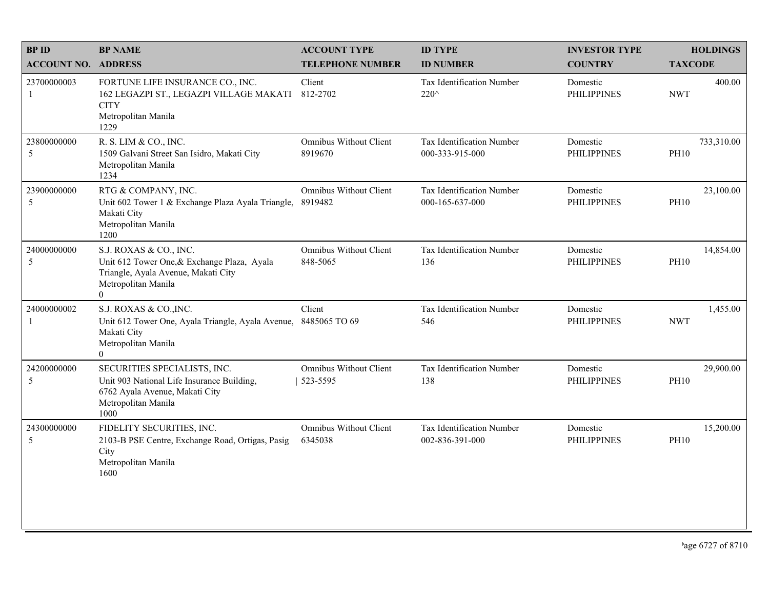| <b>BPID</b>                | <b>BP NAME</b>                                                                                                                                        | <b>ACCOUNT TYPE</b>                       | <b>ID TYPE</b>                               | <b>INVESTOR TYPE</b>           | <b>HOLDINGS</b>           |
|----------------------------|-------------------------------------------------------------------------------------------------------------------------------------------------------|-------------------------------------------|----------------------------------------------|--------------------------------|---------------------------|
| <b>ACCOUNT NO. ADDRESS</b> |                                                                                                                                                       | <b>TELEPHONE NUMBER</b>                   | <b>ID NUMBER</b>                             | <b>COUNTRY</b>                 | <b>TAXCODE</b>            |
| 23700000003<br>1           | FORTUNE LIFE INSURANCE CO., INC.<br>162 LEGAZPI ST., LEGAZPI VILLAGE MAKATI<br><b>CITY</b><br>Metropolitan Manila<br>1229                             | Client<br>812-2702                        | Tax Identification Number<br>220^            | Domestic<br><b>PHILIPPINES</b> | 400.00<br><b>NWT</b>      |
| 23800000000<br>5           | R. S. LIM & CO., INC.<br>1509 Galvani Street San Isidro, Makati City<br>Metropolitan Manila<br>1234                                                   | <b>Omnibus Without Client</b><br>8919670  | Tax Identification Number<br>000-333-915-000 | Domestic<br><b>PHILIPPINES</b> | 733,310.00<br><b>PH10</b> |
| 23900000000<br>5           | RTG & COMPANY, INC.<br>Unit 602 Tower 1 & Exchange Plaza Ayala Triangle,<br>Makati City<br>Metropolitan Manila<br>1200                                | <b>Omnibus Without Client</b><br>8919482  | Tax Identification Number<br>000-165-637-000 | Domestic<br><b>PHILIPPINES</b> | 23,100.00<br><b>PH10</b>  |
| 24000000000<br>5           | S.J. ROXAS & CO., INC.<br>Unit 612 Tower One, & Exchange Plaza, Ayala<br>Triangle, Ayala Avenue, Makati City<br>Metropolitan Manila<br>$\overline{0}$ | <b>Omnibus Without Client</b><br>848-5065 | Tax Identification Number<br>136             | Domestic<br><b>PHILIPPINES</b> | 14,854.00<br><b>PH10</b>  |
| 24000000002                | S.J. ROXAS & CO., INC.<br>Unit 612 Tower One, Ayala Triangle, Ayala Avenue,<br>Makati City<br>Metropolitan Manila<br>$\overline{0}$                   | Client<br>8485065 TO 69                   | Tax Identification Number<br>546             | Domestic<br><b>PHILIPPINES</b> | 1,455.00<br><b>NWT</b>    |
| 24200000000<br>5           | SECURITIES SPECIALISTS, INC.<br>Unit 903 National Life Insurance Building,<br>6762 Ayala Avenue, Makati City<br>Metropolitan Manila<br>1000           | <b>Omnibus Without Client</b><br>523-5595 | Tax Identification Number<br>138             | Domestic<br><b>PHILIPPINES</b> | 29,900.00<br><b>PH10</b>  |
| 24300000000<br>5           | FIDELITY SECURITIES, INC.<br>2103-B PSE Centre, Exchange Road, Ortigas, Pasig<br>City<br>Metropolitan Manila<br>1600                                  | Omnibus Without Client<br>6345038         | Tax Identification Number<br>002-836-391-000 | Domestic<br><b>PHILIPPINES</b> | 15,200.00<br><b>PH10</b>  |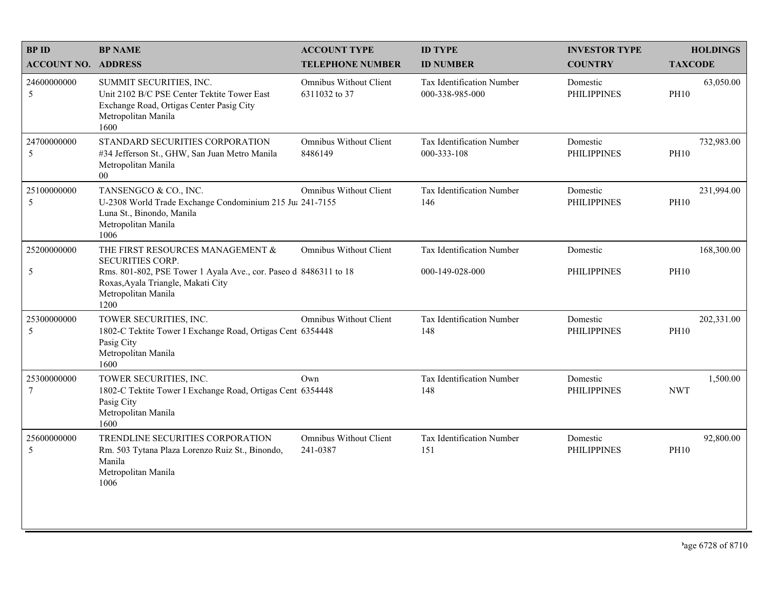| <b>BPID</b>                   | <b>BP NAME</b>                                                                                                                                                   | <b>ACCOUNT TYPE</b>                      | <b>ID TYPE</b>                               | <b>INVESTOR TYPE</b>           | <b>HOLDINGS</b>           |
|-------------------------------|------------------------------------------------------------------------------------------------------------------------------------------------------------------|------------------------------------------|----------------------------------------------|--------------------------------|---------------------------|
| <b>ACCOUNT NO. ADDRESS</b>    |                                                                                                                                                                  | <b>TELEPHONE NUMBER</b>                  | <b>ID NUMBER</b>                             | <b>COUNTRY</b>                 | <b>TAXCODE</b>            |
| 24600000000<br>5              | SUMMIT SECURITIES, INC.<br>Unit 2102 B/C PSE Center Tektite Tower East<br>Exchange Road, Ortigas Center Pasig City<br>Metropolitan Manila<br>1600                | Omnibus Without Client<br>6311032 to 37  | Tax Identification Number<br>000-338-985-000 | Domestic<br><b>PHILIPPINES</b> | 63,050.00<br><b>PH10</b>  |
| 24700000000<br>5              | STANDARD SECURITIES CORPORATION<br>#34 Jefferson St., GHW, San Juan Metro Manila<br>Metropolitan Manila<br>$00\,$                                                | <b>Omnibus Without Client</b><br>8486149 | Tax Identification Number<br>000-333-108     | Domestic<br><b>PHILIPPINES</b> | 732,983.00<br><b>PH10</b> |
| 25100000000<br>5              | TANSENGCO & CO., INC.<br>U-2308 World Trade Exchange Condominium 215 Ju: 241-7155<br>Luna St., Binondo, Manila<br>Metropolitan Manila<br>1006                    | <b>Omnibus Without Client</b>            | Tax Identification Number<br>146             | Domestic<br><b>PHILIPPINES</b> | 231,994.00<br><b>PH10</b> |
| 25200000000                   | THE FIRST RESOURCES MANAGEMENT &                                                                                                                                 | Omnibus Without Client                   | Tax Identification Number                    | Domestic                       | 168,300.00                |
| 5                             | <b>SECURITIES CORP.</b><br>Rms. 801-802, PSE Tower 1 Ayala Ave., cor. Paseo d 8486311 to 18<br>Roxas, Ayala Triangle, Makati City<br>Metropolitan Manila<br>1200 |                                          | 000-149-028-000                              | <b>PHILIPPINES</b>             | <b>PH10</b>               |
| 25300000000<br>5              | TOWER SECURITIES, INC.<br>1802-C Tektite Tower I Exchange Road, Ortigas Cent 6354448<br>Pasig City<br>Metropolitan Manila<br>1600                                | <b>Omnibus Without Client</b>            | Tax Identification Number<br>148             | Domestic<br><b>PHILIPPINES</b> | 202,331.00<br><b>PH10</b> |
| 25300000000<br>$\overline{7}$ | TOWER SECURITIES, INC.<br>1802-C Tektite Tower I Exchange Road, Ortigas Cent 6354448<br>Pasig City<br>Metropolitan Manila<br>1600                                | Own                                      | Tax Identification Number<br>148             | Domestic<br><b>PHILIPPINES</b> | 1,500.00<br><b>NWT</b>    |
| 25600000000<br>5              | TRENDLINE SECURITIES CORPORATION<br>Rm. 503 Tytana Plaza Lorenzo Ruiz St., Binondo,<br>Manila<br>Metropolitan Manila<br>1006                                     | Omnibus Without Client<br>241-0387       | Tax Identification Number<br>151             | Domestic<br><b>PHILIPPINES</b> | 92,800.00<br><b>PH10</b>  |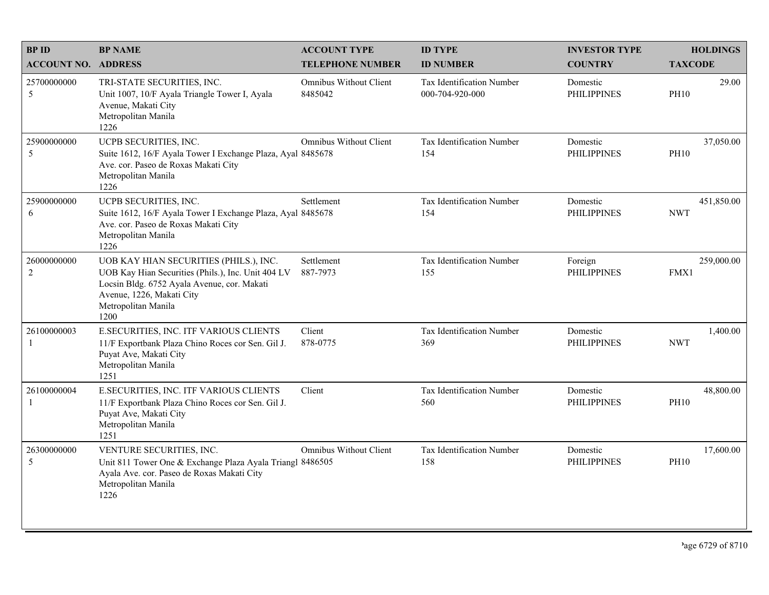| <b>BPID</b>                   | <b>BP NAME</b>                                                                                                                                                                                          | <b>ACCOUNT TYPE</b>               | <b>ID TYPE</b>                               | <b>INVESTOR TYPE</b>           | <b>HOLDINGS</b>          |
|-------------------------------|---------------------------------------------------------------------------------------------------------------------------------------------------------------------------------------------------------|-----------------------------------|----------------------------------------------|--------------------------------|--------------------------|
| <b>ACCOUNT NO. ADDRESS</b>    |                                                                                                                                                                                                         | <b>TELEPHONE NUMBER</b>           | <b>ID NUMBER</b>                             | <b>COUNTRY</b>                 | <b>TAXCODE</b>           |
| 25700000000<br>5              | TRI-STATE SECURITIES, INC.<br>Unit 1007, 10/F Ayala Triangle Tower I, Ayala<br>Avenue, Makati City<br>Metropolitan Manila<br>1226                                                                       | Omnibus Without Client<br>8485042 | Tax Identification Number<br>000-704-920-000 | Domestic<br><b>PHILIPPINES</b> | 29.00<br><b>PH10</b>     |
| 25900000000<br>5              | UCPB SECURITIES, INC.<br>Suite 1612, 16/F Ayala Tower I Exchange Plaza, Ayal 8485678<br>Ave. cor. Paseo de Roxas Makati City<br>Metropolitan Manila<br>1226                                             | <b>Omnibus Without Client</b>     | Tax Identification Number<br>154             | Domestic<br><b>PHILIPPINES</b> | 37,050.00<br><b>PH10</b> |
| 25900000000<br>6              | UCPB SECURITIES, INC.<br>Suite 1612, 16/F Ayala Tower I Exchange Plaza, Ayal 8485678<br>Ave. cor. Paseo de Roxas Makati City<br>Metropolitan Manila<br>1226                                             | Settlement                        | Tax Identification Number<br>154             | Domestic<br><b>PHILIPPINES</b> | 451,850.00<br><b>NWT</b> |
| 26000000000<br>$\overline{c}$ | UOB KAY HIAN SECURITIES (PHILS.), INC.<br>UOB Kay Hian Securities (Phils.), Inc. Unit 404 LV<br>Locsin Bldg. 6752 Ayala Avenue, cor. Makati<br>Avenue, 1226, Makati City<br>Metropolitan Manila<br>1200 | Settlement<br>887-7973            | Tax Identification Number<br>155             | Foreign<br><b>PHILIPPINES</b>  | 259,000.00<br>FMX1       |
| 26100000003                   | E.SECURITIES, INC. ITF VARIOUS CLIENTS<br>11/F Exportbank Plaza Chino Roces cor Sen. Gil J.<br>Puyat Ave, Makati City<br>Metropolitan Manila<br>1251                                                    | Client<br>878-0775                | Tax Identification Number<br>369             | Domestic<br><b>PHILIPPINES</b> | 1,400.00<br><b>NWT</b>   |
| 26100000004                   | E.SECURITIES, INC. ITF VARIOUS CLIENTS<br>11/F Exportbank Plaza Chino Roces cor Sen. Gil J.<br>Puyat Ave, Makati City<br>Metropolitan Manila<br>1251                                                    | Client                            | Tax Identification Number<br>560             | Domestic<br><b>PHILIPPINES</b> | 48,800.00<br><b>PH10</b> |
| 26300000000<br>5              | VENTURE SECURITIES, INC.<br>Unit 811 Tower One & Exchange Plaza Ayala Triangl 8486505<br>Ayala Ave. cor. Paseo de Roxas Makati City<br>Metropolitan Manila<br>1226                                      | <b>Omnibus Without Client</b>     | Tax Identification Number<br>158             | Domestic<br><b>PHILIPPINES</b> | 17,600.00<br><b>PH10</b> |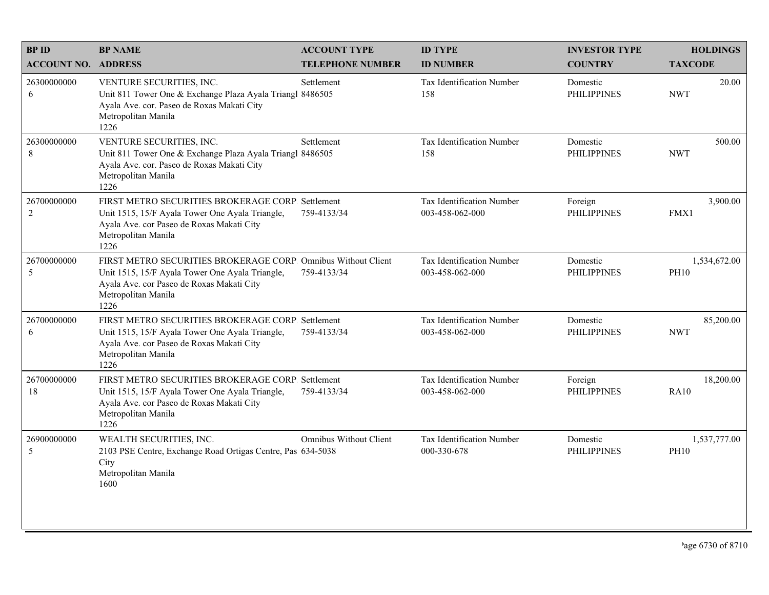| <b>BPID</b>                   | <b>BP NAME</b>                                                                                                                                                                               | <b>ACCOUNT TYPE</b>     | <b>ID TYPE</b>                               | <b>INVESTOR TYPE</b>           | <b>HOLDINGS</b>             |
|-------------------------------|----------------------------------------------------------------------------------------------------------------------------------------------------------------------------------------------|-------------------------|----------------------------------------------|--------------------------------|-----------------------------|
| <b>ACCOUNT NO. ADDRESS</b>    |                                                                                                                                                                                              | <b>TELEPHONE NUMBER</b> | <b>ID NUMBER</b>                             | <b>COUNTRY</b>                 | <b>TAXCODE</b>              |
| 26300000000<br>6              | VENTURE SECURITIES, INC.<br>Unit 811 Tower One & Exchange Plaza Ayala Triangl 8486505<br>Ayala Ave. cor. Paseo de Roxas Makati City<br>Metropolitan Manila<br>1226                           | Settlement              | Tax Identification Number<br>158             | Domestic<br><b>PHILIPPINES</b> | 20.00<br><b>NWT</b>         |
| 26300000000<br>8              | VENTURE SECURITIES, INC.<br>Unit 811 Tower One & Exchange Plaza Ayala Triangl 8486505<br>Ayala Ave. cor. Paseo de Roxas Makati City<br>Metropolitan Manila<br>1226                           | Settlement              | Tax Identification Number<br>158             | Domestic<br><b>PHILIPPINES</b> | 500.00<br><b>NWT</b>        |
| 26700000000<br>$\overline{2}$ | FIRST METRO SECURITIES BROKERAGE CORP. Settlement<br>Unit 1515, 15/F Ayala Tower One Ayala Triangle,<br>Ayala Ave. cor Paseo de Roxas Makati City<br>Metropolitan Manila<br>1226             | 759-4133/34             | Tax Identification Number<br>003-458-062-000 | Foreign<br><b>PHILIPPINES</b>  | 3,900.00<br>FMX1            |
| 26700000000<br>5              | FIRST METRO SECURITIES BROKERAGE CORP. Omnibus Without Client<br>Unit 1515, 15/F Ayala Tower One Ayala Triangle,<br>Ayala Ave. cor Paseo de Roxas Makati City<br>Metropolitan Manila<br>1226 | 759-4133/34             | Tax Identification Number<br>003-458-062-000 | Domestic<br><b>PHILIPPINES</b> | 1,534,672.00<br><b>PH10</b> |
| 26700000000<br>6              | FIRST METRO SECURITIES BROKERAGE CORP. Settlement<br>Unit 1515, 15/F Ayala Tower One Ayala Triangle,<br>Ayala Ave. cor Paseo de Roxas Makati City<br>Metropolitan Manila<br>1226             | 759-4133/34             | Tax Identification Number<br>003-458-062-000 | Domestic<br><b>PHILIPPINES</b> | 85,200.00<br><b>NWT</b>     |
| 26700000000<br>18             | FIRST METRO SECURITIES BROKERAGE CORP. Settlement<br>Unit 1515, 15/F Ayala Tower One Ayala Triangle,<br>Ayala Ave. cor Paseo de Roxas Makati City<br>Metropolitan Manila<br>1226             | 759-4133/34             | Tax Identification Number<br>003-458-062-000 | Foreign<br><b>PHILIPPINES</b>  | 18,200.00<br><b>RA10</b>    |
| 26900000000<br>5              | WEALTH SECURITIES, INC.<br>2103 PSE Centre, Exchange Road Ortigas Centre, Pas 634-5038<br>City<br>Metropolitan Manila<br>1600                                                                | Omnibus Without Client  | Tax Identification Number<br>000-330-678     | Domestic<br><b>PHILIPPINES</b> | 1,537,777.00<br><b>PH10</b> |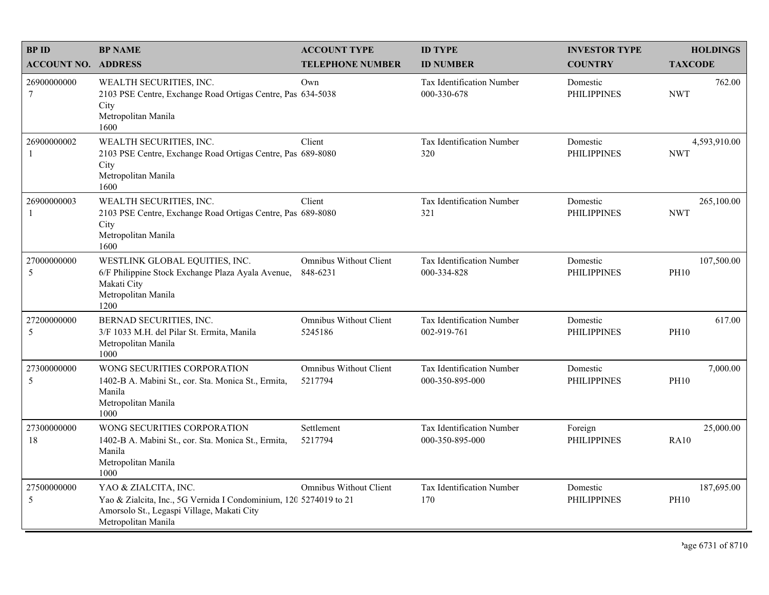| <b>BPID</b>                    | <b>BP NAME</b>                                                                                                                                                 | <b>ACCOUNT TYPE</b>                       | <b>ID TYPE</b>                                      | <b>INVESTOR TYPE</b>           | <b>HOLDINGS</b>            |
|--------------------------------|----------------------------------------------------------------------------------------------------------------------------------------------------------------|-------------------------------------------|-----------------------------------------------------|--------------------------------|----------------------------|
| <b>ACCOUNT NO. ADDRESS</b>     |                                                                                                                                                                | <b>TELEPHONE NUMBER</b>                   | <b>ID NUMBER</b>                                    | <b>COUNTRY</b>                 | <b>TAXCODE</b>             |
| 26900000000<br>$7\phantom{.0}$ | WEALTH SECURITIES, INC.<br>2103 PSE Centre, Exchange Road Ortigas Centre, Pas 634-5038<br>City<br>Metropolitan Manila<br>1600                                  | Own                                       | <b>Tax Identification Number</b><br>000-330-678     | Domestic<br><b>PHILIPPINES</b> | 762.00<br><b>NWT</b>       |
| 26900000002<br>$\mathbf{1}$    | WEALTH SECURITIES, INC.<br>2103 PSE Centre, Exchange Road Ortigas Centre, Pas 689-8080<br>City<br>Metropolitan Manila<br>1600                                  | Client                                    | <b>Tax Identification Number</b><br>320             | Domestic<br><b>PHILIPPINES</b> | 4,593,910.00<br><b>NWT</b> |
| 26900000003<br>-1              | WEALTH SECURITIES, INC.<br>2103 PSE Centre, Exchange Road Ortigas Centre, Pas 689-8080<br>City<br>Metropolitan Manila<br>1600                                  | Client                                    | Tax Identification Number<br>321                    | Domestic<br><b>PHILIPPINES</b> | 265,100.00<br><b>NWT</b>   |
| 27000000000<br>5               | WESTLINK GLOBAL EQUITIES, INC.<br>6/F Philippine Stock Exchange Plaza Ayala Avenue,<br>Makati City<br>Metropolitan Manila<br>1200                              | <b>Omnibus Without Client</b><br>848-6231 | Tax Identification Number<br>000-334-828            | Domestic<br><b>PHILIPPINES</b> | 107,500.00<br><b>PH10</b>  |
| 27200000000<br>5               | BERNAD SECURITIES, INC.<br>3/F 1033 M.H. del Pilar St. Ermita, Manila<br>Metropolitan Manila<br>1000                                                           | <b>Omnibus Without Client</b><br>5245186  | Tax Identification Number<br>002-919-761            | Domestic<br><b>PHILIPPINES</b> | 617.00<br><b>PH10</b>      |
| 27300000000<br>5               | WONG SECURITIES CORPORATION<br>1402-B A. Mabini St., cor. Sta. Monica St., Ermita,<br>Manila<br>Metropolitan Manila<br>1000                                    | <b>Omnibus Without Client</b><br>5217794  | <b>Tax Identification Number</b><br>000-350-895-000 | Domestic<br><b>PHILIPPINES</b> | 7,000.00<br><b>PH10</b>    |
| 27300000000<br>18              | WONG SECURITIES CORPORATION<br>1402-B A. Mabini St., cor. Sta. Monica St., Ermita,<br>Manila<br>Metropolitan Manila<br>1000                                    | Settlement<br>5217794                     | Tax Identification Number<br>000-350-895-000        | Foreign<br><b>PHILIPPINES</b>  | 25,000.00<br><b>RA10</b>   |
| 27500000000<br>5               | YAO & ZIALCITA, INC.<br>Yao & Zialcita, Inc., 5G Vernida I Condominium, 120 5274019 to 21<br>Amorsolo St., Legaspi Village, Makati City<br>Metropolitan Manila | <b>Omnibus Without Client</b>             | Tax Identification Number<br>170                    | Domestic<br><b>PHILIPPINES</b> | 187,695.00<br><b>PH10</b>  |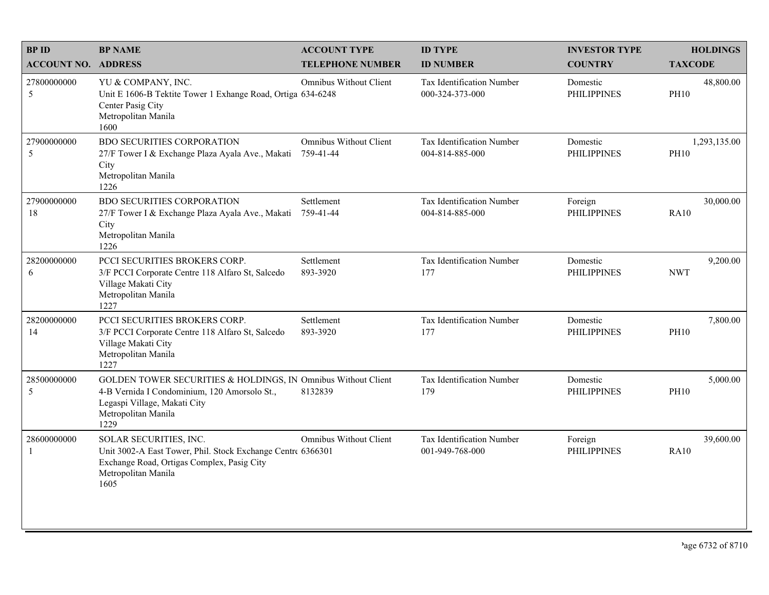| <b>BPID</b>                | <b>BP NAME</b>                                                                                                                                                               | <b>ACCOUNT TYPE</b>                        | <b>ID TYPE</b>                                      | <b>INVESTOR TYPE</b>           | <b>HOLDINGS</b>             |
|----------------------------|------------------------------------------------------------------------------------------------------------------------------------------------------------------------------|--------------------------------------------|-----------------------------------------------------|--------------------------------|-----------------------------|
| <b>ACCOUNT NO. ADDRESS</b> |                                                                                                                                                                              | <b>TELEPHONE NUMBER</b>                    | <b>ID NUMBER</b>                                    | <b>COUNTRY</b>                 | <b>TAXCODE</b>              |
| 27800000000<br>5           | YU & COMPANY, INC.<br>Unit E 1606-B Tektite Tower 1 Exhange Road, Ortiga 634-6248<br>Center Pasig City<br>Metropolitan Manila<br>1600                                        | <b>Omnibus Without Client</b>              | Tax Identification Number<br>000-324-373-000        | Domestic<br><b>PHILIPPINES</b> | 48,800.00<br><b>PH10</b>    |
| 27900000000<br>5           | <b>BDO SECURITIES CORPORATION</b><br>27/F Tower I & Exchange Plaza Ayala Ave., Makati<br>City<br>Metropolitan Manila<br>1226                                                 | <b>Omnibus Without Client</b><br>759-41-44 | Tax Identification Number<br>004-814-885-000        | Domestic<br><b>PHILIPPINES</b> | 1,293,135.00<br><b>PH10</b> |
| 27900000000<br>18          | <b>BDO SECURITIES CORPORATION</b><br>27/F Tower I & Exchange Plaza Ayala Ave., Makati<br>City<br>Metropolitan Manila<br>1226                                                 | Settlement<br>759-41-44                    | Tax Identification Number<br>004-814-885-000        | Foreign<br><b>PHILIPPINES</b>  | 30,000.00<br><b>RA10</b>    |
| 28200000000<br>6           | PCCI SECURITIES BROKERS CORP.<br>3/F PCCI Corporate Centre 118 Alfaro St, Salcedo<br>Village Makati City<br>Metropolitan Manila<br>1227                                      | Settlement<br>893-3920                     | Tax Identification Number<br>177                    | Domestic<br><b>PHILIPPINES</b> | 9,200.00<br><b>NWT</b>      |
| 28200000000<br>14          | PCCI SECURITIES BROKERS CORP.<br>3/F PCCI Corporate Centre 118 Alfaro St, Salcedo<br>Village Makati City<br>Metropolitan Manila<br>1227                                      | Settlement<br>893-3920                     | Tax Identification Number<br>177                    | Domestic<br><b>PHILIPPINES</b> | 7,800.00<br><b>PH10</b>     |
| 28500000000<br>5           | GOLDEN TOWER SECURITIES & HOLDINGS, IN Omnibus Without Client<br>4-B Vernida I Condominium, 120 Amorsolo St.,<br>Legaspi Village, Makati City<br>Metropolitan Manila<br>1229 | 8132839                                    | Tax Identification Number<br>179                    | Domestic<br><b>PHILIPPINES</b> | 5,000.00<br><b>PH10</b>     |
| 28600000000<br>1           | SOLAR SECURITIES, INC.<br>Unit 3002-A East Tower, Phil. Stock Exchange Centre 6366301<br>Exchange Road, Ortigas Complex, Pasig City<br>Metropolitan Manila<br>1605           | <b>Omnibus Without Client</b>              | <b>Tax Identification Number</b><br>001-949-768-000 | Foreign<br><b>PHILIPPINES</b>  | 39,600.00<br><b>RA10</b>    |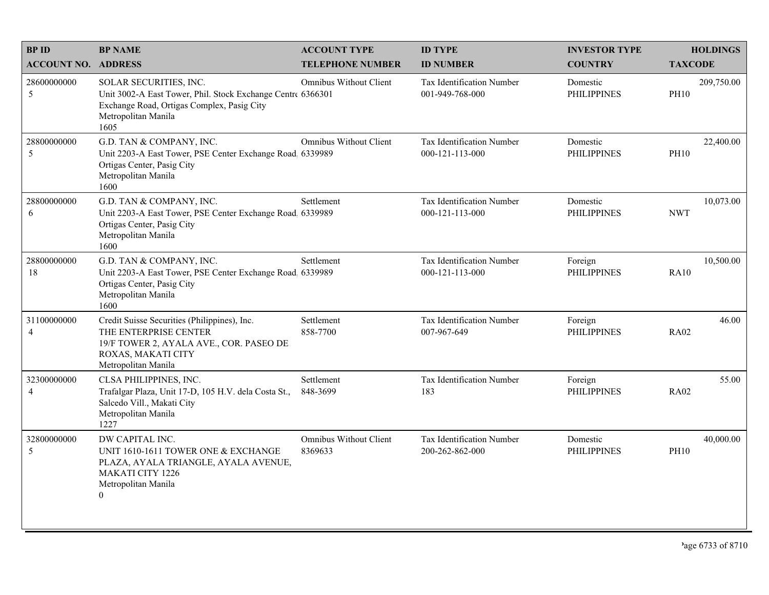| <b>BPID</b>                   | <b>BP NAME</b>                                                                                                                                                     | <b>ACCOUNT TYPE</b>               | <b>ID TYPE</b>                                       | <b>INVESTOR TYPE</b>           | <b>HOLDINGS</b>           |
|-------------------------------|--------------------------------------------------------------------------------------------------------------------------------------------------------------------|-----------------------------------|------------------------------------------------------|--------------------------------|---------------------------|
| <b>ACCOUNT NO. ADDRESS</b>    |                                                                                                                                                                    | <b>TELEPHONE NUMBER</b>           | <b>ID NUMBER</b>                                     | <b>COUNTRY</b>                 | <b>TAXCODE</b>            |
| 28600000000<br>5              | SOLAR SECURITIES, INC.<br>Unit 3002-A East Tower, Phil. Stock Exchange Centre 6366301<br>Exchange Road, Ortigas Complex, Pasig City<br>Metropolitan Manila<br>1605 | Omnibus Without Client            | Tax Identification Number<br>001-949-768-000         | Domestic<br><b>PHILIPPINES</b> | 209,750.00<br><b>PH10</b> |
| 28800000000<br>5              | G.D. TAN & COMPANY, INC.<br>Unit 2203-A East Tower, PSE Center Exchange Road. 6339989<br>Ortigas Center, Pasig City<br>Metropolitan Manila<br>1600                 | Omnibus Without Client            | Tax Identification Number<br>$000 - 121 - 113 - 000$ | Domestic<br><b>PHILIPPINES</b> | 22,400.00<br><b>PH10</b>  |
| 28800000000<br>6              | G.D. TAN & COMPANY, INC.<br>Unit 2203-A East Tower, PSE Center Exchange Road 6339989<br>Ortigas Center, Pasig City<br>Metropolitan Manila<br>1600                  | Settlement                        | Tax Identification Number<br>000-121-113-000         | Domestic<br><b>PHILIPPINES</b> | 10,073.00<br><b>NWT</b>   |
| 28800000000<br>18             | G.D. TAN & COMPANY, INC.<br>Unit 2203-A East Tower, PSE Center Exchange Road, 6339989<br>Ortigas Center, Pasig City<br>Metropolitan Manila<br>1600                 | Settlement                        | Tax Identification Number<br>000-121-113-000         | Foreign<br><b>PHILIPPINES</b>  | 10,500.00<br><b>RA10</b>  |
| 31100000000<br>$\overline{4}$ | Credit Suisse Securities (Philippines), Inc.<br>THE ENTERPRISE CENTER<br>19/F TOWER 2, AYALA AVE., COR. PASEO DE<br>ROXAS, MAKATI CITY<br>Metropolitan Manila      | Settlement<br>858-7700            | Tax Identification Number<br>007-967-649             | Foreign<br><b>PHILIPPINES</b>  | 46.00<br><b>RA02</b>      |
| 32300000000<br>$\overline{4}$ | CLSA PHILIPPINES, INC.<br>Trafalgar Plaza, Unit 17-D, 105 H.V. dela Costa St.,<br>Salcedo Vill., Makati City<br>Metropolitan Manila<br>1227                        | Settlement<br>848-3699            | Tax Identification Number<br>183                     | Foreign<br><b>PHILIPPINES</b>  | 55.00<br><b>RA02</b>      |
| 32800000000<br>5              | DW CAPITAL INC.<br>UNIT 1610-1611 TOWER ONE & EXCHANGE<br>PLAZA, AYALA TRIANGLE, AYALA AVENUE,<br><b>MAKATI CITY 1226</b><br>Metropolitan Manila<br>$\overline{0}$ | Omnibus Without Client<br>8369633 | Tax Identification Number<br>200-262-862-000         | Domestic<br><b>PHILIPPINES</b> | 40,000.00<br><b>PH10</b>  |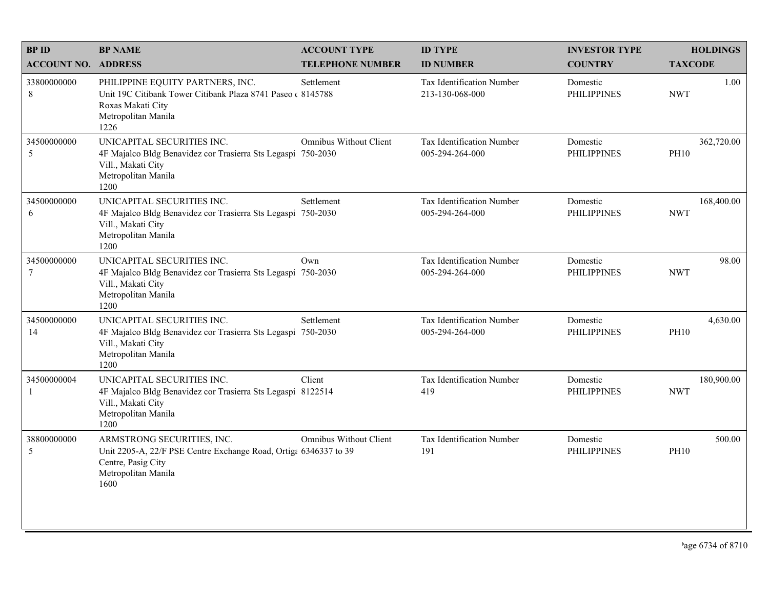| <b>BPID</b>                   | <b>BP NAME</b>                                                                                                                                      | <b>ACCOUNT TYPE</b>     | <b>ID TYPE</b>                                      | <b>INVESTOR TYPE</b>           | <b>HOLDINGS</b>           |
|-------------------------------|-----------------------------------------------------------------------------------------------------------------------------------------------------|-------------------------|-----------------------------------------------------|--------------------------------|---------------------------|
| <b>ACCOUNT NO. ADDRESS</b>    |                                                                                                                                                     | <b>TELEPHONE NUMBER</b> | <b>ID NUMBER</b>                                    | <b>COUNTRY</b>                 | <b>TAXCODE</b>            |
| 33800000000<br>8              | PHILIPPINE EQUITY PARTNERS, INC.<br>Unit 19C Citibank Tower Citibank Plaza 8741 Paseo (8145788)<br>Roxas Makati City<br>Metropolitan Manila<br>1226 | Settlement              | <b>Tax Identification Number</b><br>213-130-068-000 | Domestic<br><b>PHILIPPINES</b> | 1.00<br><b>NWT</b>        |
| 34500000000<br>5              | UNICAPITAL SECURITIES INC.<br>4F Majalco Bldg Benavidez cor Trasierra Sts Legaspi 750-2030<br>Vill., Makati City<br>Metropolitan Manila<br>1200     | Omnibus Without Client  | Tax Identification Number<br>005-294-264-000        | Domestic<br><b>PHILIPPINES</b> | 362,720.00<br><b>PH10</b> |
| 34500000000<br>6              | UNICAPITAL SECURITIES INC.<br>4F Majalco Bldg Benavidez cor Trasierra Sts Legaspi 750-2030<br>Vill., Makati City<br>Metropolitan Manila<br>1200     | Settlement              | Tax Identification Number<br>005-294-264-000        | Domestic<br><b>PHILIPPINES</b> | 168,400.00<br><b>NWT</b>  |
| 34500000000<br>$\overline{7}$ | UNICAPITAL SECURITIES INC.<br>4F Majalco Bldg Benavidez cor Trasierra Sts Legaspi 750-2030<br>Vill., Makati City<br>Metropolitan Manila<br>1200     | Own                     | Tax Identification Number<br>005-294-264-000        | Domestic<br><b>PHILIPPINES</b> | 98.00<br><b>NWT</b>       |
| 34500000000<br>14             | UNICAPITAL SECURITIES INC.<br>4F Majalco Bldg Benavidez cor Trasierra Sts Legaspi 750-2030<br>Vill., Makati City<br>Metropolitan Manila<br>1200     | Settlement              | Tax Identification Number<br>005-294-264-000        | Domestic<br><b>PHILIPPINES</b> | 4,630.00<br><b>PH10</b>   |
| 34500000004<br>-1             | UNICAPITAL SECURITIES INC.<br>4F Majalco Bldg Benavidez cor Trasierra Sts Legaspi 8122514<br>Vill., Makati City<br>Metropolitan Manila<br>1200      | Client                  | Tax Identification Number<br>419                    | Domestic<br><b>PHILIPPINES</b> | 180,900.00<br><b>NWT</b>  |
| 38800000000<br>5              | ARMSTRONG SECURITIES, INC.<br>Unit 2205-A, 22/F PSE Centre Exchange Road, Ortiga 6346337 to 39<br>Centre, Pasig City<br>Metropolitan Manila<br>1600 | Omnibus Without Client  | Tax Identification Number<br>191                    | Domestic<br><b>PHILIPPINES</b> | 500.00<br><b>PH10</b>     |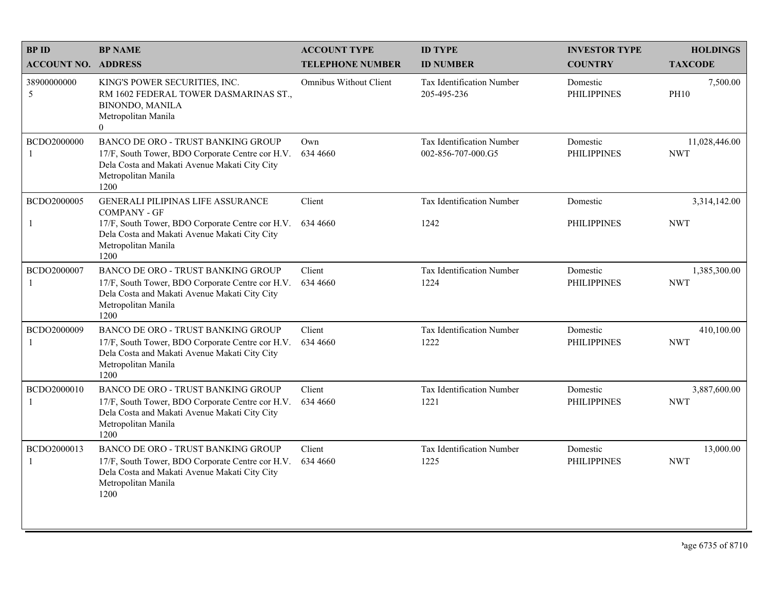| <b>BPID</b>                 | <b>BP NAME</b>                                                                                                                                                                | <b>ACCOUNT TYPE</b>           | <b>ID TYPE</b>                                  | <b>INVESTOR TYPE</b>           | <b>HOLDINGS</b>             |
|-----------------------------|-------------------------------------------------------------------------------------------------------------------------------------------------------------------------------|-------------------------------|-------------------------------------------------|--------------------------------|-----------------------------|
| <b>ACCOUNT NO. ADDRESS</b>  |                                                                                                                                                                               | <b>TELEPHONE NUMBER</b>       | <b>ID NUMBER</b>                                | <b>COUNTRY</b>                 | <b>TAXCODE</b>              |
| 38900000000<br>5            | KING'S POWER SECURITIES, INC.<br>RM 1602 FEDERAL TOWER DASMARINAS ST.,<br><b>BINONDO, MANILA</b><br>Metropolitan Manila<br>$\mathbf{0}$                                       | <b>Omnibus Without Client</b> | <b>Tax Identification Number</b><br>205-495-236 | Domestic<br><b>PHILIPPINES</b> | 7,500.00<br><b>PH10</b>     |
| BCDO2000000<br>$\mathbf{1}$ | BANCO DE ORO - TRUST BANKING GROUP<br>17/F, South Tower, BDO Corporate Centre cor H.V.<br>Dela Costa and Makati Avenue Makati City City<br>Metropolitan Manila<br>1200        | Own<br>634 4660               | Tax Identification Number<br>002-856-707-000.G5 | Domestic<br><b>PHILIPPINES</b> | 11,028,446.00<br><b>NWT</b> |
| BCDO2000005                 | <b>GENERALI PILIPINAS LIFE ASSURANCE</b><br><b>COMPANY - GF</b>                                                                                                               | Client                        | Tax Identification Number                       | Domestic                       | 3,314,142.00                |
| -1                          | 17/F, South Tower, BDO Corporate Centre cor H.V.<br>Dela Costa and Makati Avenue Makati City City<br>Metropolitan Manila<br>1200                                              | 634 4660                      | 1242                                            | <b>PHILIPPINES</b>             | <b>NWT</b>                  |
| BCDO2000007<br>$\mathbf{1}$ | <b>BANCO DE ORO - TRUST BANKING GROUP</b><br>17/F, South Tower, BDO Corporate Centre cor H.V.<br>Dela Costa and Makati Avenue Makati City City<br>Metropolitan Manila<br>1200 | Client<br>634 4660            | Tax Identification Number<br>1224               | Domestic<br><b>PHILIPPINES</b> | 1,385,300.00<br><b>NWT</b>  |
| BCDO2000009<br>$\mathbf{1}$ | <b>BANCO DE ORO - TRUST BANKING GROUP</b><br>17/F, South Tower, BDO Corporate Centre cor H.V.<br>Dela Costa and Makati Avenue Makati City City<br>Metropolitan Manila<br>1200 | Client<br>634 4660            | Tax Identification Number<br>1222               | Domestic<br><b>PHILIPPINES</b> | 410,100.00<br><b>NWT</b>    |
| BCDO2000010<br>-1           | <b>BANCO DE ORO - TRUST BANKING GROUP</b><br>17/F, South Tower, BDO Corporate Centre cor H.V.<br>Dela Costa and Makati Avenue Makati City City<br>Metropolitan Manila<br>1200 | Client<br>634 4660            | Tax Identification Number<br>1221               | Domestic<br><b>PHILIPPINES</b> | 3,887,600.00<br><b>NWT</b>  |
| BCDO2000013<br>$\mathbf{1}$ | <b>BANCO DE ORO - TRUST BANKING GROUP</b><br>17/F, South Tower, BDO Corporate Centre cor H.V.<br>Dela Costa and Makati Avenue Makati City City<br>Metropolitan Manila<br>1200 | Client<br>634 4660            | Tax Identification Number<br>1225               | Domestic<br><b>PHILIPPINES</b> | 13,000.00<br><b>NWT</b>     |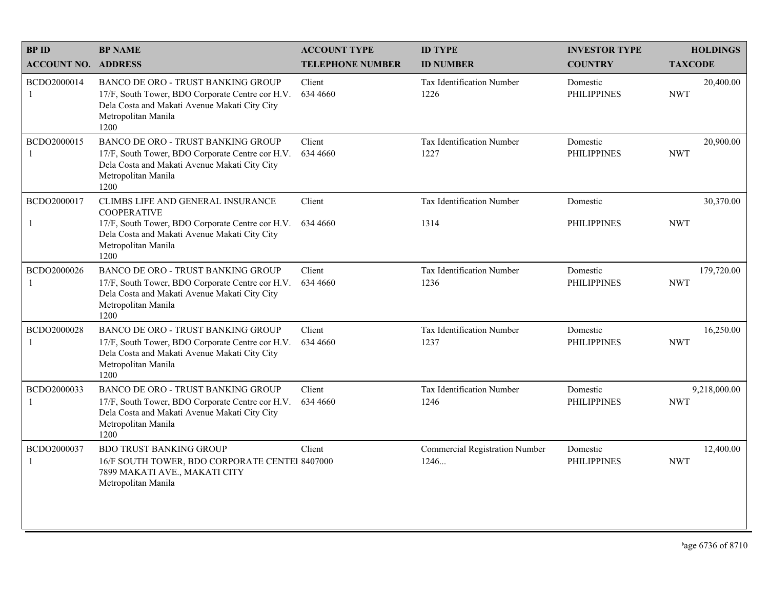| <b>BPID</b>                 | <b>BP NAME</b>                                                                                                                                                                | <b>ACCOUNT TYPE</b>     | <b>ID TYPE</b>                                | <b>INVESTOR TYPE</b>           | <b>HOLDINGS</b>            |
|-----------------------------|-------------------------------------------------------------------------------------------------------------------------------------------------------------------------------|-------------------------|-----------------------------------------------|--------------------------------|----------------------------|
| <b>ACCOUNT NO. ADDRESS</b>  |                                                                                                                                                                               | <b>TELEPHONE NUMBER</b> | <b>ID NUMBER</b>                              | <b>COUNTRY</b>                 | <b>TAXCODE</b>             |
| BCDO2000014<br>-1           | <b>BANCO DE ORO - TRUST BANKING GROUP</b><br>17/F, South Tower, BDO Corporate Centre cor H.V.<br>Dela Costa and Makati Avenue Makati City City<br>Metropolitan Manila<br>1200 | Client<br>634 4660      | <b>Tax Identification Number</b><br>1226      | Domestic<br><b>PHILIPPINES</b> | 20,400.00<br><b>NWT</b>    |
| BCDO2000015<br>$\mathbf{1}$ | <b>BANCO DE ORO - TRUST BANKING GROUP</b><br>17/F, South Tower, BDO Corporate Centre cor H.V.<br>Dela Costa and Makati Avenue Makati City City<br>Metropolitan Manila<br>1200 | Client<br>634 4660      | <b>Tax Identification Number</b><br>1227      | Domestic<br><b>PHILIPPINES</b> | 20,900.00<br><b>NWT</b>    |
| BCDO2000017                 | CLIMBS LIFE AND GENERAL INSURANCE<br><b>COOPERATIVE</b>                                                                                                                       | Client                  | Tax Identification Number                     | Domestic                       | 30,370.00                  |
| $\mathbf{1}$                | 17/F, South Tower, BDO Corporate Centre cor H.V.<br>Dela Costa and Makati Avenue Makati City City<br>Metropolitan Manila<br>1200                                              | 634 4660                | 1314                                          | <b>PHILIPPINES</b>             | <b>NWT</b>                 |
| BCDO2000026                 | <b>BANCO DE ORO - TRUST BANKING GROUP</b><br>17/F, South Tower, BDO Corporate Centre cor H.V.<br>Dela Costa and Makati Avenue Makati City City<br>Metropolitan Manila<br>1200 | Client<br>634 4660      | Tax Identification Number<br>1236             | Domestic<br><b>PHILIPPINES</b> | 179,720.00<br><b>NWT</b>   |
| BCDO2000028<br>-1           | <b>BANCO DE ORO - TRUST BANKING GROUP</b><br>17/F, South Tower, BDO Corporate Centre cor H.V.<br>Dela Costa and Makati Avenue Makati City City<br>Metropolitan Manila<br>1200 | Client<br>634 4660      | Tax Identification Number<br>1237             | Domestic<br><b>PHILIPPINES</b> | 16,250.00<br><b>NWT</b>    |
| BCDO2000033<br>-1           | BANCO DE ORO - TRUST BANKING GROUP<br>17/F, South Tower, BDO Corporate Centre cor H.V.<br>Dela Costa and Makati Avenue Makati City City<br>Metropolitan Manila<br>1200        | Client<br>634 4660      | Tax Identification Number<br>1246             | Domestic<br><b>PHILIPPINES</b> | 9,218,000.00<br><b>NWT</b> |
| BCDO2000037<br>1            | <b>BDO TRUST BANKING GROUP</b><br>16/F SOUTH TOWER, BDO CORPORATE CENTEI 8407000<br>7899 MAKATI AVE., MAKATI CITY<br>Metropolitan Manila                                      | Client                  | <b>Commercial Registration Number</b><br>1246 | Domestic<br><b>PHILIPPINES</b> | 12,400.00<br><b>NWT</b>    |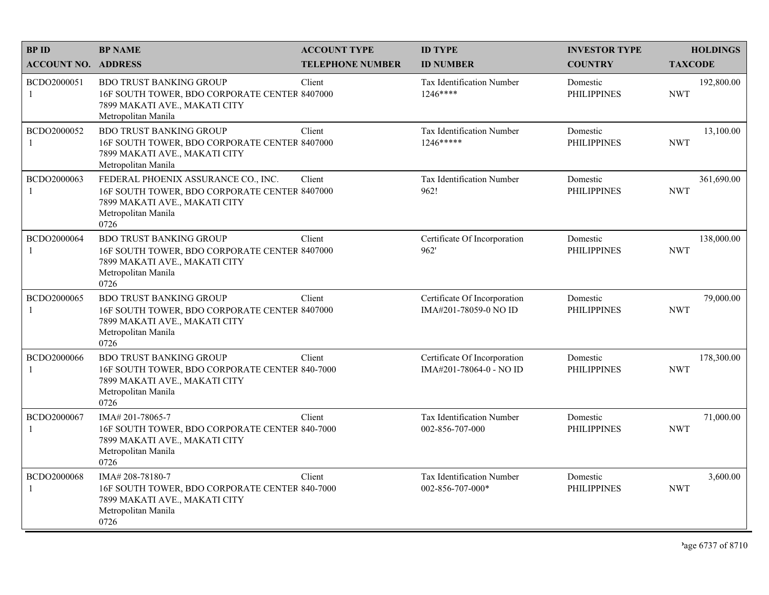| <b>BPID</b>                 | <b>BP NAME</b>                                                                                                                                       | <b>ACCOUNT TYPE</b>     | <b>ID TYPE</b>                                          | <b>INVESTOR TYPE</b>           | <b>HOLDINGS</b>          |
|-----------------------------|------------------------------------------------------------------------------------------------------------------------------------------------------|-------------------------|---------------------------------------------------------|--------------------------------|--------------------------|
| <b>ACCOUNT NO. ADDRESS</b>  |                                                                                                                                                      | <b>TELEPHONE NUMBER</b> | <b>ID NUMBER</b>                                        | <b>COUNTRY</b>                 | <b>TAXCODE</b>           |
| BCDO2000051<br>-1           | <b>BDO TRUST BANKING GROUP</b><br>16F SOUTH TOWER, BDO CORPORATE CENTER 8407000<br>7899 MAKATI AVE., MAKATI CITY<br>Metropolitan Manila              | Client                  | Tax Identification Number<br>1246****                   | Domestic<br><b>PHILIPPINES</b> | 192,800.00<br><b>NWT</b> |
| BCDO2000052<br>-1           | <b>BDO TRUST BANKING GROUP</b><br>16F SOUTH TOWER, BDO CORPORATE CENTER 8407000<br>7899 MAKATI AVE., MAKATI CITY<br>Metropolitan Manila              | Client                  | Tax Identification Number<br>$1246***$                  | Domestic<br><b>PHILIPPINES</b> | 13,100.00<br><b>NWT</b>  |
| BCDO2000063<br>-1           | FEDERAL PHOENIX ASSURANCE CO., INC.<br>16F SOUTH TOWER, BDO CORPORATE CENTER 8407000<br>7899 MAKATI AVE., MAKATI CITY<br>Metropolitan Manila<br>0726 | Client                  | Tax Identification Number<br>962!                       | Domestic<br><b>PHILIPPINES</b> | 361,690.00<br><b>NWT</b> |
| BCDO2000064<br>-1           | <b>BDO TRUST BANKING GROUP</b><br>16F SOUTH TOWER, BDO CORPORATE CENTER 8407000<br>7899 MAKATI AVE., MAKATI CITY<br>Metropolitan Manila<br>0726      | Client                  | Certificate Of Incorporation<br>962'                    | Domestic<br><b>PHILIPPINES</b> | 138,000.00<br><b>NWT</b> |
| BCDO2000065<br>$\mathbf{1}$ | <b>BDO TRUST BANKING GROUP</b><br>16F SOUTH TOWER, BDO CORPORATE CENTER 8407000<br>7899 MAKATI AVE., MAKATI CITY<br>Metropolitan Manila<br>0726      | Client                  | Certificate Of Incorporation<br>IMA#201-78059-0 NO ID   | Domestic<br><b>PHILIPPINES</b> | 79,000.00<br><b>NWT</b>  |
| BCDO2000066<br>-1           | <b>BDO TRUST BANKING GROUP</b><br>16F SOUTH TOWER, BDO CORPORATE CENTER 840-7000<br>7899 MAKATI AVE., MAKATI CITY<br>Metropolitan Manila<br>0726     | Client                  | Certificate Of Incorporation<br>IMA#201-78064-0 - NO ID | Domestic<br><b>PHILIPPINES</b> | 178,300.00<br><b>NWT</b> |
| BCDO2000067<br>-1           | IMA#201-78065-7<br>16F SOUTH TOWER, BDO CORPORATE CENTER 840-7000<br>7899 MAKATI AVE., MAKATI CITY<br>Metropolitan Manila<br>0726                    | Client                  | Tax Identification Number<br>002-856-707-000            | Domestic<br><b>PHILIPPINES</b> | 71,000.00<br><b>NWT</b>  |
| BCDO2000068<br>$\mathbf{1}$ | IMA# 208-78180-7<br>16F SOUTH TOWER, BDO CORPORATE CENTER 840-7000<br>7899 MAKATI AVE., MAKATI CITY<br>Metropolitan Manila<br>0726                   | Client                  | Tax Identification Number<br>002-856-707-000*           | Domestic<br><b>PHILIPPINES</b> | 3,600.00<br><b>NWT</b>   |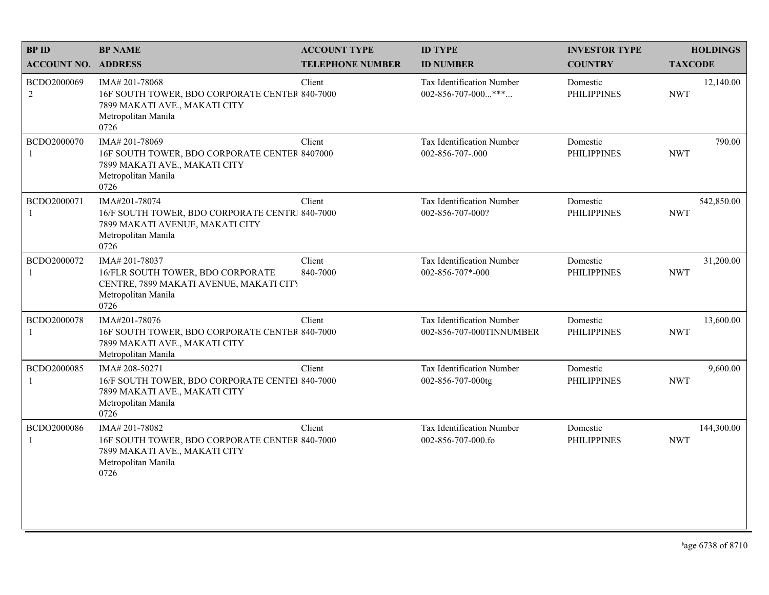| <b>BPID</b>                   | <b>BP NAME</b>                                                                                                                    | <b>ACCOUNT TYPE</b>     | <b>ID TYPE</b>                                        | <b>INVESTOR TYPE</b>           | <b>HOLDINGS</b>          |
|-------------------------------|-----------------------------------------------------------------------------------------------------------------------------------|-------------------------|-------------------------------------------------------|--------------------------------|--------------------------|
| <b>ACCOUNT NO. ADDRESS</b>    |                                                                                                                                   | <b>TELEPHONE NUMBER</b> | <b>ID NUMBER</b>                                      | <b>COUNTRY</b>                 | <b>TAXCODE</b>           |
| BCDO2000069<br>$\overline{2}$ | IMA#201-78068<br>16F SOUTH TOWER, BDO CORPORATE CENTER 840-7000<br>7899 MAKATI AVE., MAKATI CITY<br>Metropolitan Manila<br>0726   | Client                  | Tax Identification Number<br>002-856-707-000***       | Domestic<br><b>PHILIPPINES</b> | 12,140.00<br><b>NWT</b>  |
| BCDO2000070<br>-1             | IMA# 201-78069<br>16F SOUTH TOWER, BDO CORPORATE CENTER 8407000<br>7899 MAKATI AVE., MAKATI CITY<br>Metropolitan Manila<br>0726   | Client                  | Tax Identification Number<br>002-856-707-.000         | Domestic<br><b>PHILIPPINES</b> | 790.00<br><b>NWT</b>     |
| BCDO2000071<br>-1             | IMA#201-78074<br>16/F SOUTH TOWER, BDO CORPORATE CENTR 840-7000<br>7899 MAKATI AVENUE, MAKATI CITY<br>Metropolitan Manila<br>0726 | Client                  | Tax Identification Number<br>002-856-707-000?         | Domestic<br><b>PHILIPPINES</b> | 542,850.00<br><b>NWT</b> |
| BCDO2000072<br>-1             | IMA#201-78037<br>16/FLR SOUTH TOWER, BDO CORPORATE<br>CENTRE, 7899 MAKATI AVENUE, MAKATI CITY<br>Metropolitan Manila<br>0726      | Client<br>840-7000      | Tax Identification Number<br>002-856-707*-000         | Domestic<br><b>PHILIPPINES</b> | 31,200.00<br><b>NWT</b>  |
| BCDO2000078<br>-1             | IMA#201-78076<br>16F SOUTH TOWER, BDO CORPORATE CENTER 840-7000<br>7899 MAKATI AVE., MAKATI CITY<br>Metropolitan Manila           | Client                  | Tax Identification Number<br>002-856-707-000TINNUMBER | Domestic<br><b>PHILIPPINES</b> | 13,600.00<br><b>NWT</b>  |
| BCDO2000085<br>$\mathbf{1}$   | IMA#208-50271<br>16/F SOUTH TOWER, BDO CORPORATE CENTEI 840-7000<br>7899 MAKATI AVE., MAKATI CITY<br>Metropolitan Manila<br>0726  | Client                  | <b>Tax Identification Number</b><br>002-856-707-000tg | Domestic<br><b>PHILIPPINES</b> | 9,600.00<br><b>NWT</b>   |
| BCDO2000086<br>-1             | IMA#201-78082<br>16F SOUTH TOWER, BDO CORPORATE CENTER 840-7000<br>7899 MAKATI AVE., MAKATI CITY<br>Metropolitan Manila<br>0726   | Client                  | Tax Identification Number<br>002-856-707-000.fo       | Domestic<br><b>PHILIPPINES</b> | 144,300.00<br><b>NWT</b> |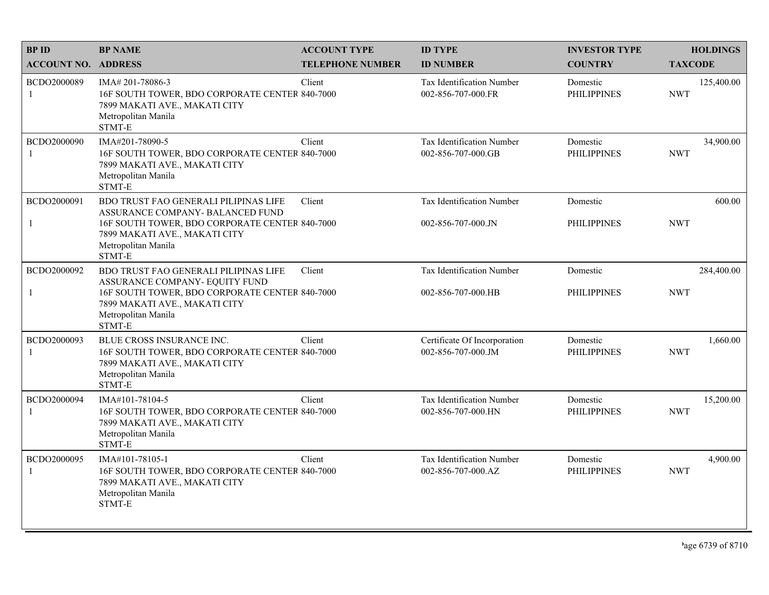| <b>BPID</b>                 | <b>BP NAME</b>                                                                                                                                | <b>ACCOUNT TYPE</b>     | <b>ID TYPE</b>                                     | <b>INVESTOR TYPE</b>           | <b>HOLDINGS</b>          |
|-----------------------------|-----------------------------------------------------------------------------------------------------------------------------------------------|-------------------------|----------------------------------------------------|--------------------------------|--------------------------|
| <b>ACCOUNT NO. ADDRESS</b>  |                                                                                                                                               | <b>TELEPHONE NUMBER</b> | <b>ID NUMBER</b>                                   | <b>COUNTRY</b>                 | <b>TAXCODE</b>           |
| BCDO2000089<br>-1           | IMA# 201-78086-3<br>16F SOUTH TOWER, BDO CORPORATE CENTER 840-7000<br>7899 MAKATI AVE., MAKATI CITY<br>Metropolitan Manila<br>STMT-E          | Client                  | Tax Identification Number<br>002-856-707-000.FR    | Domestic<br><b>PHILIPPINES</b> | 125,400.00<br><b>NWT</b> |
| BCDO2000090<br>$\mathbf{1}$ | IMA#201-78090-5<br>16F SOUTH TOWER, BDO CORPORATE CENTER 840-7000<br>7899 MAKATI AVE., MAKATI CITY<br>Metropolitan Manila<br>STMT-E           | Client                  | Tax Identification Number<br>002-856-707-000.GB    | Domestic<br><b>PHILIPPINES</b> | 34,900.00<br><b>NWT</b>  |
| BCDO2000091                 | BDO TRUST FAO GENERALI PILIPINAS LIFE<br>ASSURANCE COMPANY- BALANCED FUND                                                                     | Client                  | <b>Tax Identification Number</b>                   | Domestic                       | 600.00                   |
| $\mathbf{1}$                | 16F SOUTH TOWER, BDO CORPORATE CENTER 840-7000<br>7899 MAKATI AVE., MAKATI CITY<br>Metropolitan Manila<br>STMT-E                              |                         | 002-856-707-000.JN                                 | <b>PHILIPPINES</b>             | <b>NWT</b>               |
| BCDO2000092                 | BDO TRUST FAO GENERALI PILIPINAS LIFE<br>ASSURANCE COMPANY- EQUITY FUND                                                                       | Client                  | Tax Identification Number                          | Domestic                       | 284,400.00               |
| $\mathbf{1}$                | 16F SOUTH TOWER, BDO CORPORATE CENTER 840-7000<br>7899 MAKATI AVE., MAKATI CITY<br>Metropolitan Manila<br>STMT-E                              |                         | 002-856-707-000.HB                                 | <b>PHILIPPINES</b>             | <b>NWT</b>               |
| BCDO2000093<br>-1           | BLUE CROSS INSURANCE INC.<br>16F SOUTH TOWER, BDO CORPORATE CENTER 840-7000<br>7899 MAKATI AVE., MAKATI CITY<br>Metropolitan Manila<br>STMT-E | Client                  | Certificate Of Incorporation<br>002-856-707-000.JM | Domestic<br><b>PHILIPPINES</b> | 1,660.00<br><b>NWT</b>   |
| BCDO2000094<br>-1           | IMA#101-78104-5<br>16F SOUTH TOWER, BDO CORPORATE CENTER 840-7000<br>7899 MAKATI AVE., MAKATI CITY<br>Metropolitan Manila<br>STMT-E           | Client                  | Tax Identification Number<br>002-856-707-000.HN    | Domestic<br><b>PHILIPPINES</b> | 15,200.00<br><b>NWT</b>  |
| BCDO2000095<br>-1           | IMA#101-78105-1<br>16F SOUTH TOWER, BDO CORPORATE CENTER 840-7000<br>7899 MAKATI AVE., MAKATI CITY<br>Metropolitan Manila<br>STMT-E           | Client                  | Tax Identification Number<br>002-856-707-000.AZ    | Domestic<br><b>PHILIPPINES</b> | 4,900.00<br><b>NWT</b>   |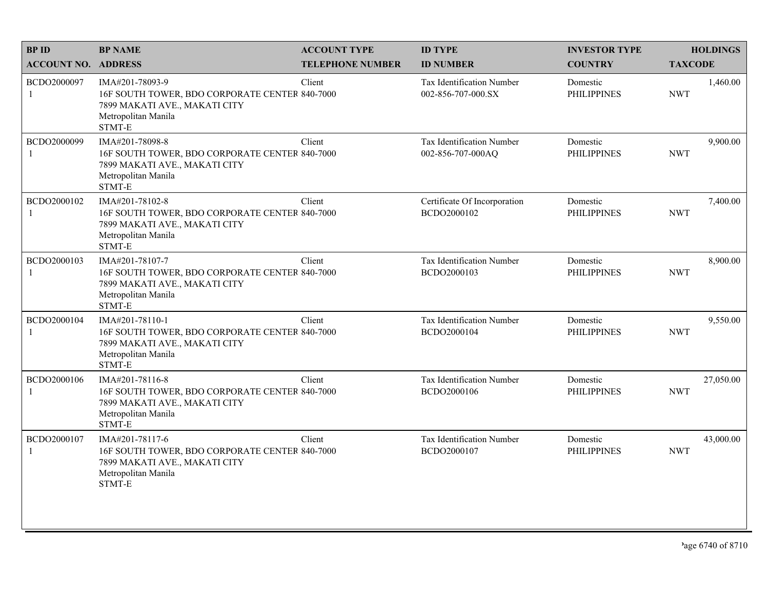| <b>BPID</b>                 | <b>BP NAME</b>                                                                                                                      | <b>ACCOUNT TYPE</b>     | <b>ID TYPE</b>                                         | <b>INVESTOR TYPE</b>           | <b>HOLDINGS</b>         |
|-----------------------------|-------------------------------------------------------------------------------------------------------------------------------------|-------------------------|--------------------------------------------------------|--------------------------------|-------------------------|
| <b>ACCOUNT NO. ADDRESS</b>  |                                                                                                                                     | <b>TELEPHONE NUMBER</b> | <b>ID NUMBER</b>                                       | <b>COUNTRY</b>                 | <b>TAXCODE</b>          |
| BCDO2000097<br>$\mathbf{1}$ | IMA#201-78093-9<br>16F SOUTH TOWER, BDO CORPORATE CENTER 840-7000<br>7899 MAKATI AVE., MAKATI CITY<br>Metropolitan Manila<br>STMT-E | Client                  | <b>Tax Identification Number</b><br>002-856-707-000.SX | Domestic<br><b>PHILIPPINES</b> | 1,460.00<br><b>NWT</b>  |
| BCDO2000099<br>$\mathbf{1}$ | IMA#201-78098-8<br>16F SOUTH TOWER, BDO CORPORATE CENTER 840-7000<br>7899 MAKATI AVE., MAKATI CITY<br>Metropolitan Manila<br>STMT-E | Client                  | Tax Identification Number<br>002-856-707-000AQ         | Domestic<br><b>PHILIPPINES</b> | 9,900.00<br><b>NWT</b>  |
| BCDO2000102<br>1            | IMA#201-78102-8<br>16F SOUTH TOWER, BDO CORPORATE CENTER 840-7000<br>7899 MAKATI AVE., MAKATI CITY<br>Metropolitan Manila<br>STMT-E | Client                  | Certificate Of Incorporation<br>BCDO2000102            | Domestic<br><b>PHILIPPINES</b> | 7,400.00<br><b>NWT</b>  |
| BCDO2000103<br>1            | IMA#201-78107-7<br>16F SOUTH TOWER, BDO CORPORATE CENTER 840-7000<br>7899 MAKATI AVE., MAKATI CITY<br>Metropolitan Manila<br>STMT-E | Client                  | Tax Identification Number<br>BCDO2000103               | Domestic<br><b>PHILIPPINES</b> | 8,900.00<br><b>NWT</b>  |
| BCDO2000104<br>1            | IMA#201-78110-1<br>16F SOUTH TOWER, BDO CORPORATE CENTER 840-7000<br>7899 MAKATI AVE., MAKATI CITY<br>Metropolitan Manila<br>STMT-E | Client                  | Tax Identification Number<br>BCDO2000104               | Domestic<br><b>PHILIPPINES</b> | 9,550.00<br><b>NWT</b>  |
| BCDO2000106<br>$\mathbf{1}$ | IMA#201-78116-8<br>16F SOUTH TOWER, BDO CORPORATE CENTER 840-7000<br>7899 MAKATI AVE., MAKATI CITY<br>Metropolitan Manila<br>STMT-E | Client                  | Tax Identification Number<br>BCDO2000106               | Domestic<br><b>PHILIPPINES</b> | 27,050.00<br><b>NWT</b> |
| BCDO2000107<br>1            | IMA#201-78117-6<br>16F SOUTH TOWER, BDO CORPORATE CENTER 840-7000<br>7899 MAKATI AVE., MAKATI CITY<br>Metropolitan Manila<br>STMT-E | Client                  | Tax Identification Number<br>BCDO2000107               | Domestic<br><b>PHILIPPINES</b> | 43,000.00<br><b>NWT</b> |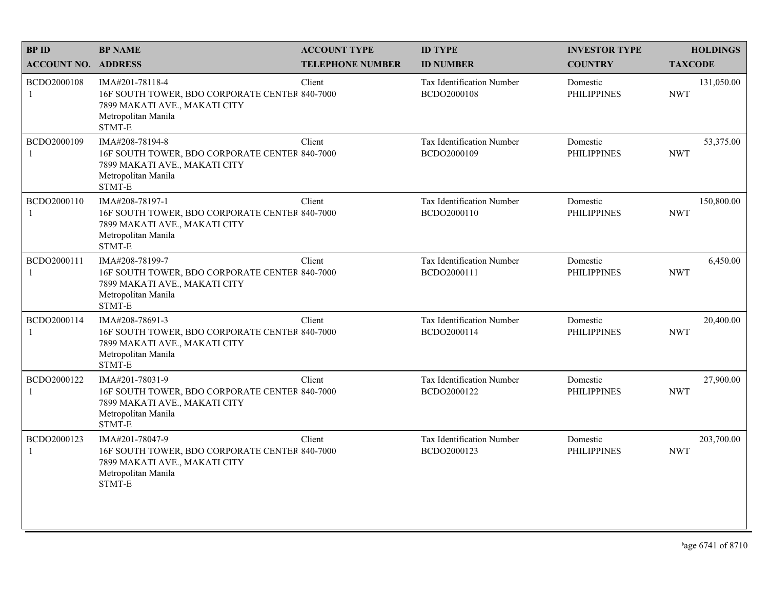| <b>BPID</b>                 | <b>BP NAME</b>                                                                                                                      | <b>ACCOUNT TYPE</b>     | <b>ID TYPE</b>                                  | <b>INVESTOR TYPE</b>           | <b>HOLDINGS</b>          |
|-----------------------------|-------------------------------------------------------------------------------------------------------------------------------------|-------------------------|-------------------------------------------------|--------------------------------|--------------------------|
| <b>ACCOUNT NO. ADDRESS</b>  |                                                                                                                                     | <b>TELEPHONE NUMBER</b> | <b>ID NUMBER</b>                                | <b>COUNTRY</b>                 | <b>TAXCODE</b>           |
| BCDO2000108<br>$\mathbf{1}$ | IMA#201-78118-4<br>16F SOUTH TOWER, BDO CORPORATE CENTER 840-7000<br>7899 MAKATI AVE., MAKATI CITY<br>Metropolitan Manila<br>STMT-E | Client                  | <b>Tax Identification Number</b><br>BCDO2000108 | Domestic<br><b>PHILIPPINES</b> | 131,050.00<br><b>NWT</b> |
| BCDO2000109<br>1            | IMA#208-78194-8<br>16F SOUTH TOWER, BDO CORPORATE CENTER 840-7000<br>7899 MAKATI AVE., MAKATI CITY<br>Metropolitan Manila<br>STMT-E | Client                  | <b>Tax Identification Number</b><br>BCDO2000109 | Domestic<br><b>PHILIPPINES</b> | 53,375.00<br><b>NWT</b>  |
| BCDO2000110<br>1            | IMA#208-78197-1<br>16F SOUTH TOWER, BDO CORPORATE CENTER 840-7000<br>7899 MAKATI AVE., MAKATI CITY<br>Metropolitan Manila<br>STMT-E | Client                  | Tax Identification Number<br>BCDO2000110        | Domestic<br><b>PHILIPPINES</b> | 150,800.00<br><b>NWT</b> |
| BCDO2000111<br>1            | IMA#208-78199-7<br>16F SOUTH TOWER, BDO CORPORATE CENTER 840-7000<br>7899 MAKATI AVE., MAKATI CITY<br>Metropolitan Manila<br>STMT-E | Client                  | Tax Identification Number<br>BCDO2000111        | Domestic<br><b>PHILIPPINES</b> | 6,450.00<br><b>NWT</b>   |
| BCDO2000114<br>1            | IMA#208-78691-3<br>16F SOUTH TOWER, BDO CORPORATE CENTER 840-7000<br>7899 MAKATI AVE., MAKATI CITY<br>Metropolitan Manila<br>STMT-E | Client                  | Tax Identification Number<br>BCDO2000114        | Domestic<br><b>PHILIPPINES</b> | 20,400.00<br><b>NWT</b>  |
| BCDO2000122<br>$\mathbf{1}$ | IMA#201-78031-9<br>16F SOUTH TOWER, BDO CORPORATE CENTER 840-7000<br>7899 MAKATI AVE., MAKATI CITY<br>Metropolitan Manila<br>STMT-E | Client                  | Tax Identification Number<br>BCDO2000122        | Domestic<br><b>PHILIPPINES</b> | 27,900.00<br><b>NWT</b>  |
| BCDO2000123<br>1            | IMA#201-78047-9<br>16F SOUTH TOWER, BDO CORPORATE CENTER 840-7000<br>7899 MAKATI AVE., MAKATI CITY<br>Metropolitan Manila<br>STMT-E | Client                  | Tax Identification Number<br>BCDO2000123        | Domestic<br><b>PHILIPPINES</b> | 203,700.00<br><b>NWT</b> |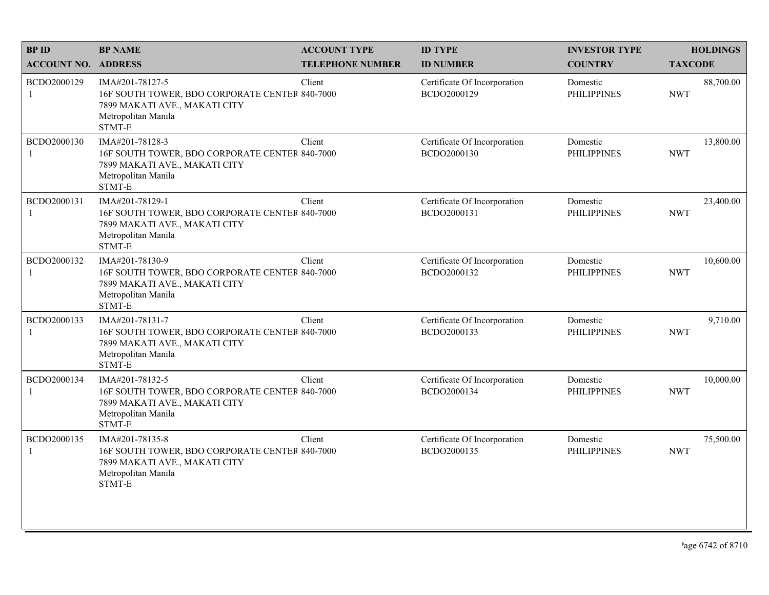| <b>BPID</b>                 | <b>BP NAME</b>                                                                                                                      | <b>ACCOUNT TYPE</b>     | <b>ID TYPE</b>                              | <b>INVESTOR TYPE</b>           | <b>HOLDINGS</b>         |
|-----------------------------|-------------------------------------------------------------------------------------------------------------------------------------|-------------------------|---------------------------------------------|--------------------------------|-------------------------|
| <b>ACCOUNT NO. ADDRESS</b>  |                                                                                                                                     | <b>TELEPHONE NUMBER</b> | <b>ID NUMBER</b>                            | <b>COUNTRY</b>                 | <b>TAXCODE</b>          |
| BCDO2000129<br>$\mathbf{1}$ | IMA#201-78127-5<br>16F SOUTH TOWER, BDO CORPORATE CENTER 840-7000<br>7899 MAKATI AVE., MAKATI CITY<br>Metropolitan Manila<br>STMT-E | Client                  | Certificate Of Incorporation<br>BCDO2000129 | Domestic<br><b>PHILIPPINES</b> | 88,700.00<br><b>NWT</b> |
| BCDO2000130<br>$\mathbf{1}$ | IMA#201-78128-3<br>16F SOUTH TOWER, BDO CORPORATE CENTER 840-7000<br>7899 MAKATI AVE., MAKATI CITY<br>Metropolitan Manila<br>STMT-E | Client                  | Certificate Of Incorporation<br>BCDO2000130 | Domestic<br><b>PHILIPPINES</b> | 13,800.00<br><b>NWT</b> |
| BCDO2000131<br>1            | IMA#201-78129-1<br>16F SOUTH TOWER, BDO CORPORATE CENTER 840-7000<br>7899 MAKATI AVE., MAKATI CITY<br>Metropolitan Manila<br>STMT-E | Client                  | Certificate Of Incorporation<br>BCDO2000131 | Domestic<br><b>PHILIPPINES</b> | 23,400.00<br><b>NWT</b> |
| BCDO2000132<br>$\mathbf{1}$ | IMA#201-78130-9<br>16F SOUTH TOWER, BDO CORPORATE CENTER 840-7000<br>7899 MAKATI AVE., MAKATI CITY<br>Metropolitan Manila<br>STMT-E | Client                  | Certificate Of Incorporation<br>BCDO2000132 | Domestic<br><b>PHILIPPINES</b> | 10,600.00<br><b>NWT</b> |
| BCDO2000133<br>-1           | IMA#201-78131-7<br>16F SOUTH TOWER, BDO CORPORATE CENTER 840-7000<br>7899 MAKATI AVE., MAKATI CITY<br>Metropolitan Manila<br>STMT-E | Client                  | Certificate Of Incorporation<br>BCDO2000133 | Domestic<br><b>PHILIPPINES</b> | 9,710.00<br><b>NWT</b>  |
| BCDO2000134<br>$\mathbf{1}$ | IMA#201-78132-5<br>16F SOUTH TOWER, BDO CORPORATE CENTER 840-7000<br>7899 MAKATI AVE., MAKATI CITY<br>Metropolitan Manila<br>STMT-E | Client                  | Certificate Of Incorporation<br>BCDO2000134 | Domestic<br><b>PHILIPPINES</b> | 10,000.00<br><b>NWT</b> |
| BCDO2000135<br>1            | IMA#201-78135-8<br>16F SOUTH TOWER, BDO CORPORATE CENTER 840-7000<br>7899 MAKATI AVE., MAKATI CITY<br>Metropolitan Manila<br>STMT-E | Client                  | Certificate Of Incorporation<br>BCDO2000135 | Domestic<br><b>PHILIPPINES</b> | 75,500.00<br><b>NWT</b> |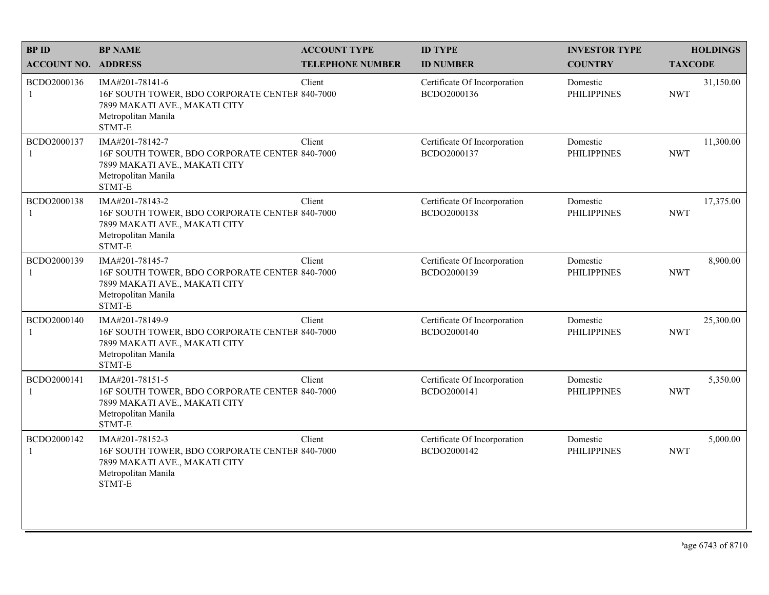| <b>BPID</b>                 | <b>BP NAME</b>                                                                                                                      | <b>ACCOUNT TYPE</b>     | <b>ID TYPE</b>                              | <b>INVESTOR TYPE</b>           | <b>HOLDINGS</b>         |
|-----------------------------|-------------------------------------------------------------------------------------------------------------------------------------|-------------------------|---------------------------------------------|--------------------------------|-------------------------|
| <b>ACCOUNT NO. ADDRESS</b>  |                                                                                                                                     | <b>TELEPHONE NUMBER</b> | <b>ID NUMBER</b>                            | <b>COUNTRY</b>                 | <b>TAXCODE</b>          |
| BCDO2000136<br>$\mathbf{1}$ | IMA#201-78141-6<br>16F SOUTH TOWER, BDO CORPORATE CENTER 840-7000<br>7899 MAKATI AVE., MAKATI CITY<br>Metropolitan Manila<br>STMT-E | Client                  | Certificate Of Incorporation<br>BCDO2000136 | Domestic<br><b>PHILIPPINES</b> | 31,150.00<br><b>NWT</b> |
| BCDO2000137<br>$\mathbf{1}$ | IMA#201-78142-7<br>16F SOUTH TOWER, BDO CORPORATE CENTER 840-7000<br>7899 MAKATI AVE., MAKATI CITY<br>Metropolitan Manila<br>STMT-E | Client                  | Certificate Of Incorporation<br>BCDO2000137 | Domestic<br><b>PHILIPPINES</b> | 11,300.00<br><b>NWT</b> |
| BCDO2000138<br>1            | IMA#201-78143-2<br>16F SOUTH TOWER, BDO CORPORATE CENTER 840-7000<br>7899 MAKATI AVE., MAKATI CITY<br>Metropolitan Manila<br>STMT-E | Client                  | Certificate Of Incorporation<br>BCDO2000138 | Domestic<br><b>PHILIPPINES</b> | 17,375.00<br><b>NWT</b> |
| BCDO2000139<br>1            | IMA#201-78145-7<br>16F SOUTH TOWER, BDO CORPORATE CENTER 840-7000<br>7899 MAKATI AVE., MAKATI CITY<br>Metropolitan Manila<br>STMT-E | Client                  | Certificate Of Incorporation<br>BCDO2000139 | Domestic<br><b>PHILIPPINES</b> | 8,900.00<br><b>NWT</b>  |
| BCDO2000140<br>-1           | IMA#201-78149-9<br>16F SOUTH TOWER, BDO CORPORATE CENTER 840-7000<br>7899 MAKATI AVE., MAKATI CITY<br>Metropolitan Manila<br>STMT-E | Client                  | Certificate Of Incorporation<br>BCDO2000140 | Domestic<br><b>PHILIPPINES</b> | 25,300.00<br><b>NWT</b> |
| BCDO2000141<br>$\mathbf{1}$ | IMA#201-78151-5<br>16F SOUTH TOWER, BDO CORPORATE CENTER 840-7000<br>7899 MAKATI AVE., MAKATI CITY<br>Metropolitan Manila<br>STMT-E | Client                  | Certificate Of Incorporation<br>BCDO2000141 | Domestic<br><b>PHILIPPINES</b> | 5,350.00<br><b>NWT</b>  |
| BCDO2000142<br>1            | IMA#201-78152-3<br>16F SOUTH TOWER, BDO CORPORATE CENTER 840-7000<br>7899 MAKATI AVE., MAKATI CITY<br>Metropolitan Manila<br>STMT-E | Client                  | Certificate Of Incorporation<br>BCDO2000142 | Domestic<br><b>PHILIPPINES</b> | 5,000.00<br><b>NWT</b>  |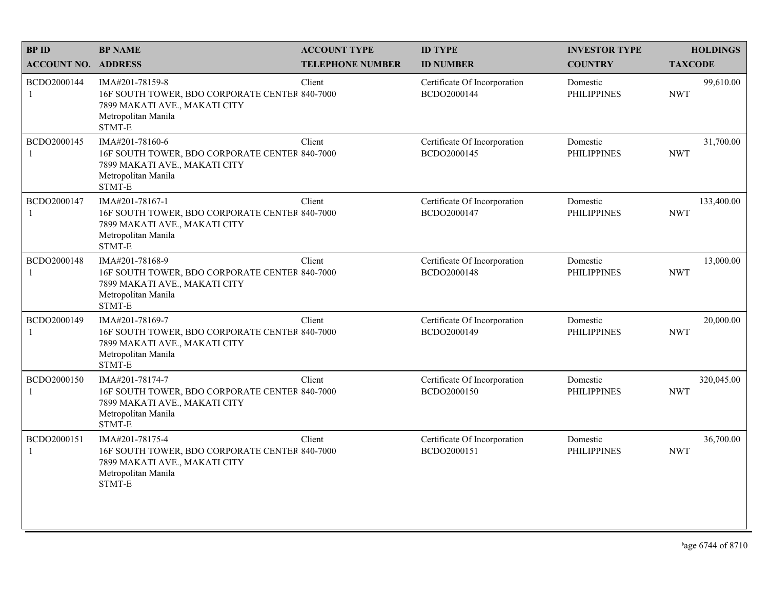| <b>BPID</b>                 | <b>BP NAME</b>                                                                                                                      | <b>ACCOUNT TYPE</b>     | <b>ID TYPE</b>                              | <b>INVESTOR TYPE</b>           | <b>HOLDINGS</b>          |
|-----------------------------|-------------------------------------------------------------------------------------------------------------------------------------|-------------------------|---------------------------------------------|--------------------------------|--------------------------|
| <b>ACCOUNT NO. ADDRESS</b>  |                                                                                                                                     | <b>TELEPHONE NUMBER</b> | <b>ID NUMBER</b>                            | <b>COUNTRY</b>                 | <b>TAXCODE</b>           |
| BCDO2000144<br>$\mathbf{1}$ | IMA#201-78159-8<br>16F SOUTH TOWER, BDO CORPORATE CENTER 840-7000<br>7899 MAKATI AVE., MAKATI CITY<br>Metropolitan Manila<br>STMT-E | Client                  | Certificate Of Incorporation<br>BCDO2000144 | Domestic<br><b>PHILIPPINES</b> | 99,610.00<br><b>NWT</b>  |
| BCDO2000145<br>$\mathbf{1}$ | IMA#201-78160-6<br>16F SOUTH TOWER, BDO CORPORATE CENTER 840-7000<br>7899 MAKATI AVE., MAKATI CITY<br>Metropolitan Manila<br>STMT-E | Client                  | Certificate Of Incorporation<br>BCDO2000145 | Domestic<br><b>PHILIPPINES</b> | 31,700.00<br><b>NWT</b>  |
| BCDO2000147<br>1            | IMA#201-78167-1<br>16F SOUTH TOWER, BDO CORPORATE CENTER 840-7000<br>7899 MAKATI AVE., MAKATI CITY<br>Metropolitan Manila<br>STMT-E | Client                  | Certificate Of Incorporation<br>BCDO2000147 | Domestic<br><b>PHILIPPINES</b> | 133,400.00<br><b>NWT</b> |
| BCDO2000148<br>1            | IMA#201-78168-9<br>16F SOUTH TOWER, BDO CORPORATE CENTER 840-7000<br>7899 MAKATI AVE., MAKATI CITY<br>Metropolitan Manila<br>STMT-E | Client                  | Certificate Of Incorporation<br>BCDO2000148 | Domestic<br><b>PHILIPPINES</b> | 13,000.00<br><b>NWT</b>  |
| BCDO2000149<br>-1           | IMA#201-78169-7<br>16F SOUTH TOWER, BDO CORPORATE CENTER 840-7000<br>7899 MAKATI AVE., MAKATI CITY<br>Metropolitan Manila<br>STMT-E | Client                  | Certificate Of Incorporation<br>BCDO2000149 | Domestic<br><b>PHILIPPINES</b> | 20,000.00<br><b>NWT</b>  |
| BCDO2000150<br>$\mathbf{1}$ | IMA#201-78174-7<br>16F SOUTH TOWER, BDO CORPORATE CENTER 840-7000<br>7899 MAKATI AVE., MAKATI CITY<br>Metropolitan Manila<br>STMT-E | Client                  | Certificate Of Incorporation<br>BCDO2000150 | Domestic<br><b>PHILIPPINES</b> | 320,045.00<br><b>NWT</b> |
| BCDO2000151<br>1            | IMA#201-78175-4<br>16F SOUTH TOWER, BDO CORPORATE CENTER 840-7000<br>7899 MAKATI AVE., MAKATI CITY<br>Metropolitan Manila<br>STMT-E | Client                  | Certificate Of Incorporation<br>BCDO2000151 | Domestic<br><b>PHILIPPINES</b> | 36,700.00<br><b>NWT</b>  |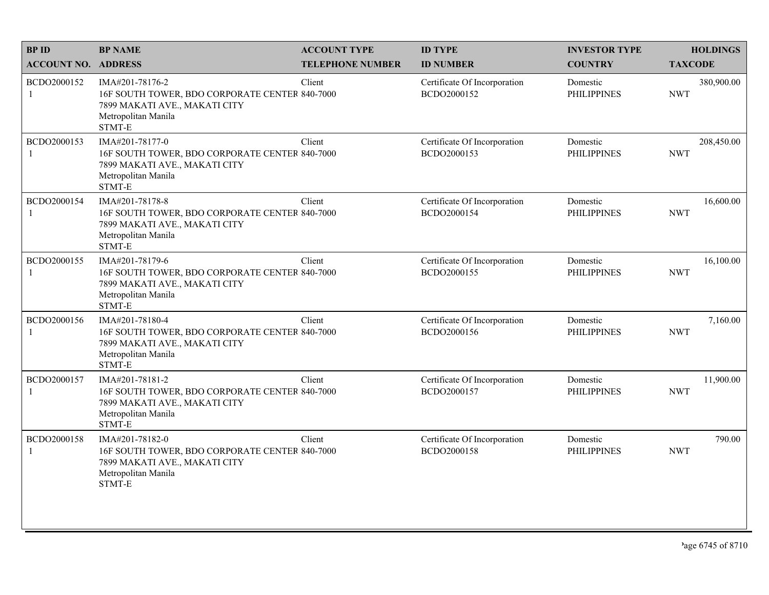| <b>BPID</b>                 | <b>BP NAME</b>                                                                                                                      | <b>ACCOUNT TYPE</b>     | <b>ID TYPE</b>                              | <b>INVESTOR TYPE</b>           | <b>HOLDINGS</b>          |
|-----------------------------|-------------------------------------------------------------------------------------------------------------------------------------|-------------------------|---------------------------------------------|--------------------------------|--------------------------|
| <b>ACCOUNT NO. ADDRESS</b>  |                                                                                                                                     | <b>TELEPHONE NUMBER</b> | <b>ID NUMBER</b>                            | <b>COUNTRY</b>                 | <b>TAXCODE</b>           |
| BCDO2000152<br>$\mathbf{1}$ | IMA#201-78176-2<br>16F SOUTH TOWER, BDO CORPORATE CENTER 840-7000<br>7899 MAKATI AVE., MAKATI CITY<br>Metropolitan Manila<br>STMT-E | Client                  | Certificate Of Incorporation<br>BCDO2000152 | Domestic<br><b>PHILIPPINES</b> | 380,900.00<br><b>NWT</b> |
| BCDO2000153                 | IMA#201-78177-0<br>16F SOUTH TOWER, BDO CORPORATE CENTER 840-7000<br>7899 MAKATI AVE., MAKATI CITY<br>Metropolitan Manila<br>STMT-E | Client                  | Certificate Of Incorporation<br>BCDO2000153 | Domestic<br><b>PHILIPPINES</b> | 208,450.00<br><b>NWT</b> |
| BCDO2000154<br>1            | IMA#201-78178-8<br>16F SOUTH TOWER, BDO CORPORATE CENTER 840-7000<br>7899 MAKATI AVE., MAKATI CITY<br>Metropolitan Manila<br>STMT-E | Client                  | Certificate Of Incorporation<br>BCDO2000154 | Domestic<br><b>PHILIPPINES</b> | 16,600.00<br><b>NWT</b>  |
| BCDO2000155<br>1            | IMA#201-78179-6<br>16F SOUTH TOWER, BDO CORPORATE CENTER 840-7000<br>7899 MAKATI AVE., MAKATI CITY<br>Metropolitan Manila<br>STMT-E | Client                  | Certificate Of Incorporation<br>BCDO2000155 | Domestic<br><b>PHILIPPINES</b> | 16,100.00<br><b>NWT</b>  |
| BCDO2000156<br>1            | IMA#201-78180-4<br>16F SOUTH TOWER, BDO CORPORATE CENTER 840-7000<br>7899 MAKATI AVE., MAKATI CITY<br>Metropolitan Manila<br>STMT-E | Client                  | Certificate Of Incorporation<br>BCDO2000156 | Domestic<br><b>PHILIPPINES</b> | 7,160.00<br><b>NWT</b>   |
| BCDO2000157<br>1            | IMA#201-78181-2<br>16F SOUTH TOWER, BDO CORPORATE CENTER 840-7000<br>7899 MAKATI AVE., MAKATI CITY<br>Metropolitan Manila<br>STMT-E | Client                  | Certificate Of Incorporation<br>BCDO2000157 | Domestic<br><b>PHILIPPINES</b> | 11,900.00<br><b>NWT</b>  |
| BCDO2000158<br>1            | IMA#201-78182-0<br>16F SOUTH TOWER, BDO CORPORATE CENTER 840-7000<br>7899 MAKATI AVE., MAKATI CITY<br>Metropolitan Manila<br>STMT-E | Client                  | Certificate Of Incorporation<br>BCDO2000158 | Domestic<br><b>PHILIPPINES</b> | 790.00<br><b>NWT</b>     |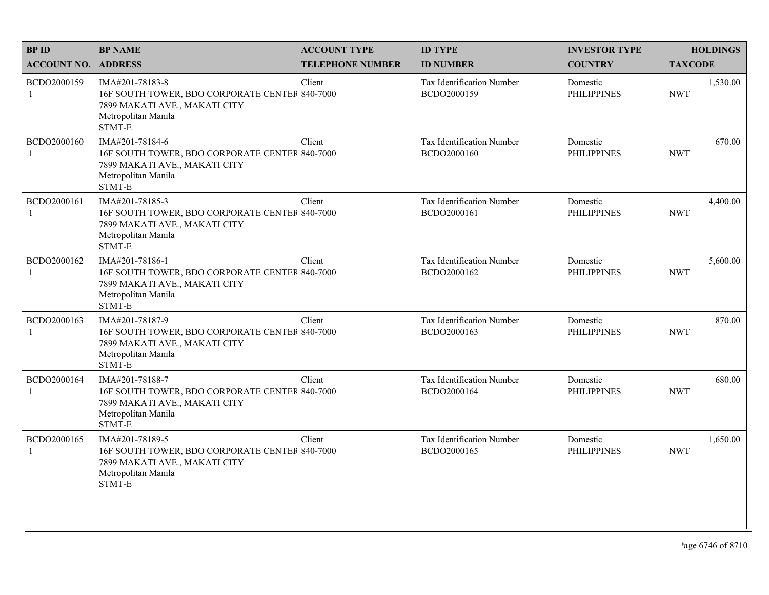| <b>BPID</b>                | <b>BP NAME</b>                                                                                                                      | <b>ACCOUNT TYPE</b>     | <b>ID TYPE</b>                           | <b>INVESTOR TYPE</b>           | <b>HOLDINGS</b>        |
|----------------------------|-------------------------------------------------------------------------------------------------------------------------------------|-------------------------|------------------------------------------|--------------------------------|------------------------|
| <b>ACCOUNT NO. ADDRESS</b> |                                                                                                                                     | <b>TELEPHONE NUMBER</b> | <b>ID NUMBER</b>                         | <b>COUNTRY</b>                 | <b>TAXCODE</b>         |
| BCDO2000159<br>1           | IMA#201-78183-8<br>16F SOUTH TOWER, BDO CORPORATE CENTER 840-7000<br>7899 MAKATI AVE., MAKATI CITY<br>Metropolitan Manila<br>STMT-E | Client                  | Tax Identification Number<br>BCDO2000159 | Domestic<br><b>PHILIPPINES</b> | 1,530.00<br><b>NWT</b> |
| BCDO2000160                | IMA#201-78184-6<br>16F SOUTH TOWER, BDO CORPORATE CENTER 840-7000<br>7899 MAKATI AVE., MAKATI CITY<br>Metropolitan Manila<br>STMT-E | Client                  | Tax Identification Number<br>BCDO2000160 | Domestic<br><b>PHILIPPINES</b> | 670.00<br><b>NWT</b>   |
| BCDO2000161                | IMA#201-78185-3<br>16F SOUTH TOWER, BDO CORPORATE CENTER 840-7000<br>7899 MAKATI AVE., MAKATI CITY<br>Metropolitan Manila<br>STMT-E | Client                  | Tax Identification Number<br>BCDO2000161 | Domestic<br><b>PHILIPPINES</b> | 4,400.00<br><b>NWT</b> |
| BCDO2000162                | IMA#201-78186-1<br>16F SOUTH TOWER, BDO CORPORATE CENTER 840-7000<br>7899 MAKATI AVE., MAKATI CITY<br>Metropolitan Manila<br>STMT-E | Client                  | Tax Identification Number<br>BCDO2000162 | Domestic<br><b>PHILIPPINES</b> | 5,600.00<br><b>NWT</b> |
| BCDO2000163                | IMA#201-78187-9<br>16F SOUTH TOWER, BDO CORPORATE CENTER 840-7000<br>7899 MAKATI AVE., MAKATI CITY<br>Metropolitan Manila<br>STMT-E | Client                  | Tax Identification Number<br>BCDO2000163 | Domestic<br><b>PHILIPPINES</b> | 870.00<br><b>NWT</b>   |
| BCDO2000164<br>1           | IMA#201-78188-7<br>16F SOUTH TOWER, BDO CORPORATE CENTER 840-7000<br>7899 MAKATI AVE., MAKATI CITY<br>Metropolitan Manila<br>STMT-E | Client                  | Tax Identification Number<br>BCDO2000164 | Domestic<br><b>PHILIPPINES</b> | 680.00<br><b>NWT</b>   |
| BCDO2000165<br>1           | IMA#201-78189-5<br>16F SOUTH TOWER, BDO CORPORATE CENTER 840-7000<br>7899 MAKATI AVE., MAKATI CITY<br>Metropolitan Manila<br>STMT-E | Client                  | Tax Identification Number<br>BCDO2000165 | Domestic<br><b>PHILIPPINES</b> | 1,650.00<br><b>NWT</b> |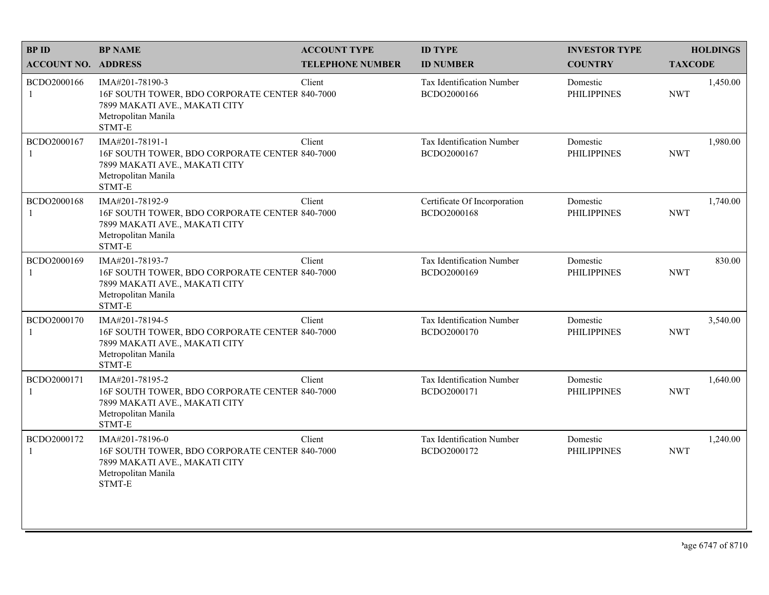| <b>BPID</b>                 | <b>BP NAME</b>                                                                                                                      | <b>ACCOUNT TYPE</b>     | <b>ID TYPE</b>                                  | <b>INVESTOR TYPE</b>           | <b>HOLDINGS</b>        |
|-----------------------------|-------------------------------------------------------------------------------------------------------------------------------------|-------------------------|-------------------------------------------------|--------------------------------|------------------------|
| <b>ACCOUNT NO. ADDRESS</b>  |                                                                                                                                     | <b>TELEPHONE NUMBER</b> | <b>ID NUMBER</b>                                | <b>COUNTRY</b>                 | <b>TAXCODE</b>         |
| BCDO2000166<br>1            | IMA#201-78190-3<br>16F SOUTH TOWER, BDO CORPORATE CENTER 840-7000<br>7899 MAKATI AVE., MAKATI CITY<br>Metropolitan Manila<br>STMT-E | Client                  | <b>Tax Identification Number</b><br>BCDO2000166 | Domestic<br><b>PHILIPPINES</b> | 1,450.00<br><b>NWT</b> |
| BCDO2000167<br>$\mathbf{1}$ | IMA#201-78191-1<br>16F SOUTH TOWER, BDO CORPORATE CENTER 840-7000<br>7899 MAKATI AVE., MAKATI CITY<br>Metropolitan Manila<br>STMT-E | Client                  | Tax Identification Number<br>BCDO2000167        | Domestic<br><b>PHILIPPINES</b> | 1,980.00<br><b>NWT</b> |
| BCDO2000168<br>1            | IMA#201-78192-9<br>16F SOUTH TOWER, BDO CORPORATE CENTER 840-7000<br>7899 MAKATI AVE., MAKATI CITY<br>Metropolitan Manila<br>STMT-E | Client                  | Certificate Of Incorporation<br>BCDO2000168     | Domestic<br><b>PHILIPPINES</b> | 1,740.00<br><b>NWT</b> |
| BCDO2000169<br>$\mathbf{1}$ | IMA#201-78193-7<br>16F SOUTH TOWER, BDO CORPORATE CENTER 840-7000<br>7899 MAKATI AVE., MAKATI CITY<br>Metropolitan Manila<br>STMT-E | Client                  | Tax Identification Number<br>BCDO2000169        | Domestic<br><b>PHILIPPINES</b> | 830.00<br><b>NWT</b>   |
| BCDO2000170<br>1            | IMA#201-78194-5<br>16F SOUTH TOWER, BDO CORPORATE CENTER 840-7000<br>7899 MAKATI AVE., MAKATI CITY<br>Metropolitan Manila<br>STMT-E | Client                  | Tax Identification Number<br>BCDO2000170        | Domestic<br><b>PHILIPPINES</b> | 3,540.00<br><b>NWT</b> |
| BCDO2000171<br>$\mathbf{1}$ | IMA#201-78195-2<br>16F SOUTH TOWER, BDO CORPORATE CENTER 840-7000<br>7899 MAKATI AVE., MAKATI CITY<br>Metropolitan Manila<br>STMT-E | Client                  | Tax Identification Number<br>BCDO2000171        | Domestic<br><b>PHILIPPINES</b> | 1,640.00<br><b>NWT</b> |
| BCDO2000172<br>1            | IMA#201-78196-0<br>16F SOUTH TOWER, BDO CORPORATE CENTER 840-7000<br>7899 MAKATI AVE., MAKATI CITY<br>Metropolitan Manila<br>STMT-E | Client                  | Tax Identification Number<br>BCDO2000172        | Domestic<br><b>PHILIPPINES</b> | 1,240.00<br><b>NWT</b> |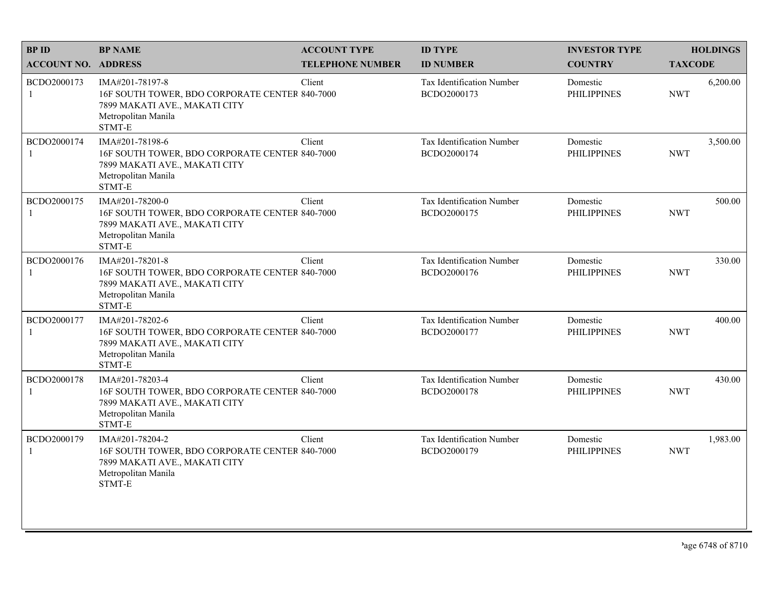| <b>BPID</b>                | <b>BP NAME</b>                                                                                                                      | <b>ACCOUNT TYPE</b>     | <b>ID TYPE</b>                           | <b>INVESTOR TYPE</b>           | <b>HOLDINGS</b>        |
|----------------------------|-------------------------------------------------------------------------------------------------------------------------------------|-------------------------|------------------------------------------|--------------------------------|------------------------|
| <b>ACCOUNT NO. ADDRESS</b> |                                                                                                                                     | <b>TELEPHONE NUMBER</b> | <b>ID NUMBER</b>                         | <b>COUNTRY</b>                 | <b>TAXCODE</b>         |
| BCDO2000173<br>1           | IMA#201-78197-8<br>16F SOUTH TOWER, BDO CORPORATE CENTER 840-7000<br>7899 MAKATI AVE., MAKATI CITY<br>Metropolitan Manila<br>STMT-E | Client                  | Tax Identification Number<br>BCDO2000173 | Domestic<br><b>PHILIPPINES</b> | 6,200.00<br><b>NWT</b> |
| BCDO2000174                | IMA#201-78198-6<br>16F SOUTH TOWER, BDO CORPORATE CENTER 840-7000<br>7899 MAKATI AVE., MAKATI CITY<br>Metropolitan Manila<br>STMT-E | Client                  | Tax Identification Number<br>BCDO2000174 | Domestic<br><b>PHILIPPINES</b> | 3,500.00<br><b>NWT</b> |
| BCDO2000175                | IMA#201-78200-0<br>16F SOUTH TOWER, BDO CORPORATE CENTER 840-7000<br>7899 MAKATI AVE., MAKATI CITY<br>Metropolitan Manila<br>STMT-E | Client                  | Tax Identification Number<br>BCDO2000175 | Domestic<br><b>PHILIPPINES</b> | 500.00<br><b>NWT</b>   |
| BCDO2000176                | IMA#201-78201-8<br>16F SOUTH TOWER, BDO CORPORATE CENTER 840-7000<br>7899 MAKATI AVE., MAKATI CITY<br>Metropolitan Manila<br>STMT-E | Client                  | Tax Identification Number<br>BCDO2000176 | Domestic<br><b>PHILIPPINES</b> | 330.00<br><b>NWT</b>   |
| BCDO2000177                | IMA#201-78202-6<br>16F SOUTH TOWER, BDO CORPORATE CENTER 840-7000<br>7899 MAKATI AVE., MAKATI CITY<br>Metropolitan Manila<br>STMT-E | Client                  | Tax Identification Number<br>BCDO2000177 | Domestic<br><b>PHILIPPINES</b> | 400.00<br><b>NWT</b>   |
| BCDO2000178<br>-1          | IMA#201-78203-4<br>16F SOUTH TOWER, BDO CORPORATE CENTER 840-7000<br>7899 MAKATI AVE., MAKATI CITY<br>Metropolitan Manila<br>STMT-E | Client                  | Tax Identification Number<br>BCDO2000178 | Domestic<br><b>PHILIPPINES</b> | 430.00<br><b>NWT</b>   |
| BCDO2000179<br>1           | IMA#201-78204-2<br>16F SOUTH TOWER, BDO CORPORATE CENTER 840-7000<br>7899 MAKATI AVE., MAKATI CITY<br>Metropolitan Manila<br>STMT-E | Client                  | Tax Identification Number<br>BCDO2000179 | Domestic<br><b>PHILIPPINES</b> | 1,983.00<br><b>NWT</b> |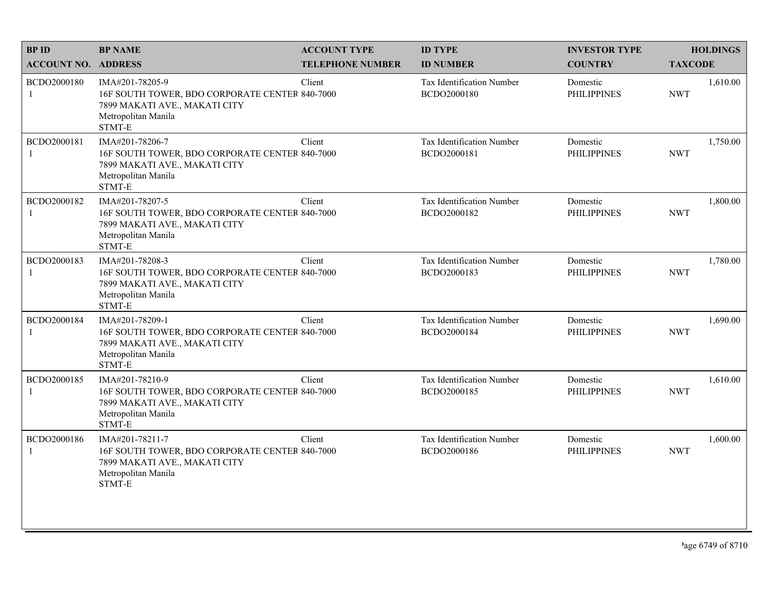| <b>BPID</b>                 | <b>BP NAME</b>                                                                                                                      | <b>ACCOUNT TYPE</b>     | <b>ID TYPE</b>                                  | <b>INVESTOR TYPE</b>           | <b>HOLDINGS</b>        |
|-----------------------------|-------------------------------------------------------------------------------------------------------------------------------------|-------------------------|-------------------------------------------------|--------------------------------|------------------------|
| <b>ACCOUNT NO. ADDRESS</b>  |                                                                                                                                     | <b>TELEPHONE NUMBER</b> | <b>ID NUMBER</b>                                | <b>COUNTRY</b>                 | <b>TAXCODE</b>         |
| BCDO2000180<br>$\mathbf{1}$ | IMA#201-78205-9<br>16F SOUTH TOWER, BDO CORPORATE CENTER 840-7000<br>7899 MAKATI AVE., MAKATI CITY<br>Metropolitan Manila<br>STMT-E | Client                  | <b>Tax Identification Number</b><br>BCDO2000180 | Domestic<br><b>PHILIPPINES</b> | 1,610.00<br><b>NWT</b> |
| BCDO2000181<br>$\mathbf{1}$ | IMA#201-78206-7<br>16F SOUTH TOWER, BDO CORPORATE CENTER 840-7000<br>7899 MAKATI AVE., MAKATI CITY<br>Metropolitan Manila<br>STMT-E | Client                  | <b>Tax Identification Number</b><br>BCDO2000181 | Domestic<br><b>PHILIPPINES</b> | 1,750.00<br><b>NWT</b> |
| BCDO2000182<br>1            | IMA#201-78207-5<br>16F SOUTH TOWER, BDO CORPORATE CENTER 840-7000<br>7899 MAKATI AVE., MAKATI CITY<br>Metropolitan Manila<br>STMT-E | Client                  | Tax Identification Number<br>BCDO2000182        | Domestic<br><b>PHILIPPINES</b> | 1,800.00<br><b>NWT</b> |
| BCDO2000183<br>1            | IMA#201-78208-3<br>16F SOUTH TOWER, BDO CORPORATE CENTER 840-7000<br>7899 MAKATI AVE., MAKATI CITY<br>Metropolitan Manila<br>STMT-E | Client                  | Tax Identification Number<br>BCDO2000183        | Domestic<br><b>PHILIPPINES</b> | 1,780.00<br><b>NWT</b> |
| BCDO2000184<br>1            | IMA#201-78209-1<br>16F SOUTH TOWER, BDO CORPORATE CENTER 840-7000<br>7899 MAKATI AVE., MAKATI CITY<br>Metropolitan Manila<br>STMT-E | Client                  | Tax Identification Number<br>BCDO2000184        | Domestic<br><b>PHILIPPINES</b> | 1,690.00<br><b>NWT</b> |
| BCDO2000185<br>$\mathbf{1}$ | IMA#201-78210-9<br>16F SOUTH TOWER, BDO CORPORATE CENTER 840-7000<br>7899 MAKATI AVE., MAKATI CITY<br>Metropolitan Manila<br>STMT-E | Client                  | Tax Identification Number<br>BCDO2000185        | Domestic<br><b>PHILIPPINES</b> | 1,610.00<br><b>NWT</b> |
| BCDO2000186<br>1            | IMA#201-78211-7<br>16F SOUTH TOWER, BDO CORPORATE CENTER 840-7000<br>7899 MAKATI AVE., MAKATI CITY<br>Metropolitan Manila<br>STMT-E | Client                  | Tax Identification Number<br>BCDO2000186        | Domestic<br><b>PHILIPPINES</b> | 1,600.00<br><b>NWT</b> |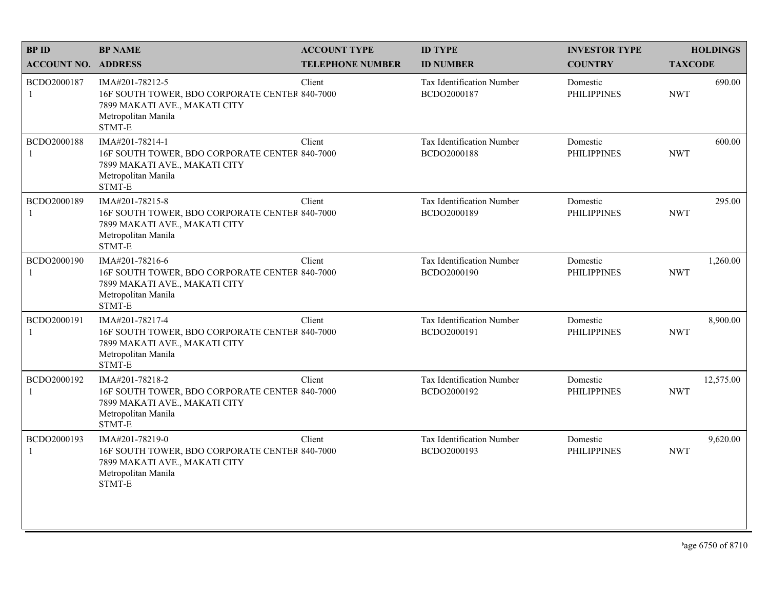| <b>BPID</b>                 | <b>BP NAME</b>                                                                                                                      | <b>ACCOUNT TYPE</b>     | <b>ID TYPE</b>                                  | <b>INVESTOR TYPE</b>           | <b>HOLDINGS</b>         |
|-----------------------------|-------------------------------------------------------------------------------------------------------------------------------------|-------------------------|-------------------------------------------------|--------------------------------|-------------------------|
| <b>ACCOUNT NO. ADDRESS</b>  |                                                                                                                                     | <b>TELEPHONE NUMBER</b> | <b>ID NUMBER</b>                                | <b>COUNTRY</b>                 | <b>TAXCODE</b>          |
| BCDO2000187<br>1            | IMA#201-78212-5<br>16F SOUTH TOWER, BDO CORPORATE CENTER 840-7000<br>7899 MAKATI AVE., MAKATI CITY<br>Metropolitan Manila<br>STMT-E | Client                  | <b>Tax Identification Number</b><br>BCDO2000187 | Domestic<br><b>PHILIPPINES</b> | 690.00<br><b>NWT</b>    |
| BCDO2000188<br>$\mathbf{1}$ | IMA#201-78214-1<br>16F SOUTH TOWER, BDO CORPORATE CENTER 840-7000<br>7899 MAKATI AVE., MAKATI CITY<br>Metropolitan Manila<br>STMT-E | Client                  | Tax Identification Number<br>BCDO2000188        | Domestic<br><b>PHILIPPINES</b> | 600.00<br><b>NWT</b>    |
| BCDO2000189<br>1            | IMA#201-78215-8<br>16F SOUTH TOWER, BDO CORPORATE CENTER 840-7000<br>7899 MAKATI AVE., MAKATI CITY<br>Metropolitan Manila<br>STMT-E | Client                  | Tax Identification Number<br>BCDO2000189        | Domestic<br><b>PHILIPPINES</b> | 295.00<br><b>NWT</b>    |
| BCDO2000190<br>$\mathbf{1}$ | IMA#201-78216-6<br>16F SOUTH TOWER, BDO CORPORATE CENTER 840-7000<br>7899 MAKATI AVE., MAKATI CITY<br>Metropolitan Manila<br>STMT-E | Client                  | Tax Identification Number<br>BCDO2000190        | Domestic<br><b>PHILIPPINES</b> | 1,260.00<br><b>NWT</b>  |
| BCDO2000191<br>1            | IMA#201-78217-4<br>16F SOUTH TOWER, BDO CORPORATE CENTER 840-7000<br>7899 MAKATI AVE., MAKATI CITY<br>Metropolitan Manila<br>STMT-E | Client                  | Tax Identification Number<br>BCDO2000191        | Domestic<br><b>PHILIPPINES</b> | 8,900.00<br><b>NWT</b>  |
| BCDO2000192<br>$\mathbf{1}$ | IMA#201-78218-2<br>16F SOUTH TOWER, BDO CORPORATE CENTER 840-7000<br>7899 MAKATI AVE., MAKATI CITY<br>Metropolitan Manila<br>STMT-E | Client                  | Tax Identification Number<br>BCDO2000192        | Domestic<br><b>PHILIPPINES</b> | 12,575.00<br><b>NWT</b> |
| BCDO2000193<br>1            | IMA#201-78219-0<br>16F SOUTH TOWER, BDO CORPORATE CENTER 840-7000<br>7899 MAKATI AVE., MAKATI CITY<br>Metropolitan Manila<br>STMT-E | Client                  | Tax Identification Number<br>BCDO2000193        | Domestic<br><b>PHILIPPINES</b> | 9,620.00<br><b>NWT</b>  |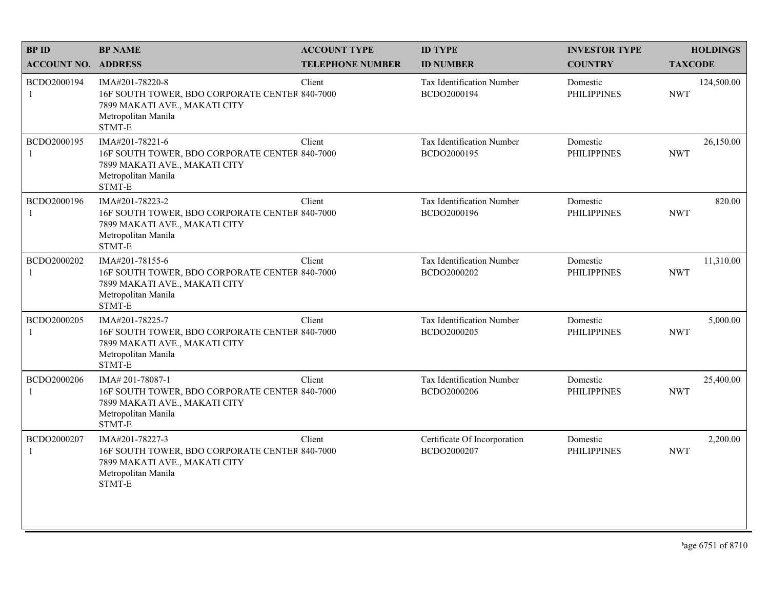| <b>BPID</b>                 | <b>BP NAME</b>                                                                                                                       | <b>ACCOUNT TYPE</b>     | <b>ID TYPE</b>                                  | <b>INVESTOR TYPE</b>           | <b>HOLDINGS</b>          |
|-----------------------------|--------------------------------------------------------------------------------------------------------------------------------------|-------------------------|-------------------------------------------------|--------------------------------|--------------------------|
| <b>ACCOUNT NO. ADDRESS</b>  |                                                                                                                                      | <b>TELEPHONE NUMBER</b> | <b>ID NUMBER</b>                                | <b>COUNTRY</b>                 | <b>TAXCODE</b>           |
| BCDO2000194<br>$\mathbf{1}$ | IMA#201-78220-8<br>16F SOUTH TOWER, BDO CORPORATE CENTER 840-7000<br>7899 MAKATI AVE., MAKATI CITY<br>Metropolitan Manila<br>STMT-E  | Client                  | <b>Tax Identification Number</b><br>BCDO2000194 | Domestic<br><b>PHILIPPINES</b> | 124,500.00<br><b>NWT</b> |
| BCDO2000195<br>$\mathbf{1}$ | IMA#201-78221-6<br>16F SOUTH TOWER, BDO CORPORATE CENTER 840-7000<br>7899 MAKATI AVE., MAKATI CITY<br>Metropolitan Manila<br>STMT-E  | Client                  | <b>Tax Identification Number</b><br>BCDO2000195 | Domestic<br><b>PHILIPPINES</b> | 26,150.00<br><b>NWT</b>  |
| BCDO2000196<br>1            | IMA#201-78223-2<br>16F SOUTH TOWER, BDO CORPORATE CENTER 840-7000<br>7899 MAKATI AVE., MAKATI CITY<br>Metropolitan Manila<br>STMT-E  | Client                  | Tax Identification Number<br>BCDO2000196        | Domestic<br><b>PHILIPPINES</b> | 820.00<br><b>NWT</b>     |
| BCDO2000202<br>1            | IMA#201-78155-6<br>16F SOUTH TOWER, BDO CORPORATE CENTER 840-7000<br>7899 MAKATI AVE., MAKATI CITY<br>Metropolitan Manila<br>STMT-E  | Client                  | Tax Identification Number<br>BCDO2000202        | Domestic<br><b>PHILIPPINES</b> | 11,310.00<br><b>NWT</b>  |
| BCDO2000205<br>1            | IMA#201-78225-7<br>16F SOUTH TOWER, BDO CORPORATE CENTER 840-7000<br>7899 MAKATI AVE., MAKATI CITY<br>Metropolitan Manila<br>STMT-E  | Client                  | Tax Identification Number<br>BCDO2000205        | Domestic<br><b>PHILIPPINES</b> | 5,000.00<br><b>NWT</b>   |
| BCDO2000206<br>$\mathbf{1}$ | IMA# 201-78087-1<br>16F SOUTH TOWER, BDO CORPORATE CENTER 840-7000<br>7899 MAKATI AVE., MAKATI CITY<br>Metropolitan Manila<br>STMT-E | Client                  | Tax Identification Number<br>BCDO2000206        | Domestic<br><b>PHILIPPINES</b> | 25,400.00<br><b>NWT</b>  |
| BCDO2000207<br>1            | IMA#201-78227-3<br>16F SOUTH TOWER, BDO CORPORATE CENTER 840-7000<br>7899 MAKATI AVE., MAKATI CITY<br>Metropolitan Manila<br>STMT-E  | Client                  | Certificate Of Incorporation<br>BCDO2000207     | Domestic<br><b>PHILIPPINES</b> | 2,200.00<br><b>NWT</b>   |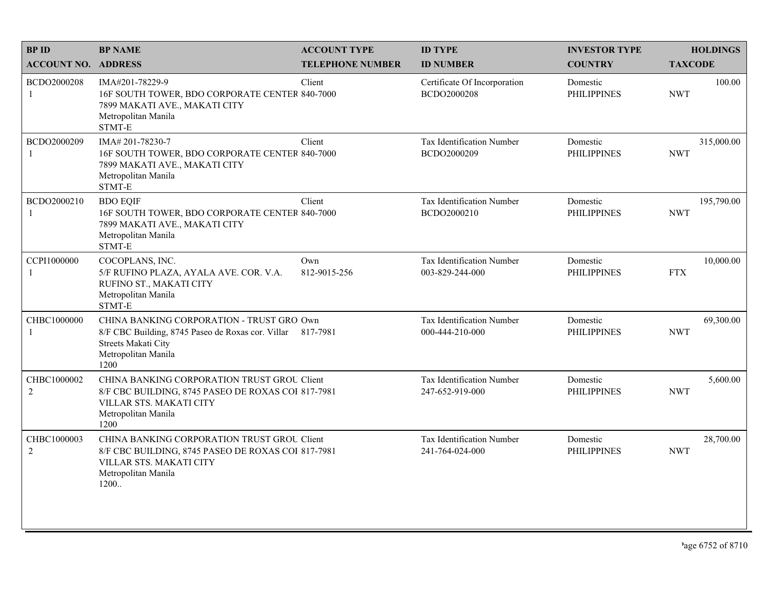| <b>BPID</b>                   | <b>BP NAME</b>                                                                                                                                                | <b>ACCOUNT TYPE</b>     | <b>ID TYPE</b>                               | <b>INVESTOR TYPE</b>           | <b>HOLDINGS</b>          |
|-------------------------------|---------------------------------------------------------------------------------------------------------------------------------------------------------------|-------------------------|----------------------------------------------|--------------------------------|--------------------------|
| <b>ACCOUNT NO. ADDRESS</b>    |                                                                                                                                                               | <b>TELEPHONE NUMBER</b> | <b>ID NUMBER</b>                             | <b>COUNTRY</b>                 | <b>TAXCODE</b>           |
| BCDO2000208<br>1              | IMA#201-78229-9<br>16F SOUTH TOWER, BDO CORPORATE CENTER 840-7000<br>7899 MAKATI AVE., MAKATI CITY<br>Metropolitan Manila<br>STMT-E                           | Client                  | Certificate Of Incorporation<br>BCDO2000208  | Domestic<br><b>PHILIPPINES</b> | 100.00<br><b>NWT</b>     |
| BCDO2000209<br>-1             | IMA#201-78230-7<br>16F SOUTH TOWER, BDO CORPORATE CENTER 840-7000<br>7899 MAKATI AVE., MAKATI CITY<br>Metropolitan Manila<br>STMT-E                           | Client                  | Tax Identification Number<br>BCDO2000209     | Domestic<br><b>PHILIPPINES</b> | 315,000.00<br><b>NWT</b> |
| BCDO2000210<br>-1             | <b>BDO EQIF</b><br>16F SOUTH TOWER, BDO CORPORATE CENTER 840-7000<br>7899 MAKATI AVE., MAKATI CITY<br>Metropolitan Manila<br>STMT-E                           | Client                  | Tax Identification Number<br>BCDO2000210     | Domestic<br><b>PHILIPPINES</b> | 195,790.00<br><b>NWT</b> |
| CCPI1000000<br>$\mathbf{1}$   | COCOPLANS, INC.<br>5/F RUFINO PLAZA, AYALA AVE. COR. V.A.<br>RUFINO ST., MAKATI CITY<br>Metropolitan Manila<br>STMT-E                                         | Own<br>812-9015-256     | Tax Identification Number<br>003-829-244-000 | Domestic<br><b>PHILIPPINES</b> | 10,000.00<br><b>FTX</b>  |
| CHBC1000000<br>1              | CHINA BANKING CORPORATION - TRUST GRO Own<br>8/F CBC Building, 8745 Paseo de Roxas cor. Villar 817-7981<br>Streets Makati City<br>Metropolitan Manila<br>1200 |                         | Tax Identification Number<br>000-444-210-000 | Domestic<br><b>PHILIPPINES</b> | 69,300.00<br><b>NWT</b>  |
| CHBC1000002<br>$\overline{2}$ | CHINA BANKING CORPORATION TRUST GROU Client<br>8/F CBC BUILDING, 8745 PASEO DE ROXAS COI 817-7981<br>VILLAR STS. MAKATI CITY<br>Metropolitan Manila<br>1200   |                         | Tax Identification Number<br>247-652-919-000 | Domestic<br><b>PHILIPPINES</b> | 5,600.00<br><b>NWT</b>   |
| CHBC1000003<br>$\sqrt{2}$     | CHINA BANKING CORPORATION TRUST GROU Client<br>8/F CBC BUILDING, 8745 PASEO DE ROXAS COI 817-7981<br>VILLAR STS. MAKATI CITY<br>Metropolitan Manila<br>1200   |                         | Tax Identification Number<br>241-764-024-000 | Domestic<br><b>PHILIPPINES</b> | 28,700.00<br><b>NWT</b>  |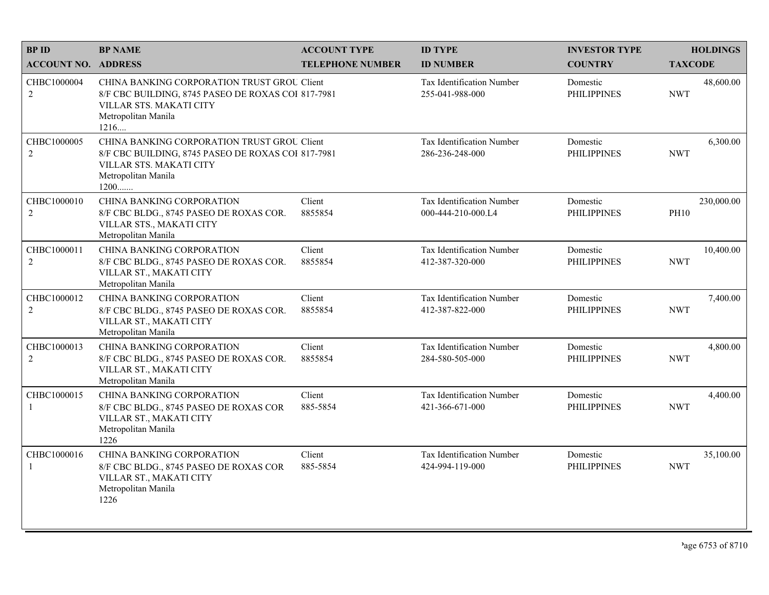| <b>BPID</b>                 | <b>BP NAME</b>                                                                                                                                              | <b>ACCOUNT TYPE</b>     | <b>ID TYPE</b>                                  | <b>INVESTOR TYPE</b>           | <b>HOLDINGS</b>           |
|-----------------------------|-------------------------------------------------------------------------------------------------------------------------------------------------------------|-------------------------|-------------------------------------------------|--------------------------------|---------------------------|
| <b>ACCOUNT NO. ADDRESS</b>  |                                                                                                                                                             | <b>TELEPHONE NUMBER</b> | <b>ID NUMBER</b>                                | <b>COUNTRY</b>                 | <b>TAXCODE</b>            |
| CHBC1000004<br>$\sqrt{2}$   | CHINA BANKING CORPORATION TRUST GROU Client<br>8/F CBC BUILDING, 8745 PASEO DE ROXAS COI 817-7981<br>VILLAR STS. MAKATI CITY<br>Metropolitan Manila<br>1216 |                         | Tax Identification Number<br>255-041-988-000    | Domestic<br><b>PHILIPPINES</b> | 48,600.00<br><b>NWT</b>   |
| CHBC1000005<br>2            | CHINA BANKING CORPORATION TRUST GROU Client<br>8/F CBC BUILDING, 8745 PASEO DE ROXAS COI 817-7981<br>VILLAR STS. MAKATI CITY<br>Metropolitan Manila<br>1200 |                         | Tax Identification Number<br>286-236-248-000    | Domestic<br><b>PHILIPPINES</b> | 6,300.00<br><b>NWT</b>    |
| CHBC1000010<br>2            | CHINA BANKING CORPORATION<br>8/F CBC BLDG., 8745 PASEO DE ROXAS COR.<br>VILLAR STS., MAKATI CITY<br>Metropolitan Manila                                     | Client<br>8855854       | Tax Identification Number<br>000-444-210-000.L4 | Domestic<br><b>PHILIPPINES</b> | 230,000.00<br><b>PH10</b> |
| CHBC1000011<br>2            | <b>CHINA BANKING CORPORATION</b><br>8/F CBC BLDG., 8745 PASEO DE ROXAS COR.<br>VILLAR ST., MAKATI CITY<br>Metropolitan Manila                               | Client<br>8855854       | Tax Identification Number<br>412-387-320-000    | Domestic<br><b>PHILIPPINES</b> | 10,400.00<br><b>NWT</b>   |
| CHBC1000012<br>2            | <b>CHINA BANKING CORPORATION</b><br>8/F CBC BLDG., 8745 PASEO DE ROXAS COR.<br>VILLAR ST., MAKATI CITY<br>Metropolitan Manila                               | Client<br>8855854       | Tax Identification Number<br>412-387-822-000    | Domestic<br><b>PHILIPPINES</b> | 7,400.00<br><b>NWT</b>    |
| CHBC1000013<br>2            | CHINA BANKING CORPORATION<br>8/F CBC BLDG., 8745 PASEO DE ROXAS COR.<br>VILLAR ST., MAKATI CITY<br>Metropolitan Manila                                      | Client<br>8855854       | Tax Identification Number<br>284-580-505-000    | Domestic<br><b>PHILIPPINES</b> | 4,800.00<br><b>NWT</b>    |
| CHBC1000015<br>-1           | CHINA BANKING CORPORATION<br>8/F CBC BLDG., 8745 PASEO DE ROXAS COR<br>VILLAR ST., MAKATI CITY<br>Metropolitan Manila<br>1226                               | Client<br>885-5854      | Tax Identification Number<br>421-366-671-000    | Domestic<br><b>PHILIPPINES</b> | 4,400.00<br><b>NWT</b>    |
| CHBC1000016<br>$\mathbf{1}$ | <b>CHINA BANKING CORPORATION</b><br>8/F CBC BLDG., 8745 PASEO DE ROXAS COR<br>VILLAR ST., MAKATI CITY<br>Metropolitan Manila<br>1226                        | Client<br>885-5854      | Tax Identification Number<br>424-994-119-000    | Domestic<br><b>PHILIPPINES</b> | 35,100.00<br><b>NWT</b>   |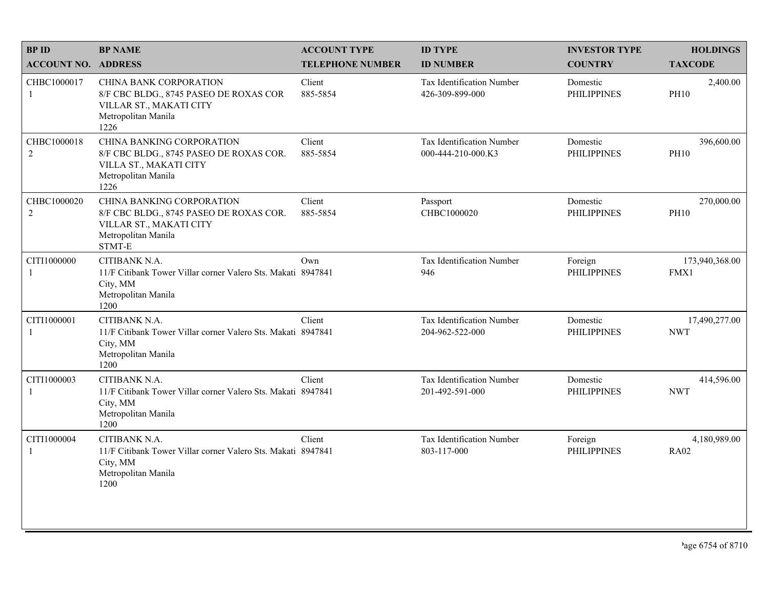| <b>BPID</b>                   | <b>BP NAME</b>                                                                                                                    | <b>ACCOUNT TYPE</b>     | <b>ID TYPE</b>                                      | <b>INVESTOR TYPE</b>           | <b>HOLDINGS</b>             |
|-------------------------------|-----------------------------------------------------------------------------------------------------------------------------------|-------------------------|-----------------------------------------------------|--------------------------------|-----------------------------|
| <b>ACCOUNT NO. ADDRESS</b>    |                                                                                                                                   | <b>TELEPHONE NUMBER</b> | <b>ID NUMBER</b>                                    | <b>COUNTRY</b>                 | <b>TAXCODE</b>              |
| CHBC1000017<br>$\mathbf{1}$   | <b>CHINA BANK CORPORATION</b><br>8/F CBC BLDG., 8745 PASEO DE ROXAS COR<br>VILLAR ST., MAKATI CITY<br>Metropolitan Manila<br>1226 | Client<br>885-5854      | <b>Tax Identification Number</b><br>426-309-899-000 | Domestic<br><b>PHILIPPINES</b> | 2,400.00<br><b>PH10</b>     |
| CHBC1000018<br>$\overline{2}$ | CHINA BANKING CORPORATION<br>8/F CBC BLDG., 8745 PASEO DE ROXAS COR.<br>VILLA ST., MAKATI CITY<br>Metropolitan Manila<br>1226     | Client<br>885-5854      | Tax Identification Number<br>000-444-210-000.K3     | Domestic<br><b>PHILIPPINES</b> | 396,600.00<br><b>PH10</b>   |
| CHBC1000020<br>$\overline{c}$ | CHINA BANKING CORPORATION<br>8/F CBC BLDG., 8745 PASEO DE ROXAS COR.<br>VILLAR ST., MAKATI CITY<br>Metropolitan Manila<br>STMT-E  | Client<br>885-5854      | Passport<br>CHBC1000020                             | Domestic<br><b>PHILIPPINES</b> | 270,000.00<br><b>PH10</b>   |
| CITI1000000<br>1              | CITIBANK N.A.<br>11/F Citibank Tower Villar corner Valero Sts. Makati 8947841<br>City, MM<br>Metropolitan Manila<br>1200          | Own                     | Tax Identification Number<br>946                    | Foreign<br><b>PHILIPPINES</b>  | 173,940,368.00<br>FMX1      |
| CITI1000001<br>1              | CITIBANK N.A.<br>11/F Citibank Tower Villar corner Valero Sts. Makati 8947841<br>City, MM<br>Metropolitan Manila<br>1200          | Client                  | Tax Identification Number<br>204-962-522-000        | Domestic<br><b>PHILIPPINES</b> | 17,490,277.00<br><b>NWT</b> |
| CITI1000003<br>$\mathbf{1}$   | CITIBANK N.A.<br>11/F Citibank Tower Villar corner Valero Sts. Makati 8947841<br>City, MM<br>Metropolitan Manila<br>1200          | Client                  | Tax Identification Number<br>201-492-591-000        | Domestic<br><b>PHILIPPINES</b> | 414,596.00<br><b>NWT</b>    |
| CITI1000004<br>1              | CITIBANK N.A.<br>11/F Citibank Tower Villar corner Valero Sts. Makati 8947841<br>City, MM<br>Metropolitan Manila<br>1200          | Client                  | Tax Identification Number<br>803-117-000            | Foreign<br><b>PHILIPPINES</b>  | 4,180,989.00<br><b>RA02</b> |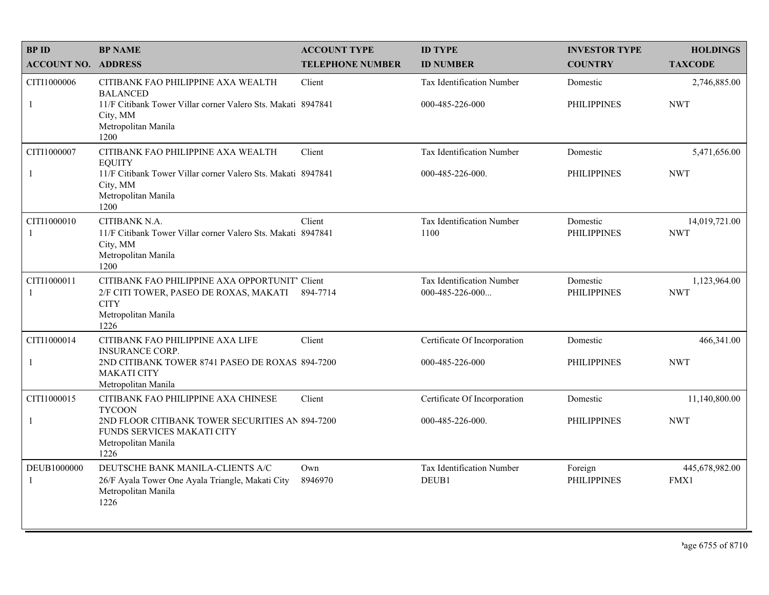| <b>BPID</b>                | <b>BP NAME</b>                                                                                                                         | <b>ACCOUNT TYPE</b>     | <b>ID TYPE</b>                                      | <b>INVESTOR TYPE</b>           | <b>HOLDINGS</b>             |
|----------------------------|----------------------------------------------------------------------------------------------------------------------------------------|-------------------------|-----------------------------------------------------|--------------------------------|-----------------------------|
| <b>ACCOUNT NO. ADDRESS</b> |                                                                                                                                        | <b>TELEPHONE NUMBER</b> | <b>ID NUMBER</b>                                    | <b>COUNTRY</b>                 | <b>TAXCODE</b>              |
| CITI1000006                | CITIBANK FAO PHILIPPINE AXA WEALTH<br><b>BALANCED</b>                                                                                  | Client                  | Tax Identification Number                           | Domestic                       | 2,746,885.00                |
| -1                         | 11/F Citibank Tower Villar corner Valero Sts. Makati 8947841<br>City, MM<br>Metropolitan Manila<br>1200                                |                         | 000-485-226-000                                     | <b>PHILIPPINES</b>             | <b>NWT</b>                  |
| CITI1000007                | CITIBANK FAO PHILIPPINE AXA WEALTH<br><b>EQUITY</b>                                                                                    | Client                  | Tax Identification Number                           | Domestic                       | 5,471,656.00                |
| 1                          | 11/F Citibank Tower Villar corner Valero Sts. Makati 8947841<br>City, MM<br>Metropolitan Manila<br>1200                                |                         | 000-485-226-000.                                    | <b>PHILIPPINES</b>             | <b>NWT</b>                  |
| CITI1000010<br>-1          | CITIBANK N.A.<br>11/F Citibank Tower Villar corner Valero Sts. Makati 8947841<br>City, MM<br>Metropolitan Manila<br>1200               | Client                  | Tax Identification Number<br>1100                   | Domestic<br><b>PHILIPPINES</b> | 14,019,721.00<br><b>NWT</b> |
| CITI1000011<br>-1          | CITIBANK FAO PHILIPPINE AXA OPPORTUNIT' Client<br>2/F CITI TOWER, PASEO DE ROXAS, MAKATI<br><b>CITY</b><br>Metropolitan Manila<br>1226 | 894-7714                | <b>Tax Identification Number</b><br>000-485-226-000 | Domestic<br><b>PHILIPPINES</b> | 1,123,964.00<br><b>NWT</b>  |
| CITI1000014                | CITIBANK FAO PHILIPPINE AXA LIFE<br><b>INSURANCE CORP.</b>                                                                             | Client                  | Certificate Of Incorporation                        | Domestic                       | 466,341.00                  |
| -1                         | 2ND CITIBANK TOWER 8741 PASEO DE ROXAS 894-7200<br><b>MAKATI CITY</b><br>Metropolitan Manila                                           |                         | 000-485-226-000                                     | <b>PHILIPPINES</b>             | <b>NWT</b>                  |
| CITI1000015                | CITIBANK FAO PHILIPPINE AXA CHINESE<br><b>TYCOON</b>                                                                                   | Client                  | Certificate Of Incorporation                        | Domestic                       | 11,140,800.00               |
| -1                         | 2ND FLOOR CITIBANK TOWER SECURITIES AN 894-7200<br>FUNDS SERVICES MAKATI CITY<br>Metropolitan Manila<br>1226                           |                         | 000-485-226-000.                                    | <b>PHILIPPINES</b>             | <b>NWT</b>                  |
| DEUB1000000<br>-1          | DEUTSCHE BANK MANILA-CLIENTS A/C<br>26/F Ayala Tower One Ayala Triangle, Makati City<br>Metropolitan Manila<br>1226                    | Own<br>8946970          | Tax Identification Number<br>DEUB1                  | Foreign<br><b>PHILIPPINES</b>  | 445,678,982.00<br>FMX1      |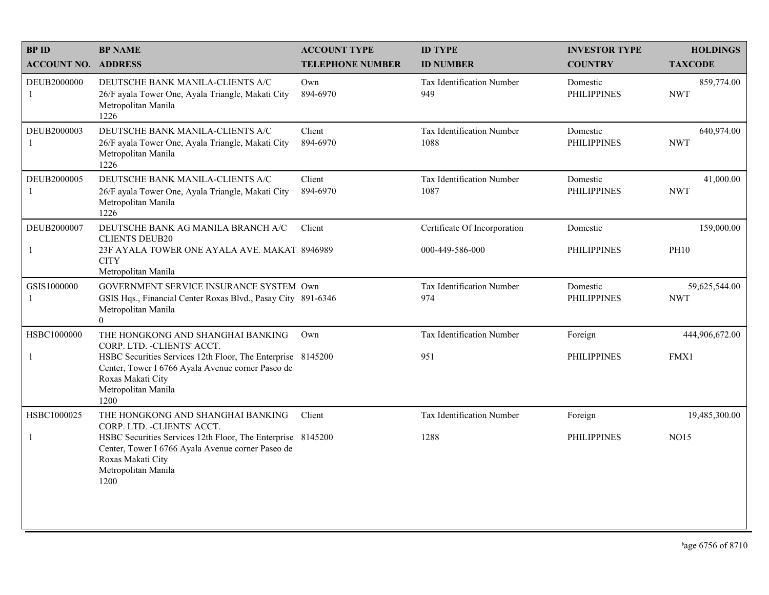| <b>BP NAME</b>                                                                                                       | <b>ACCOUNT TYPE</b>                                                                                               | <b>ID TYPE</b>                                                                                                                                                                                                                                                                        | <b>INVESTOR TYPE</b>           | <b>HOLDINGS</b>             |
|----------------------------------------------------------------------------------------------------------------------|-------------------------------------------------------------------------------------------------------------------|---------------------------------------------------------------------------------------------------------------------------------------------------------------------------------------------------------------------------------------------------------------------------------------|--------------------------------|-----------------------------|
|                                                                                                                      | <b>TELEPHONE NUMBER</b>                                                                                           | <b>ID NUMBER</b>                                                                                                                                                                                                                                                                      | <b>COUNTRY</b>                 | <b>TAXCODE</b>              |
| DEUTSCHE BANK MANILA-CLIENTS A/C<br>26/F ayala Tower One, Ayala Triangle, Makati City<br>Metropolitan Manila<br>1226 | Own<br>894-6970                                                                                                   | Tax Identification Number<br>949                                                                                                                                                                                                                                                      | Domestic<br><b>PHILIPPINES</b> | 859,774.00<br><b>NWT</b>    |
| DEUTSCHE BANK MANILA-CLIENTS A/C<br>26/F ayala Tower One, Ayala Triangle, Makati City<br>Metropolitan Manila<br>1226 | Client<br>894-6970                                                                                                | Tax Identification Number<br>1088                                                                                                                                                                                                                                                     | Domestic<br><b>PHILIPPINES</b> | 640,974.00<br><b>NWT</b>    |
| DEUTSCHE BANK MANILA-CLIENTS A/C<br>26/F ayala Tower One, Ayala Triangle, Makati City<br>Metropolitan Manila<br>1226 | Client<br>894-6970                                                                                                | <b>Tax Identification Number</b><br>1087                                                                                                                                                                                                                                              | Domestic<br><b>PHILIPPINES</b> | 41,000.00<br><b>NWT</b>     |
| DEUTSCHE BANK AG MANILA BRANCH A/C                                                                                   | Client                                                                                                            | Certificate Of Incorporation                                                                                                                                                                                                                                                          | Domestic                       | 159,000.00                  |
| <b>CITY</b><br>Metropolitan Manila                                                                                   |                                                                                                                   | 000-449-586-000                                                                                                                                                                                                                                                                       | <b>PHILIPPINES</b>             | <b>PH10</b>                 |
| Metropolitan Manila<br>$\overline{0}$                                                                                |                                                                                                                   | <b>Tax Identification Number</b><br>974                                                                                                                                                                                                                                               | Domestic<br><b>PHILIPPINES</b> | 59,625,544.00<br><b>NWT</b> |
| THE HONGKONG AND SHANGHAI BANKING                                                                                    | Own                                                                                                               | Tax Identification Number                                                                                                                                                                                                                                                             | Foreign                        | 444,906,672.00              |
| Center, Tower I 6766 Ayala Avenue corner Paseo de<br>Roxas Makati City<br>Metropolitan Manila<br>1200                |                                                                                                                   | 951                                                                                                                                                                                                                                                                                   | <b>PHILIPPINES</b>             | FMX1                        |
| THE HONGKONG AND SHANGHAI BANKING                                                                                    | Client                                                                                                            | Tax Identification Number                                                                                                                                                                                                                                                             | Foreign                        | 19,485,300.00               |
| Center, Tower I 6766 Ayala Avenue corner Paseo de<br>Roxas Makati City<br>Metropolitan Manila<br>1200                |                                                                                                                   | 1288                                                                                                                                                                                                                                                                                  | <b>PHILIPPINES</b>             | <b>NO15</b>                 |
|                                                                                                                      | <b>ACCOUNT NO. ADDRESS</b><br><b>CLIENTS DEUB20</b><br>CORP. LTD. - CLIENTS' ACCT.<br>CORP. LTD. - CLIENTS' ACCT. | 23F AYALA TOWER ONE AYALA AVE. MAKAT 8946989<br>GOVERNMENT SERVICE INSURANCE SYSTEM Own<br>GSIS Hqs., Financial Center Roxas Blvd., Pasay City 891-6346<br>HSBC Securities Services 12th Floor, The Enterprise 8145200<br>HSBC Securities Services 12th Floor, The Enterprise 8145200 |                                |                             |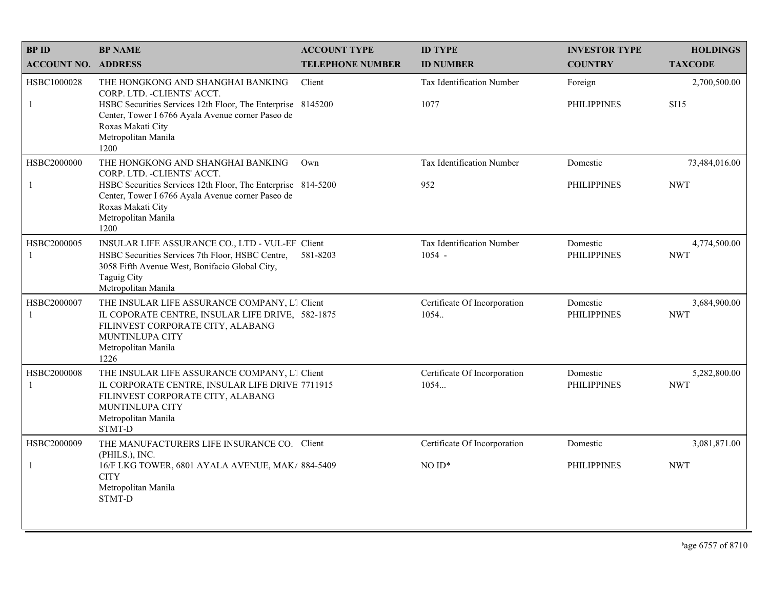| <b>BPID</b>                 | <b>BP NAME</b>                                                                                                                                                                                                                            | <b>ACCOUNT TYPE</b>     | <b>ID TYPE</b>                          | <b>INVESTOR TYPE</b>           | <b>HOLDINGS</b>             |
|-----------------------------|-------------------------------------------------------------------------------------------------------------------------------------------------------------------------------------------------------------------------------------------|-------------------------|-----------------------------------------|--------------------------------|-----------------------------|
| <b>ACCOUNT NO. ADDRESS</b>  |                                                                                                                                                                                                                                           | <b>TELEPHONE NUMBER</b> | <b>ID NUMBER</b>                        | <b>COUNTRY</b>                 | <b>TAXCODE</b>              |
| HSBC1000028<br>$\mathbf{1}$ | THE HONGKONG AND SHANGHAI BANKING<br>CORP. LTD. - CLIENTS' ACCT.<br>HSBC Securities Services 12th Floor, The Enterprise 8145200<br>Center, Tower I 6766 Ayala Avenue corner Paseo de<br>Roxas Makati City<br>Metropolitan Manila<br>1200  | Client                  | Tax Identification Number<br>1077       | Foreign<br><b>PHILIPPINES</b>  | 2,700,500.00<br><b>SI15</b> |
| HSBC2000000<br>-1           | THE HONGKONG AND SHANGHAI BANKING<br>CORP. LTD. - CLIENTS' ACCT.<br>HSBC Securities Services 12th Floor, The Enterprise 814-5200<br>Center, Tower I 6766 Ayala Avenue corner Paseo de<br>Roxas Makati City<br>Metropolitan Manila<br>1200 | Own                     | <b>Tax Identification Number</b><br>952 | Domestic<br><b>PHILIPPINES</b> | 73,484,016.00<br><b>NWT</b> |
| HSBC2000005<br>$\mathbf{1}$ | INSULAR LIFE ASSURANCE CO., LTD - VUL-EF Client<br>HSBC Securities Services 7th Floor, HSBC Centre,<br>3058 Fifth Avenue West, Bonifacio Global City,<br>Taguig City<br>Metropolitan Manila                                               | 581-8203                | Tax Identification Number<br>$1054 -$   | Domestic<br><b>PHILIPPINES</b> | 4,774,500.00<br><b>NWT</b>  |
| HSBC2000007<br>$\mathbf{1}$ | THE INSULAR LIFE ASSURANCE COMPANY, L1 Client<br>IL COPORATE CENTRE, INSULAR LIFE DRIVE, 582-1875<br>FILINVEST CORPORATE CITY, ALABANG<br>MUNTINLUPA CITY<br>Metropolitan Manila<br>1226                                                  |                         | Certificate Of Incorporation<br>1054    | Domestic<br><b>PHILIPPINES</b> | 3,684,900.00<br><b>NWT</b>  |
| HSBC2000008<br>-1           | THE INSULAR LIFE ASSURANCE COMPANY, L1 Client<br>IL CORPORATE CENTRE, INSULAR LIFE DRIVE 7711915<br>FILINVEST CORPORATE CITY, ALABANG<br>MUNTINLUPA CITY<br>Metropolitan Manila<br><b>STMT-D</b>                                          |                         | Certificate Of Incorporation<br>1054    | Domestic<br><b>PHILIPPINES</b> | 5,282,800.00<br><b>NWT</b>  |
| HSBC2000009<br>-1           | THE MANUFACTURERS LIFE INSURANCE CO. Client<br>(PHILS.), INC.<br>16/F LKG TOWER, 6801 AYALA AVENUE, MAK/ 884-5409<br><b>CITY</b><br>Metropolitan Manila<br>STMT-D                                                                         |                         | Certificate Of Incorporation<br>$NOID*$ | Domestic<br><b>PHILIPPINES</b> | 3,081,871.00<br><b>NWT</b>  |
|                             |                                                                                                                                                                                                                                           |                         |                                         |                                |                             |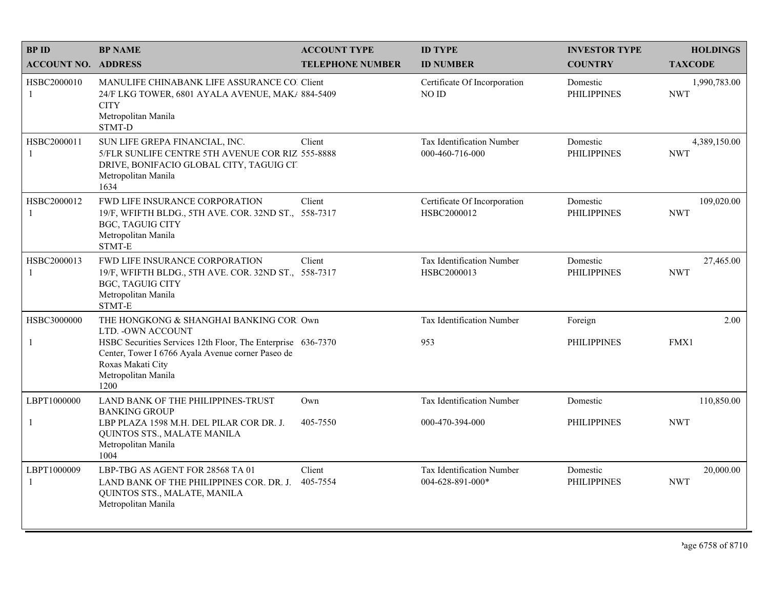| <b>BPID</b>                 | <b>BP NAME</b>                                                                                                                                                        | <b>ACCOUNT TYPE</b>     | <b>ID TYPE</b>                                | <b>INVESTOR TYPE</b>           | <b>HOLDINGS</b>            |
|-----------------------------|-----------------------------------------------------------------------------------------------------------------------------------------------------------------------|-------------------------|-----------------------------------------------|--------------------------------|----------------------------|
| <b>ACCOUNT NO. ADDRESS</b>  |                                                                                                                                                                       | <b>TELEPHONE NUMBER</b> | <b>ID NUMBER</b>                              | <b>COUNTRY</b>                 | <b>TAXCODE</b>             |
| HSBC2000010<br>-1           | MANULIFE CHINABANK LIFE ASSURANCE CO. Client<br>24/F LKG TOWER, 6801 AYALA AVENUE, MAK/ 884-5409<br><b>CITY</b><br>Metropolitan Manila<br>STMT-D                      |                         | Certificate Of Incorporation<br>NO ID         | Domestic<br><b>PHILIPPINES</b> | 1,990,783.00<br><b>NWT</b> |
| HSBC2000011<br>$\mathbf{1}$ | SUN LIFE GREPA FINANCIAL, INC.<br>5/FLR SUNLIFE CENTRE 5TH AVENUE COR RIZ 555-8888<br>DRIVE, BONIFACIO GLOBAL CITY, TAGUIG CIT<br>Metropolitan Manila<br>1634         | Client                  | Tax Identification Number<br>000-460-716-000  | Domestic<br><b>PHILIPPINES</b> | 4,389,150.00<br><b>NWT</b> |
| HSBC2000012<br>-1           | FWD LIFE INSURANCE CORPORATION<br>19/F, WFIFTH BLDG., 5TH AVE. COR. 32ND ST., 558-7317<br><b>BGC, TAGUIG CITY</b><br>Metropolitan Manila<br>STMT-E                    | Client                  | Certificate Of Incorporation<br>HSBC2000012   | Domestic<br><b>PHILIPPINES</b> | 109,020.00<br><b>NWT</b>   |
| HSBC2000013<br>-1           | FWD LIFE INSURANCE CORPORATION<br>19/F, WFIFTH BLDG., 5TH AVE. COR. 32ND ST., 558-7317<br>BGC, TAGUIG CITY<br>Metropolitan Manila<br>STMT-E                           | Client                  | Tax Identification Number<br>HSBC2000013      | Domestic<br><b>PHILIPPINES</b> | 27,465.00<br><b>NWT</b>    |
| HSBC3000000                 | THE HONGKONG & SHANGHAI BANKING COR Own<br>LTD. - OWN ACCOUNT                                                                                                         |                         | Tax Identification Number                     | Foreign                        | 2.00                       |
| 1                           | HSBC Securities Services 12th Floor, The Enterprise 636-7370<br>Center, Tower I 6766 Ayala Avenue corner Paseo de<br>Roxas Makati City<br>Metropolitan Manila<br>1200 |                         | 953                                           | <b>PHILIPPINES</b>             | FMX1                       |
| LBPT1000000                 | LAND BANK OF THE PHILIPPINES-TRUST<br><b>BANKING GROUP</b>                                                                                                            | Own                     | Tax Identification Number                     | Domestic                       | 110,850.00                 |
| $\overline{1}$              | LBP PLAZA 1598 M.H. DEL PILAR COR DR. J.<br>QUINTOS STS., MALATE MANILA<br>Metropolitan Manila<br>1004                                                                | 405-7550                | 000-470-394-000                               | <b>PHILIPPINES</b>             | <b>NWT</b>                 |
| LBPT1000009<br>$\mathbf{1}$ | LBP-TBG AS AGENT FOR 28568 TA 01<br>LAND BANK OF THE PHILIPPINES COR. DR. J.<br>QUINTOS STS., MALATE, MANILA<br>Metropolitan Manila                                   | Client<br>405-7554      | Tax Identification Number<br>004-628-891-000* | Domestic<br><b>PHILIPPINES</b> | 20,000.00<br><b>NWT</b>    |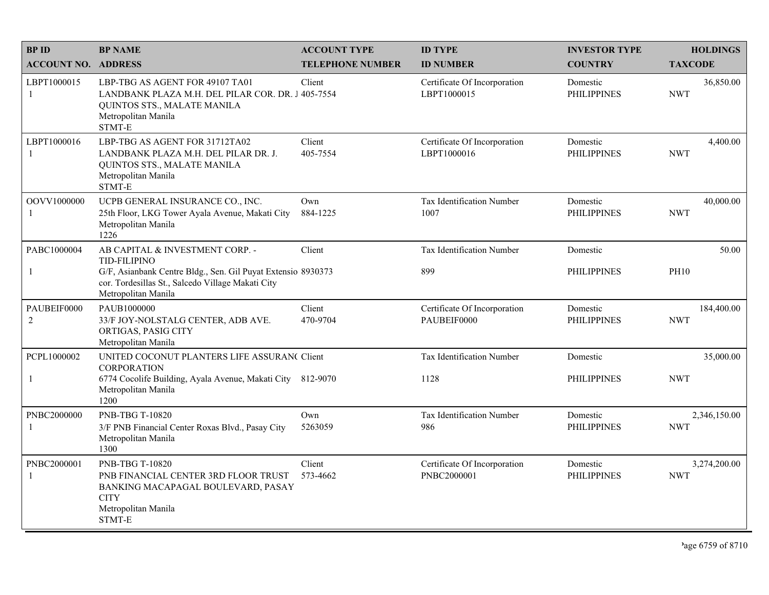| <b>BPID</b>                | <b>BP NAME</b>                                                                                                                                                  | <b>ACCOUNT TYPE</b>     | <b>ID TYPE</b>                              | <b>INVESTOR TYPE</b>           | <b>HOLDINGS</b>            |
|----------------------------|-----------------------------------------------------------------------------------------------------------------------------------------------------------------|-------------------------|---------------------------------------------|--------------------------------|----------------------------|
| <b>ACCOUNT NO. ADDRESS</b> |                                                                                                                                                                 | <b>TELEPHONE NUMBER</b> | <b>ID NUMBER</b>                            | <b>COUNTRY</b>                 | <b>TAXCODE</b>             |
| LBPT1000015<br>-1          | LBP-TBG AS AGENT FOR 49107 TA01<br>LANDBANK PLAZA M.H. DEL PILAR COR. DR. J 405-7554<br>QUINTOS STS., MALATE MANILA<br>Metropolitan Manila<br>STMT-E            | Client                  | Certificate Of Incorporation<br>LBPT1000015 | Domestic<br><b>PHILIPPINES</b> | 36,850.00<br><b>NWT</b>    |
| LBPT1000016<br>-1          | LBP-TBG AS AGENT FOR 31712TA02<br>LANDBANK PLAZA M.H. DEL PILAR DR. J.<br>QUINTOS STS., MALATE MANILA<br>Metropolitan Manila<br>STMT-E                          | Client<br>405-7554      | Certificate Of Incorporation<br>LBPT1000016 | Domestic<br><b>PHILIPPINES</b> | 4,400.00<br><b>NWT</b>     |
| OOVV1000000<br>-1          | UCPB GENERAL INSURANCE CO., INC.<br>25th Floor, LKG Tower Ayala Avenue, Makati City<br>Metropolitan Manila<br>1226                                              | Own<br>884-1225         | <b>Tax Identification Number</b><br>1007    | Domestic<br><b>PHILIPPINES</b> | 40,000.00<br><b>NWT</b>    |
| PABC1000004                | AB CAPITAL & INVESTMENT CORP. -                                                                                                                                 | Client                  | Tax Identification Number                   | Domestic                       | 50.00                      |
| $\mathbf{1}$               | <b>TID-FILIPINO</b><br>G/F, Asianbank Centre Bldg., Sen. Gil Puyat Extensio 8930373<br>cor. Tordesillas St., Salcedo Village Makati City<br>Metropolitan Manila |                         | 899                                         | <b>PHILIPPINES</b>             | <b>PH10</b>                |
| PAUBEIF0000<br>$\sqrt{2}$  | PAUB1000000<br>33/F JOY-NOLSTALG CENTER, ADB AVE.<br>ORTIGAS, PASIG CITY<br>Metropolitan Manila                                                                 | Client<br>470-9704      | Certificate Of Incorporation<br>PAUBEIF0000 | Domestic<br><b>PHILIPPINES</b> | 184,400.00<br><b>NWT</b>   |
| PCPL1000002                | UNITED COCONUT PLANTERS LIFE ASSURAN( Client<br><b>CORPORATION</b>                                                                                              |                         | Tax Identification Number                   | Domestic                       | 35,000.00                  |
| $\mathbf{1}$               | 6774 Cocolife Building, Ayala Avenue, Makati City 812-9070<br>Metropolitan Manila<br>1200                                                                       |                         | 1128                                        | <b>PHILIPPINES</b>             | <b>NWT</b>                 |
| PNBC2000000<br>-1          | <b>PNB-TBG T-10820</b><br>3/F PNB Financial Center Roxas Blvd., Pasay City<br>Metropolitan Manila<br>1300                                                       | Own<br>5263059          | Tax Identification Number<br>986            | Domestic<br><b>PHILIPPINES</b> | 2,346,150.00<br><b>NWT</b> |
| PNBC2000001<br>-1          | PNB-TBG T-10820<br>PNB FINANCIAL CENTER 3RD FLOOR TRUST<br>BANKING MACAPAGAL BOULEVARD, PASAY<br><b>CITY</b><br>Metropolitan Manila<br>STMT-E                   | Client<br>573-4662      | Certificate Of Incorporation<br>PNBC2000001 | Domestic<br><b>PHILIPPINES</b> | 3,274,200.00<br><b>NWT</b> |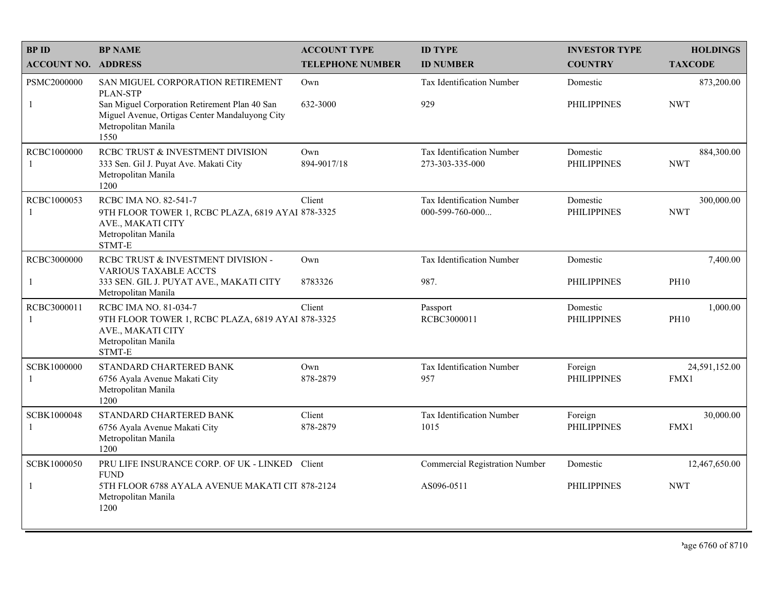| <b>BPID</b>                | <b>BP NAME</b>                                                                                                                                                                  | <b>ACCOUNT TYPE</b>     | <b>ID TYPE</b>                                       | <b>INVESTOR TYPE</b>           | <b>HOLDINGS</b>          |
|----------------------------|---------------------------------------------------------------------------------------------------------------------------------------------------------------------------------|-------------------------|------------------------------------------------------|--------------------------------|--------------------------|
| <b>ACCOUNT NO. ADDRESS</b> |                                                                                                                                                                                 | <b>TELEPHONE NUMBER</b> | <b>ID NUMBER</b>                                     | <b>COUNTRY</b>                 | <b>TAXCODE</b>           |
| PSMC2000000<br>-1          | SAN MIGUEL CORPORATION RETIREMENT<br>PLAN-STP<br>San Miguel Corporation Retirement Plan 40 San<br>Miguel Avenue, Ortigas Center Mandaluyong City<br>Metropolitan Manila<br>1550 | Own<br>632-3000         | Tax Identification Number<br>929                     | Domestic<br><b>PHILIPPINES</b> | 873,200.00<br><b>NWT</b> |
| RCBC1000000<br>-1          | RCBC TRUST & INVESTMENT DIVISION<br>333 Sen. Gil J. Puyat Ave. Makati City<br>Metropolitan Manila<br>1200                                                                       | Own<br>894-9017/18      | Tax Identification Number<br>273-303-335-000         | Domestic<br><b>PHILIPPINES</b> | 884,300.00<br><b>NWT</b> |
| RCBC1000053<br>-1          | RCBC IMA NO. 82-541-7<br>9TH FLOOR TOWER 1, RCBC PLAZA, 6819 AYAI 878-3325<br>AVE., MAKATI CITY<br>Metropolitan Manila<br>STMT-E                                                | Client                  | Tax Identification Number<br>$000 - 599 - 760 - 000$ | Domestic<br><b>PHILIPPINES</b> | 300,000.00<br><b>NWT</b> |
| RCBC3000000                | RCBC TRUST & INVESTMENT DIVISION -<br><b>VARIOUS TAXABLE ACCTS</b>                                                                                                              | Own                     | Tax Identification Number                            | Domestic                       | 7,400.00                 |
| -1                         | 333 SEN. GIL J. PUYAT AVE., MAKATI CITY<br>Metropolitan Manila                                                                                                                  | 8783326                 | 987.                                                 | <b>PHILIPPINES</b>             | <b>PH10</b>              |
| RCBC3000011<br>-1          | RCBC IMA NO. 81-034-7<br>9TH FLOOR TOWER 1, RCBC PLAZA, 6819 AYAI 878-3325<br>AVE., MAKATI CITY<br>Metropolitan Manila<br>STMT-E                                                | Client                  | Passport<br>RCBC3000011                              | Domestic<br><b>PHILIPPINES</b> | 1,000.00<br><b>PH10</b>  |
| SCBK1000000<br>-1          | STANDARD CHARTERED BANK<br>6756 Ayala Avenue Makati City<br>Metropolitan Manila<br>1200                                                                                         | Own<br>878-2879         | Tax Identification Number<br>957                     | Foreign<br><b>PHILIPPINES</b>  | 24,591,152.00<br>FMX1    |
| SCBK1000048<br>-1          | STANDARD CHARTERED BANK<br>6756 Ayala Avenue Makati City<br>Metropolitan Manila<br>1200                                                                                         | Client<br>878-2879      | Tax Identification Number<br>1015                    | Foreign<br><b>PHILIPPINES</b>  | 30,000.00<br>FMX1        |
| SCBK1000050                | PRU LIFE INSURANCE CORP. OF UK - LINKED Client<br><b>FUND</b>                                                                                                                   |                         | <b>Commercial Registration Number</b>                | Domestic                       | 12,467,650.00            |
| -1                         | 5TH FLOOR 6788 AYALA AVENUE MAKATI CIT 878-2124<br>Metropolitan Manila<br>1200                                                                                                  |                         | AS096-0511                                           | <b>PHILIPPINES</b>             | <b>NWT</b>               |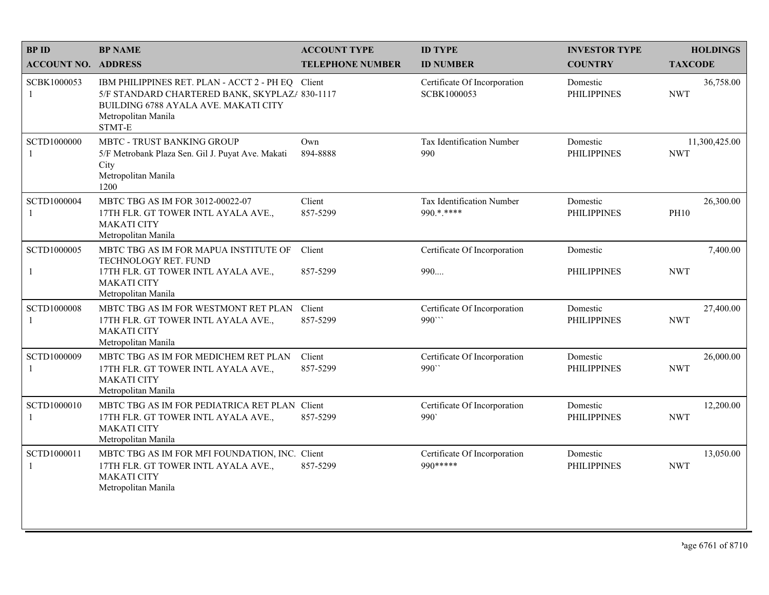| <b>BPID</b>                   | <b>BP NAME</b>                                                                                                                                                               | <b>ACCOUNT TYPE</b>     | <b>ID TYPE</b>                              | <b>INVESTOR TYPE</b>           | <b>HOLDINGS</b>             |
|-------------------------------|------------------------------------------------------------------------------------------------------------------------------------------------------------------------------|-------------------------|---------------------------------------------|--------------------------------|-----------------------------|
| <b>ACCOUNT NO. ADDRESS</b>    |                                                                                                                                                                              | <b>TELEPHONE NUMBER</b> | <b>ID NUMBER</b>                            | <b>COUNTRY</b>                 | <b>TAXCODE</b>              |
| SCBK1000053<br>-1             | IBM PHILIPPINES RET. PLAN - ACCT 2 - PH EQ Client<br>5/F STANDARD CHARTERED BANK, SKYPLAZ/ 830-1117<br>BUILDING 6788 AYALA AVE. MAKATI CITY<br>Metropolitan Manila<br>STMT-E |                         | Certificate Of Incorporation<br>SCBK1000053 | Domestic<br><b>PHILIPPINES</b> | 36,758.00<br><b>NWT</b>     |
| SCTD1000000<br>-1             | <b>MBTC - TRUST BANKING GROUP</b><br>5/F Metrobank Plaza Sen. Gil J. Puyat Ave. Makati<br>City<br>Metropolitan Manila<br>1200                                                | Own<br>894-8888         | <b>Tax Identification Number</b><br>990     | Domestic<br><b>PHILIPPINES</b> | 11,300,425.00<br><b>NWT</b> |
| SCTD1000004<br>$\overline{1}$ | MBTC TBG AS IM FOR 3012-00022-07<br>17TH FLR. GT TOWER INTL AYALA AVE.,<br><b>MAKATI CITY</b><br>Metropolitan Manila                                                         | Client<br>857-5299      | Tax Identification Number<br>990.*.****     | Domestic<br><b>PHILIPPINES</b> | 26,300.00<br><b>PH10</b>    |
| SCTD1000005                   | MBTC TBG AS IM FOR MAPUA INSTITUTE OF                                                                                                                                        | Client                  | Certificate Of Incorporation                | Domestic                       | 7,400.00                    |
| $\mathbf{1}$                  | TECHNOLOGY RET. FUND<br>17TH FLR. GT TOWER INTL AYALA AVE.,<br><b>MAKATI CITY</b><br>Metropolitan Manila                                                                     | 857-5299                | 990                                         | <b>PHILIPPINES</b>             | <b>NWT</b>                  |
| SCTD1000008<br>-1             | MBTC TBG AS IM FOR WESTMONT RET PLAN<br>17TH FLR. GT TOWER INTL AYALA AVE.,<br><b>MAKATI CITY</b><br>Metropolitan Manila                                                     | Client<br>857-5299      | Certificate Of Incorporation<br>990"        | Domestic<br><b>PHILIPPINES</b> | 27,400.00<br><b>NWT</b>     |
| SCTD1000009<br>-1             | MBTC TBG AS IM FOR MEDICHEM RET PLAN<br>17TH FLR. GT TOWER INTL AYALA AVE.,<br><b>MAKATI CITY</b><br>Metropolitan Manila                                                     | Client<br>857-5299      | Certificate Of Incorporation<br>990"        | Domestic<br><b>PHILIPPINES</b> | 26,000.00<br><b>NWT</b>     |
| SCTD1000010<br>-1             | MBTC TBG AS IM FOR PEDIATRICA RET PLAN Client<br>17TH FLR. GT TOWER INTL AYALA AVE.,<br><b>MAKATI CITY</b><br>Metropolitan Manila                                            | 857-5299                | Certificate Of Incorporation<br>990         | Domestic<br><b>PHILIPPINES</b> | 12,200.00<br><b>NWT</b>     |
| SCTD1000011<br>-1             | MBTC TBG AS IM FOR MFI FOUNDATION, INC. Client<br>17TH FLR. GT TOWER INTL AYALA AVE.,<br><b>MAKATI CITY</b><br>Metropolitan Manila                                           | 857-5299                | Certificate Of Incorporation<br>990 *****   | Domestic<br><b>PHILIPPINES</b> | 13,050.00<br><b>NWT</b>     |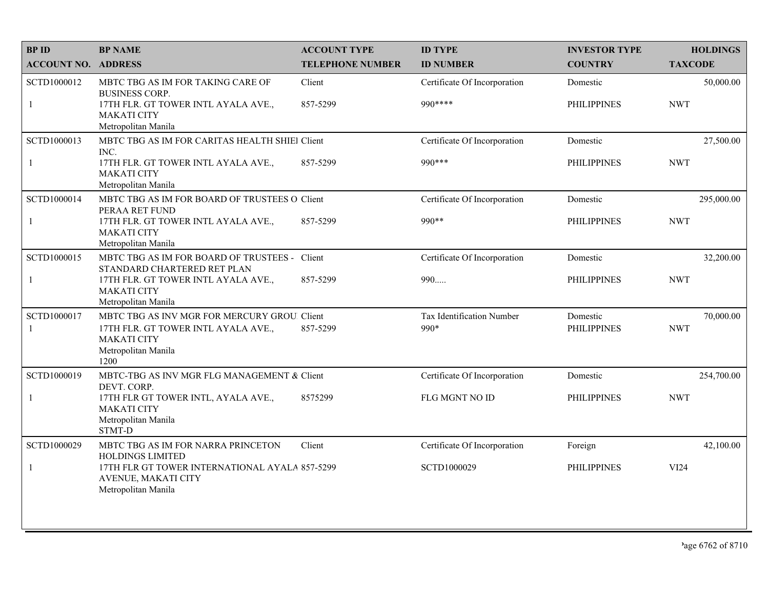| <b>BPID</b>                | <b>BP NAME</b>                                                                                                                           | <b>ACCOUNT TYPE</b>     | <b>ID TYPE</b>                    | <b>INVESTOR TYPE</b>           | <b>HOLDINGS</b>         |
|----------------------------|------------------------------------------------------------------------------------------------------------------------------------------|-------------------------|-----------------------------------|--------------------------------|-------------------------|
| <b>ACCOUNT NO. ADDRESS</b> |                                                                                                                                          | <b>TELEPHONE NUMBER</b> | <b>ID NUMBER</b>                  | <b>COUNTRY</b>                 | <b>TAXCODE</b>          |
| SCTD1000012                | MBTC TBG AS IM FOR TAKING CARE OF<br><b>BUSINESS CORP.</b>                                                                               | Client                  | Certificate Of Incorporation      | Domestic                       | 50,000.00               |
| $\mathbf{1}$               | 17TH FLR. GT TOWER INTL AYALA AVE.,<br><b>MAKATI CITY</b><br>Metropolitan Manila                                                         | 857-5299                | 990 ****                          | <b>PHILIPPINES</b>             | <b>NWT</b>              |
| SCTD1000013                | MBTC TBG AS IM FOR CARITAS HEALTH SHIEl Client<br>INC.                                                                                   |                         | Certificate Of Incorporation      | Domestic                       | 27,500.00               |
| $\mathbf{1}$               | 17TH FLR. GT TOWER INTL AYALA AVE.,<br><b>MAKATI CITY</b><br>Metropolitan Manila                                                         | 857-5299                | 990 ***                           | <b>PHILIPPINES</b>             | <b>NWT</b>              |
| SCTD1000014                | MBTC TBG AS IM FOR BOARD OF TRUSTEES O Client<br>PERAA RET FUND                                                                          |                         | Certificate Of Incorporation      | Domestic                       | 295,000.00              |
| $\mathbf{1}$               | 17TH FLR. GT TOWER INTL AYALA AVE.,<br><b>MAKATI CITY</b><br>Metropolitan Manila                                                         | 857-5299                | 990**                             | <b>PHILIPPINES</b>             | <b>NWT</b>              |
| SCTD1000015                | MBTC TBG AS IM FOR BOARD OF TRUSTEES - Client<br>STANDARD CHARTERED RET PLAN                                                             |                         | Certificate Of Incorporation      | Domestic                       | 32,200.00               |
| $\mathbf{1}$               | 17TH FLR. GT TOWER INTL AYALA AVE.,<br><b>MAKATI CITY</b><br>Metropolitan Manila                                                         | 857-5299                | 990                               | <b>PHILIPPINES</b>             | <b>NWT</b>              |
| SCTD1000017<br>-1          | MBTC TBG AS INV MGR FOR MERCURY GROU. Client<br>17TH FLR. GT TOWER INTL AYALA AVE.,<br><b>MAKATI CITY</b><br>Metropolitan Manila<br>1200 | 857-5299                | Tax Identification Number<br>990* | Domestic<br><b>PHILIPPINES</b> | 70,000.00<br><b>NWT</b> |
| SCTD1000019                | MBTC-TBG AS INV MGR FLG MANAGEMENT & Client<br>DEVT. CORP.                                                                               |                         | Certificate Of Incorporation      | Domestic                       | 254,700.00              |
| $\mathbf{1}$               | 17TH FLR GT TOWER INTL, AYALA AVE.,<br><b>MAKATI CITY</b><br>Metropolitan Manila<br>STMT-D                                               | 8575299                 | FLG MGNT NO ID                    | <b>PHILIPPINES</b>             | <b>NWT</b>              |
| SCTD1000029                | MBTC TBG AS IM FOR NARRA PRINCETON<br>HOLDINGS LIMITED                                                                                   | Client                  | Certificate Of Incorporation      | Foreign                        | 42,100.00               |
| $\mathbf{1}$               | 17TH FLR GT TOWER INTERNATIONAL AYALA 857-5299<br>AVENUE, MAKATI CITY<br>Metropolitan Manila                                             |                         | SCTD1000029                       | <b>PHILIPPINES</b>             | VI24                    |
|                            |                                                                                                                                          |                         |                                   |                                |                         |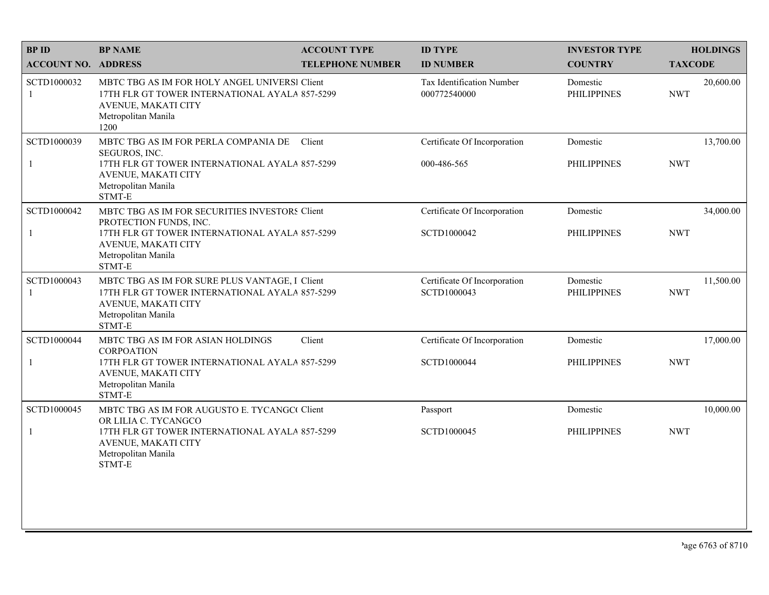| <b>BPID</b>                 | <b>BP NAME</b>                                                                                                                                                                     | <b>ACCOUNT TYPE</b>     | <b>ID TYPE</b>                              | <b>INVESTOR TYPE</b>           | <b>HOLDINGS</b>         |
|-----------------------------|------------------------------------------------------------------------------------------------------------------------------------------------------------------------------------|-------------------------|---------------------------------------------|--------------------------------|-------------------------|
| <b>ACCOUNT NO. ADDRESS</b>  |                                                                                                                                                                                    | <b>TELEPHONE NUMBER</b> | <b>ID NUMBER</b>                            | <b>COUNTRY</b>                 | <b>TAXCODE</b>          |
| SCTD1000032<br>-1           | MBTC TBG AS IM FOR HOLY ANGEL UNIVERSI Client<br>17TH FLR GT TOWER INTERNATIONAL AYALA 857-5299<br>AVENUE, MAKATI CITY<br>Metropolitan Manila<br>1200                              |                         | Tax Identification Number<br>000772540000   | Domestic<br><b>PHILIPPINES</b> | 20,600.00<br><b>NWT</b> |
| SCTD1000039<br>$\mathbf{1}$ | MBTC TBG AS IM FOR PERLA COMPANIA DE<br>SEGUROS, INC.<br>17TH FLR GT TOWER INTERNATIONAL AYALA 857-5299<br>AVENUE, MAKATI CITY<br>Metropolitan Manila<br>STMT-E                    | Client                  | Certificate Of Incorporation<br>000-486-565 | Domestic<br><b>PHILIPPINES</b> | 13,700.00<br><b>NWT</b> |
| SCTD1000042<br>$\mathbf{1}$ | MBTC TBG AS IM FOR SECURITIES INVESTORS Client<br>PROTECTION FUNDS, INC.<br>17TH FLR GT TOWER INTERNATIONAL AYALA 857-5299<br>AVENUE, MAKATI CITY<br>Metropolitan Manila<br>STMT-E |                         | Certificate Of Incorporation<br>SCTD1000042 | Domestic<br><b>PHILIPPINES</b> | 34,000.00<br><b>NWT</b> |
| SCTD1000043<br>-1           | MBTC TBG AS IM FOR SURE PLUS VANTAGE, I Client<br>17TH FLR GT TOWER INTERNATIONAL AYALA 857-5299<br>AVENUE, MAKATI CITY<br>Metropolitan Manila<br>STMT-E                           |                         | Certificate Of Incorporation<br>SCTD1000043 | Domestic<br><b>PHILIPPINES</b> | 11,500.00<br><b>NWT</b> |
| SCTD1000044                 | MBTC TBG AS IM FOR ASIAN HOLDINGS<br><b>CORPOATION</b>                                                                                                                             | Client                  | Certificate Of Incorporation                | Domestic                       | 17,000.00               |
| $\mathbf{1}$                | 17TH FLR GT TOWER INTERNATIONAL AYALA 857-5299<br>AVENUE, MAKATI CITY<br>Metropolitan Manila<br>STMT-E                                                                             |                         | SCTD1000044                                 | <b>PHILIPPINES</b>             | <b>NWT</b>              |
| SCTD1000045                 | MBTC TBG AS IM FOR AUGUSTO E. TYCANGC Client<br>OR LILIA C. TYCANGCO                                                                                                               |                         | Passport                                    | Domestic                       | 10,000.00               |
| $\mathbf{1}$                | 17TH FLR GT TOWER INTERNATIONAL AYALA 857-5299<br>AVENUE, MAKATI CITY<br>Metropolitan Manila<br>STMT-E                                                                             |                         | SCTD1000045                                 | <b>PHILIPPINES</b>             | <b>NWT</b>              |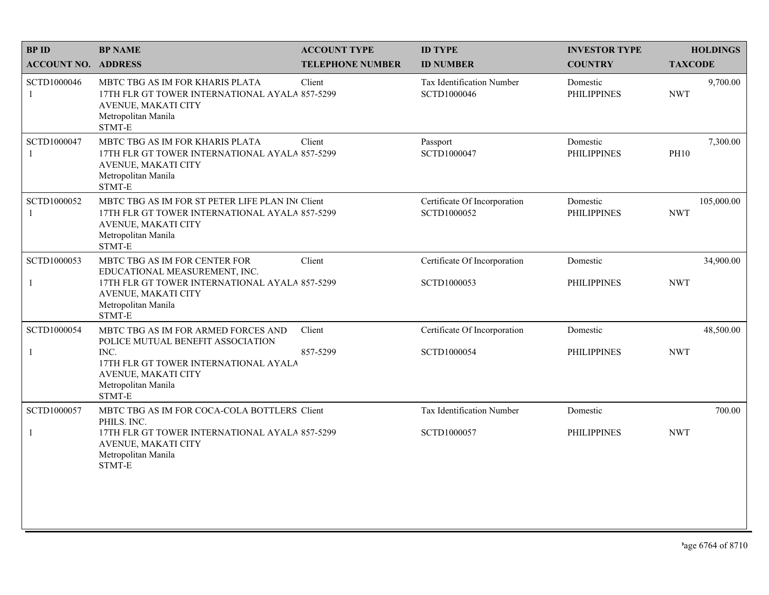| <b>BPID</b>                 | <b>BP NAME</b>                                                                                                                                            | <b>ACCOUNT TYPE</b>     | <b>ID TYPE</b>                              | <b>INVESTOR TYPE</b>           | <b>HOLDINGS</b>          |
|-----------------------------|-----------------------------------------------------------------------------------------------------------------------------------------------------------|-------------------------|---------------------------------------------|--------------------------------|--------------------------|
| <b>ACCOUNT NO. ADDRESS</b>  |                                                                                                                                                           | <b>TELEPHONE NUMBER</b> | <b>ID NUMBER</b>                            | <b>COUNTRY</b>                 | <b>TAXCODE</b>           |
| SCTD1000046<br>-1           | MBTC TBG AS IM FOR KHARIS PLATA<br>17TH FLR GT TOWER INTERNATIONAL AYALA 857-5299<br>AVENUE, MAKATI CITY<br>Metropolitan Manila<br>STMT-E                 | Client                  | Tax Identification Number<br>SCTD1000046    | Domestic<br><b>PHILIPPINES</b> | 9,700.00<br><b>NWT</b>   |
| SCTD1000047<br>-1           | MBTC TBG AS IM FOR KHARIS PLATA<br>17TH FLR GT TOWER INTERNATIONAL AYALA 857-5299<br>AVENUE, MAKATI CITY<br>Metropolitan Manila<br>STMT-E                 | Client                  | Passport<br>SCTD1000047                     | Domestic<br><b>PHILIPPINES</b> | 7,300.00<br><b>PH10</b>  |
| SCTD1000052<br>$\mathbf{1}$ | MBTC TBG AS IM FOR ST PETER LIFE PLAN IN Client<br>17TH FLR GT TOWER INTERNATIONAL AYALA 857-5299<br>AVENUE, MAKATI CITY<br>Metropolitan Manila<br>STMT-E |                         | Certificate Of Incorporation<br>SCTD1000052 | Domestic<br><b>PHILIPPINES</b> | 105,000.00<br><b>NWT</b> |
| SCTD1000053                 | MBTC TBG AS IM FOR CENTER FOR                                                                                                                             | Client                  | Certificate Of Incorporation                | Domestic                       | 34,900.00                |
| $\mathbf{1}$                | EDUCATIONAL MEASUREMENT, INC.<br>17TH FLR GT TOWER INTERNATIONAL AYALA 857-5299<br>AVENUE, MAKATI CITY<br>Metropolitan Manila<br>STMT-E                   |                         | SCTD1000053                                 | <b>PHILIPPINES</b>             | <b>NWT</b>               |
| SCTD1000054                 | MBTC TBG AS IM FOR ARMED FORCES AND<br>POLICE MUTUAL BENEFIT ASSOCIATION                                                                                  | Client                  | Certificate Of Incorporation                | Domestic                       | 48,500.00                |
| $\mathbf{1}$                | INC.<br>17TH FLR GT TOWER INTERNATIONAL AYALA<br>AVENUE, MAKATI CITY<br>Metropolitan Manila<br>STMT-E                                                     | 857-5299                | SCTD1000054                                 | <b>PHILIPPINES</b>             | <b>NWT</b>               |
| SCTD1000057                 | MBTC TBG AS IM FOR COCA-COLA BOTTLERS Client<br>PHILS. INC.                                                                                               |                         | Tax Identification Number                   | Domestic                       | 700.00                   |
| $\mathbf{1}$                | 17TH FLR GT TOWER INTERNATIONAL AYALA 857-5299<br>AVENUE, MAKATI CITY<br>Metropolitan Manila<br>STMT-E                                                    |                         | SCTD1000057                                 | <b>PHILIPPINES</b>             | <b>NWT</b>               |
|                             |                                                                                                                                                           |                         |                                             |                                |                          |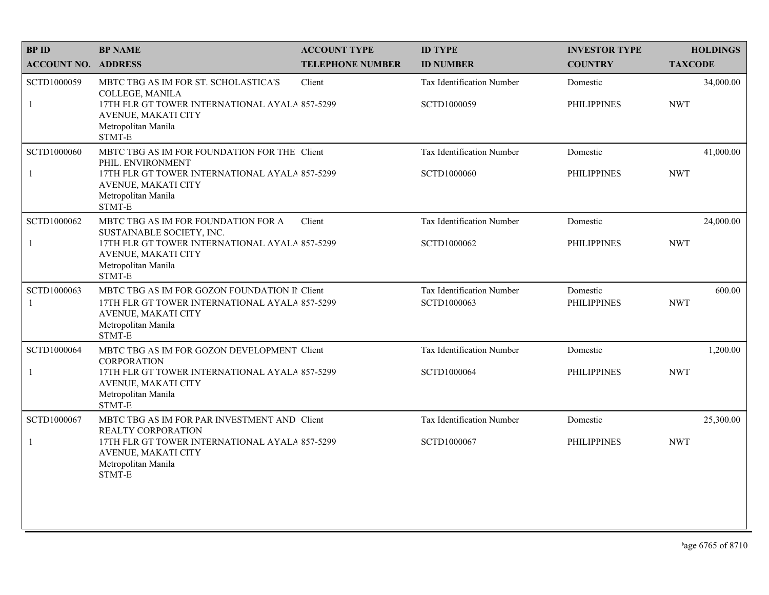| <b>BPID</b>                 | <b>BP NAME</b>                                                                                                                                                              | <b>ACCOUNT TYPE</b>     | <b>ID TYPE</b>                           | <b>INVESTOR TYPE</b>           | <b>HOLDINGS</b>         |
|-----------------------------|-----------------------------------------------------------------------------------------------------------------------------------------------------------------------------|-------------------------|------------------------------------------|--------------------------------|-------------------------|
| <b>ACCOUNT NO. ADDRESS</b>  |                                                                                                                                                                             | <b>TELEPHONE NUMBER</b> | <b>ID NUMBER</b>                         | <b>COUNTRY</b>                 | <b>TAXCODE</b>          |
| SCTD1000059<br>$\mathbf{1}$ | MBTC TBG AS IM FOR ST. SCHOLASTICA'S<br>COLLEGE, MANILA<br>17TH FLR GT TOWER INTERNATIONAL AYALA 857-5299<br>AVENUE, MAKATI CITY<br>Metropolitan Manila<br>STMT-E           | Client                  | Tax Identification Number<br>SCTD1000059 | Domestic<br><b>PHILIPPINES</b> | 34,000.00<br><b>NWT</b> |
| SCTD1000060<br>$\mathbf{1}$ | MBTC TBG AS IM FOR FOUNDATION FOR THE Client<br>PHIL. ENVIRONMENT<br>17TH FLR GT TOWER INTERNATIONAL AYALA 857-5299<br>AVENUE, MAKATI CITY<br>Metropolitan Manila<br>STMT-E |                         | Tax Identification Number<br>SCTD1000060 | Domestic<br><b>PHILIPPINES</b> | 41,000.00<br><b>NWT</b> |
| SCTD1000062<br>$\mathbf{1}$ | MBTC TBG AS IM FOR FOUNDATION FOR A<br>SUSTAINABLE SOCIETY, INC.<br>17TH FLR GT TOWER INTERNATIONAL AYALA 857-5299<br>AVENUE, MAKATI CITY<br>Metropolitan Manila<br>STMT-E  | Client                  | Tax Identification Number<br>SCTD1000062 | Domestic<br><b>PHILIPPINES</b> | 24,000.00<br><b>NWT</b> |
| SCTD1000063<br>-1           | MBTC TBG AS IM FOR GOZON FOUNDATION II Client<br>17TH FLR GT TOWER INTERNATIONAL AYALA 857-5299<br>AVENUE, MAKATI CITY<br>Metropolitan Manila<br>STMT-E                     |                         | Tax Identification Number<br>SCTD1000063 | Domestic<br><b>PHILIPPINES</b> | 600.00<br><b>NWT</b>    |
| SCTD1000064                 | MBTC TBG AS IM FOR GOZON DEVELOPMENT Client                                                                                                                                 |                         | Tax Identification Number                | Domestic                       | 1,200.00                |
| $\mathbf{1}$                | <b>CORPORATION</b><br>17TH FLR GT TOWER INTERNATIONAL AYALA 857-5299<br>AVENUE, MAKATI CITY<br>Metropolitan Manila<br>STMT-E                                                |                         | SCTD1000064                              | <b>PHILIPPINES</b>             | <b>NWT</b>              |
| SCTD1000067                 | MBTC TBG AS IM FOR PAR INVESTMENT AND Client<br>REALTY CORPORATION                                                                                                          |                         | Tax Identification Number                | Domestic                       | 25,300.00               |
| $\mathbf{1}$                | 17TH FLR GT TOWER INTERNATIONAL AYALA 857-5299<br>AVENUE, MAKATI CITY<br>Metropolitan Manila<br>STMT-E                                                                      |                         | SCTD1000067                              | <b>PHILIPPINES</b>             | <b>NWT</b>              |
|                             |                                                                                                                                                                             |                         |                                          |                                |                         |